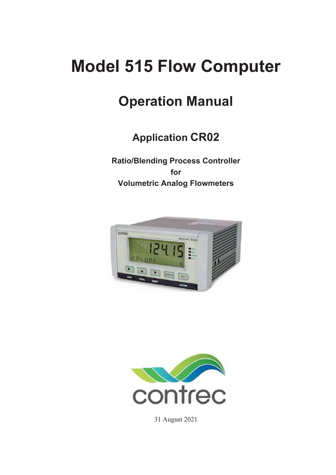# **Model 515 Flow Computer**

# **Operation Manual**

## **Application CR02**

**Ratio/Blending Process Controller for Volumetric Analog Flowmeters**





31 August 2021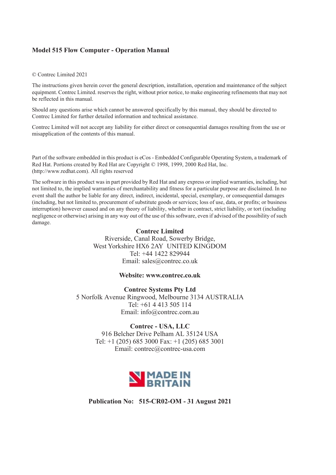#### **Model 515 Flow Computer - Operation Manual**

#### © Contrec Limited 2021

The instructions given herein cover the general description, installation, operation and maintenance of the subject equipment. Contrec Limited. reserves the right, without prior notice, to make engineering refinements that may not be reflected in this manual.

Should any questions arise which cannot be answered specifically by this manual, they should be directed to Contrec Limited for further detailed information and technical assistance.

Contrec Limited will not accept any liability for either direct or consequential damages resulting from the use or misapplication of the contents of this manual.

Part of the software embedded in this product is eCos - Embedded Configurable Operating System, a trademark of Red Hat. Portions created by Red Hat are Copyright © 1998, 1999, 2000 Red Hat, Inc. (http://www.redhat.com). All rights reserved

The software in this product was in part provided by Red Hat and any express or implied warranties, including, but not limited to, the implied warranties of merchantability and fitness for a particular purpose are disclaimed. In no event shall the author be liable for any direct, indirect, incidental, special, exemplary, or consequential damages (including, but not limited to, procurement of substitute goods or services; loss of use, data, or profits; or business interruption) however caused and on any theory of liability, whether in contract, strict liability, or tort (including negligence or otherwise) arising in any way out of the use of this software, even if advised of the possibility of such damage.

#### **Contrec Limited**

Riverside, Canal Road, Sowerby Bridge, West Yorkshire HX6 2AY UNITED KINGDOM Tel: +44 1422 829944 Email: sales@contrec.co.uk

#### **Website: www.contrec.co.uk**

**Contrec Systems Pty Ltd** 5 Norfolk Avenue Ringwood, Melbourne 3134 AUSTRALIA Tel: +61 4 413 505 114 Email: info@contrec.com.au

## **Contrec - USA, LLC**

916 Belcher Drive Pelham AL 35124 USA Tel: +1 (205) 685 3000 Fax: +1 (205) 685 3001 Email: contrec@contrec-usa.com



**Publication No: 515-CR02-OM - 31 August 2021**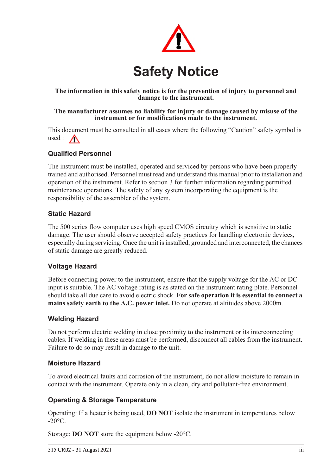

#### **The information in this safety notice is for the prevention of injury to personnel and damage to the instrument.**

#### **The manufacturer assumes no liability for injury or damage caused by misuse of the instrument or for modifications made to the instrument.**

This document must be consulted in all cases where the following "Caution" safety symbol is used :  $\bigwedge$ 

### **Qualified Personnel**

The instrument must be installed, operated and serviced by persons who have been properly trained and authorised. Personnel must read and understand this manual prior to installation and operation of the instrument. Refer to section 3 for further information regarding permitted maintenance operations. The safety of any system incorporating the equipment is the responsibility of the assembler of the system.

### **Static Hazard**

The 500 series flow computer uses high speed CMOS circuitry which is sensitive to static damage. The user should observe accepted safety practices for handling electronic devices, especially during servicing. Once the unit is installed, grounded and interconnected, the chances of static damage are greatly reduced.

### **Voltage Hazard**

Before connecting power to the instrument, ensure that the supply voltage for the AC or DC input is suitable. The AC voltage rating is as stated on the instrument rating plate. Personnel should take all due care to avoid electric shock. **For safe operation it is essential to connect a mains safety earth to the A.C. power inlet.** Do not operate at altitudes above 2000m.

### **Welding Hazard**

Do not perform electric welding in close proximity to the instrument or its interconnecting cables. If welding in these areas must be performed, disconnect all cables from the instrument. Failure to do so may result in damage to the unit.

### **Moisture Hazard**

To avoid electrical faults and corrosion of the instrument, do not allow moisture to remain in contact with the instrument. Operate only in a clean, dry and pollutant-free environment.

### **Operating & Storage Temperature**

Operating: If a heater is being used, **DO NOT** isolate the instrument in temperatures below  $-20^{\circ}$ C.

Storage: **DO NOT** store the equipment below -20°C.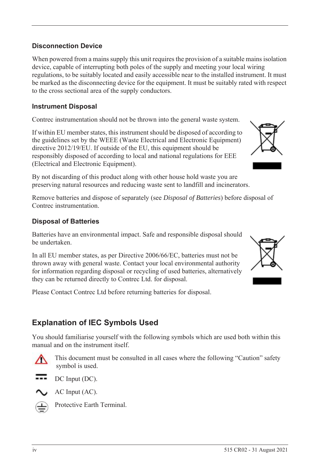### **Disconnection Device**

When powered from a mains supply this unit requires the provision of a suitable mains isolation device, capable of interrupting both poles of the supply and meeting your local wiring regulations, to be suitably located and easily accessible near to the installed instrument. It must be marked as the disconnecting device for the equipment. It must be suitably rated with respect to the cross sectional area of the supply conductors.

### **Instrument Disposal**

Contrec instrumentation should not be thrown into the general waste system.

If within EU member states, this instrument should be disposed of according to the guidelines set by the WEEE (Waste Electrical and Electronic Equipment) directive 2012/19/EU. If outside of the EU, this equipment should be responsibly disposed of according to local and national regulations for EEE (Electrical and Electronic Equipment).

By not discarding of this product along with other house hold waste you are preserving natural resources and reducing waste sent to landfill and incinerators.

Remove batteries and dispose of separately (see *Disposal of Batteries*) before disposal of Contrec instrumentation.

### **Disposal of Batteries**

Batteries have an environmental impact. Safe and responsible disposal should be undertaken.

In all EU member states, as per Directive 2006/66/EC, batteries must not be thrown away with general waste. Contact your local environmental authority for information regarding disposal or recycling of used batteries, alternatively they can be returned directly to Contrec Ltd. for disposal.

Please Contact Contrec Ltd before returning batteries for disposal.

## **Explanation of IEC Symbols Used**

You should familiarise yourself with the following symbols which are used both within this manual and on the instrument itself.



 This document must be consulted in all cases where the following "Caution" safety symbol is used.





AC Input (AC).



Protective Earth Terminal.



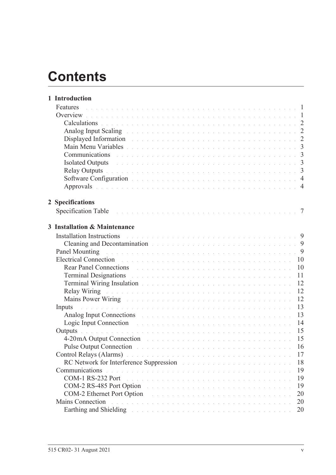# **Contents**

| 1 Introduction                                                                                                                                                                                                                            |    |
|-------------------------------------------------------------------------------------------------------------------------------------------------------------------------------------------------------------------------------------------|----|
| Features<br>. The contract of the contract of the contract of the contract of the contract of $\mathcal{A}$                                                                                                                               |    |
|                                                                                                                                                                                                                                           |    |
| Calculations de la commune de la commune de la commune de la commune de la commune de la commune de la commune                                                                                                                            |    |
| Analog Input Scaling <b>Executive Contract Contract Contract Contract Contract Contract Contract Contract Contract Contract Contract Contract Contract Contract Contract Contract Contract Contract Contract Contract Contract C</b>      |    |
| Displayed Information and the contract of the contract of the contract of the contract of the 2                                                                                                                                           |    |
|                                                                                                                                                                                                                                           |    |
| Communications research and contract the contract of the contract of the contract of the 3                                                                                                                                                |    |
| Isolated Outputs and a contract the contract of the contract of the contract of the contract of the contract of the contract of the contract of the contract of the contract of the contract of the contract of the contract o            |    |
| Relay Outputs And All and All and All and All and All and All and All and All and All and All and All and All                                                                                                                             |    |
|                                                                                                                                                                                                                                           |    |
| Approvals and an annual contract of the contract of the contract of the contract of the contract of the contract of the contract of the contract of the contract of the contract of the contract of the contract of the contra            |    |
|                                                                                                                                                                                                                                           |    |
| 2 Specifications                                                                                                                                                                                                                          |    |
|                                                                                                                                                                                                                                           |    |
| 3 Installation & Maintenance                                                                                                                                                                                                              |    |
| Installation Instructions and a contract the contract of the contract of the contract of the set of the set of the set of the set of the set of the set of the set of the set of the set of the set of the set of the set of t            |    |
| Cleaning and Decontamination and a substitution of the contract of the contract of the September of the September of the September of the September of the September of the September of the September of the September of the            |    |
| Panel Mounting received a contract of the contract of the contract of the contract of the P                                                                                                                                               |    |
| Electrical Connection and a construction of the contract of the contract of the contract of the contract of the                                                                                                                           |    |
| Rear Panel Connections and a constant of the contract of the contract of the contract of the contract of the contract of the contract of the contract of the contract of the contract of the contract of the contract of the c            |    |
| 11<br><b>Terminal Designations</b> and a contract the contract of the contract of the contract of the contract of the contract of the contract of the contract of the contract of the contract of the contract of the contract of the con |    |
| 12<br>Terminal Wiring Insulation and a contract the contract of the contract of the contract of the contract of the contract of the contract of the contract of the contract of the contract of the contract of the contract of the       |    |
| 12                                                                                                                                                                                                                                        |    |
| 12<br>Mains Power Wiring Mathews and the company of the company of the Minister of the Company of the Company of the Company of the Company of the Company of the Company of the Company of the Company of the Company of the Compan      |    |
| 13<br>.<br>The second complete the complete state of the complete state of the complete state of the complete state of th<br>Inputs                                                                                                       |    |
| 13<br>Analog Input Connections and a contract the contract of the contract of the contract of the contract of the contract of the contract of the contract of the contract of the contract of the contract of the contract of the co      |    |
| 14<br>Logic Input Connection and the connection of the connection of the connection of the connection of the connection                                                                                                                   |    |
| 15                                                                                                                                                                                                                                        |    |
| 15<br>4-20 mA Output Connection and a construction of the contract of the contract of the contract of the contract of the contract of the contract of the contract of the contract of the contract of the contract of the contract o      |    |
| Pulse Output Connection and a construction of the contract of the contract of the contract of the contract of the contract of the contract of the contract of the contract of the contract of the contract of the contract of<br>16       |    |
| Control Relays (Alarms) and a control of the control of the control of the control of the control of the control of the control of the control of the control of the control of the control of the control of the control of t            | 17 |
| RC Network for Interference Suppression and a contract to the contract of the contract of the contract of the contract of the contract of the contract of the contract of the contract of the contract of the contract of the             | 18 |
| Communications<br>.<br>In the second complete state of the second complete state of the second complete state of the second complete                                                                                                      | 19 |
| COM-1 RS-232 Port<br>.<br>The contract of the contract of the contract of the contract of the contract of the contract of the contract of                                                                                                 | 19 |
| COM-2 RS-485 Port Option and a contract the contract of the contract of the contract of the contract of the contract of the contract of the contract of the contract of the contract of the contract of the contract of the co            | 19 |
| <b>COM-2 Ethernet Port Option</b>                                                                                                                                                                                                         | 20 |
| <b>Mains Connection</b><br>.<br>The contract of the contract of the contract of the contract of the contract of the contract of the contract of                                                                                           | 20 |
| Earthing and Shielding Theorem 2014 Contract of the Contract of the Contract of the Contract of the Contract of the Contract of the Contract of the Contract of the Contract of the Contract of the Contract of the Contract o            | 20 |
|                                                                                                                                                                                                                                           |    |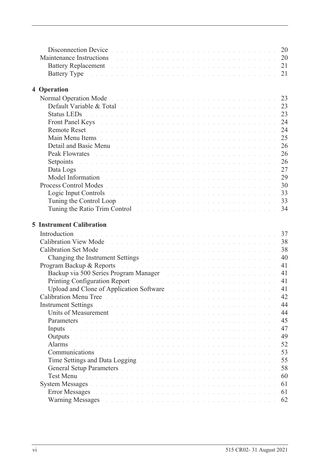| Maintenance Instructions and a contract the contract of the contract of the contract of the 20<br>Battery Replacement and the contract of the contract of the contract of the contract of the contract of the contract of the contract of the contract of the contract of the contract of the contract of the contract of the co<br>Battery Type and a substitution of the state of the state of the state of the state of the state of the state of the state of the state of the state of the state of the state of the state of the state of the state of the s | 20<br>21<br>21 |
|--------------------------------------------------------------------------------------------------------------------------------------------------------------------------------------------------------------------------------------------------------------------------------------------------------------------------------------------------------------------------------------------------------------------------------------------------------------------------------------------------------------------------------------------------------------------|----------------|
| 4 Operation                                                                                                                                                                                                                                                                                                                                                                                                                                                                                                                                                        |                |
|                                                                                                                                                                                                                                                                                                                                                                                                                                                                                                                                                                    |                |
| Default Variable & Total entry the contract of the contract of the contract of the 23                                                                                                                                                                                                                                                                                                                                                                                                                                                                              |                |
| Status LEDs experience in the contract of the contract of the contract of the contract of the contract of the                                                                                                                                                                                                                                                                                                                                                                                                                                                      | 23             |
| Front Panel Keys and a contract the contract of the contract of the contract of 24                                                                                                                                                                                                                                                                                                                                                                                                                                                                                 |                |
|                                                                                                                                                                                                                                                                                                                                                                                                                                                                                                                                                                    | 24             |
| Main Menu Items and a conservative conservative conservative conservative conservative                                                                                                                                                                                                                                                                                                                                                                                                                                                                             | 25             |
|                                                                                                                                                                                                                                                                                                                                                                                                                                                                                                                                                                    |                |
| Peak Flowrates experience in the contract of the contract of the contract of the contract of the contract of the contract of the contract of the contract of the contract of the contract of the contract of the contract of t                                                                                                                                                                                                                                                                                                                                     |                |
| Setpoints and a community of the community of the community of the community of the community of the community of the community of the community of the community of the community of the community of the community of the co                                                                                                                                                                                                                                                                                                                                     | 26             |
| Data Logs (Alberta Alberta Alberta Alberta Alberta Alberta Alberta Alberta Alberta Alberta Alberta Alberta Alb                                                                                                                                                                                                                                                                                                                                                                                                                                                     | 27             |
| Model Information and a contract the contract of the contract of the contract of the contract of the contract of the contract of the contract of the contract of the contract of the contract of the contract of the contract                                                                                                                                                                                                                                                                                                                                      | 29             |
|                                                                                                                                                                                                                                                                                                                                                                                                                                                                                                                                                                    | 30             |
| Logic Input Controls and a contract the contract of the contract of the contract of the 33                                                                                                                                                                                                                                                                                                                                                                                                                                                                         |                |
| Tuning the Control Loop entrance and the contract of the contract of the contract of the 33                                                                                                                                                                                                                                                                                                                                                                                                                                                                        |                |
| Tuning the Ratio Trim Control and the contract of the contract of the contract of the 34                                                                                                                                                                                                                                                                                                                                                                                                                                                                           |                |
| <b>5</b> Instrument Calibration<br>Introduction and a construction of the construction of the construction of the construction of $37$                                                                                                                                                                                                                                                                                                                                                                                                                             |                |
|                                                                                                                                                                                                                                                                                                                                                                                                                                                                                                                                                                    |                |
| Calibration Set Mode entertainment and the contract of the contract of the set of the Samuel of the Samuel of the Samuel of the Samuel of the Samuel of the Samuel of the Samuel of the Samuel of the Samuel of the Samuel of                                                                                                                                                                                                                                                                                                                                      |                |
| Changing the Instrument Settings and a contract of the contract of the contract of the contract of the contract of the contract of the contract of the contract of the contract of the contract of the contract of the contrac                                                                                                                                                                                                                                                                                                                                     | 40             |
| Program Backup & Reports and the contract of the contract of the contract of the contract of the contract of the contract of the contract of the contract of the contract of the contract of the contract of the contract of t                                                                                                                                                                                                                                                                                                                                     | 41             |
| Backup via 500 Series Program Manager and a construction of the construction of the Backup via 500 Series Program Manager                                                                                                                                                                                                                                                                                                                                                                                                                                          | 41             |
| Printing Configuration Report and a construction of the contract of the contract of the contract of the contract of the contract of the contract of the contract of the contract of the contract of the contract of the contra                                                                                                                                                                                                                                                                                                                                     | 41             |
| Upload and Clone of Application Software and a substitution of the state of the state of the state of the state of the state of the state of the state of the state of the state of the state of the state of the state of the                                                                                                                                                                                                                                                                                                                                     | 41             |
| Calibration Menu Tree and a communication of the communication of the communication of the communication                                                                                                                                                                                                                                                                                                                                                                                                                                                           | 42             |
| Instrument Settings and a construction of the construction of the construction of the construction of the construction of the construction of the construction of the construction of the construction of the construction of                                                                                                                                                                                                                                                                                                                                      | 44             |
| Units of Measurement<br>.<br>In the company of the company of the company of the company of the company of the company of the company of th                                                                                                                                                                                                                                                                                                                                                                                                                        | 44             |
| Parameters<br>a de la carte de la carte de la carte de la carte de                                                                                                                                                                                                                                                                                                                                                                                                                                                                                                 | 45             |
| Inputs<br>de la caractería de la caractería de la caractería de la caractería de la caractería                                                                                                                                                                                                                                                                                                                                                                                                                                                                     | 47             |
| Outputs<br>and the complete state of the complete state of the complete state of the complete state of the                                                                                                                                                                                                                                                                                                                                                                                                                                                         | 49             |
| <b>Alarms</b><br>.<br>In the company of the company of the company of the company of the company of the company of the company of th                                                                                                                                                                                                                                                                                                                                                                                                                               | 52             |
| Communications<br>de la caractería de la caractería de la caractería de la caractería de la caractería de la caractería                                                                                                                                                                                                                                                                                                                                                                                                                                            | 53             |
| Time Settings and Data Logging<br><u>. A na mara na mara na mara na mara na mara na mara na m</u>                                                                                                                                                                                                                                                                                                                                                                                                                                                                  | 55             |
| General Setup Parameters and a contract the contract of the contract of the contract of the contract of the contract of the contract of the contract of the contract of the contract of the contract of the contract of the co                                                                                                                                                                                                                                                                                                                                     | 58             |
| Test Menu de la componencia de la componencia de la componencia de la componencia                                                                                                                                                                                                                                                                                                                                                                                                                                                                                  | 60             |
| System Messages.<br>and a constitution of the constitution of the constitution of the constitution of the constitution of the constitution of the constitution of the constitution of the constitution of the constitution of the constitution of                                                                                                                                                                                                                                                                                                                  | 61             |
| <b>Error Messages</b><br>.<br>In the company of the company of the company of the company of the company of the company of the company of th<br>and an                                                                                                                                                                                                                                                                                                                                                                                                             | 61             |
| Warning Messages and a contract the contract of the contract of the contract of the contract of the contract of                                                                                                                                                                                                                                                                                                                                                                                                                                                    | 62             |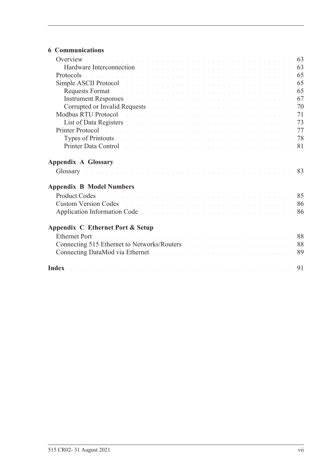### **[6 Communications](#page-72-0)**

|                                                                                                                                                                                                                                | 63 |
|--------------------------------------------------------------------------------------------------------------------------------------------------------------------------------------------------------------------------------|----|
| Hardware Interconnection and a construction of the construction of the construction of the construction of the                                                                                                                 | 63 |
| Protocols and an annual contract of the contract of the contract of the contract of the contract of the contract of the contract of the contract of the contract of the contract of the contract of the contract of the contra | 65 |
| Simple ASCII Protocol and a construction of the construction of the construction of the construction of the construction of the construction of the construction of the construction of the construction of the construction o | 65 |
|                                                                                                                                                                                                                                | 65 |
| Instrument Responses and a construction of the construction of the construction of the construction of the construction of the construction of the construction of the construction of the construction of the construction of | 67 |
| Corrupted or Invalid Requests and a contract to the contract of the contract of the                                                                                                                                            | 70 |
| Modbus RTU Protocol and all contained to the containing the contact and the contact of the Taurus of The Model                                                                                                                 |    |
|                                                                                                                                                                                                                                |    |
| Printer Protocol and a construction of the construction of the construction of the construction of the construction of the construction of the construction of the construction of the construction of the construction of the |    |
| Types of Printouts and a contract the contract of the contract of the contract of the Table                                                                                                                                    |    |
| Printer Data Control entre a series and a series of the series of the series of the series of the series of the                                                                                                                | 81 |
| <b>Appendix A Glossary</b>                                                                                                                                                                                                     |    |
| Glossary and a communication of the communication of the communication of the communication of the communication of the communication of the communication of the communication of the communication of the communication of t | 83 |
| <b>Appendix B Model Numbers</b>                                                                                                                                                                                                |    |
| Product Codes de la communicación de la communicación de la communicación de 85                                                                                                                                                |    |
| Custom Version Codes and a contract the contract of the contract of the contract of the contract of the contract of the contract of the contract of the contract of the contract of the contract of the contract of the contra | 86 |
|                                                                                                                                                                                                                                | 86 |
| Appendix C Ethernet Port & Setup                                                                                                                                                                                               |    |
| Ethernet Port and a communication of the communication of the communication of the communication of the communication                                                                                                          | 88 |
|                                                                                                                                                                                                                                | 88 |
| Connecting 515 Ethernet to Networks/Routers and a substantial contract to the contract of                                                                                                                                      | 89 |
| Connecting DataMod via Ethernet Marian and a connection of the Connecting DataMod via Ethernet Maria and a connection of the Connection of the Connection of the Connection of the Connection of the Connection of the Connect |    |
| Index and a construction of the construction of the construction of the construction of $91$                                                                                                                                   |    |
|                                                                                                                                                                                                                                |    |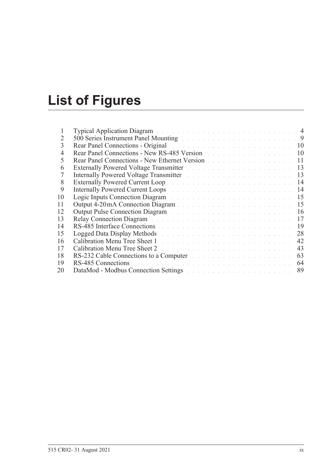# **List of Figures**

| 1                        | <b>Typical Application Diagram</b> and the contract of the contract of the state of the state of the state of the state of the state of the state of the state of the state of the state of the state of the state of the state of |    |
|--------------------------|------------------------------------------------------------------------------------------------------------------------------------------------------------------------------------------------------------------------------------|----|
| 2                        | 500 Series Instrument Panel Mounting and a contract of the series of the series of the 9                                                                                                                                           |    |
| 3                        | Rear Panel Connections - Original and a substitution of the contract of the contract of the contract of the contract of the contract of the contract of the contract of the contract of the contract of the contract of the co     | 10 |
|                          |                                                                                                                                                                                                                                    |    |
| 4                        | Rear Panel Connections - New RS-485 Version                                                                                                                                                                                        | 10 |
| $\overline{\mathcal{L}}$ | Rear Panel Connections - New Ethernet Version                                                                                                                                                                                      | 11 |
| 6                        | Externally Powered Voltage Transmitter Marshall and Alexandre and Alexandre and Alexandre and Alexandre and Alexandre and Alexandre and Alexandre and Alexandre and Alexandre and Alexandre and Alexandre and Alexandre and Al     | 13 |
| 7                        | Internally Powered Voltage Transmitter March 2014 and State and State and State and                                                                                                                                                | 13 |
| 8                        |                                                                                                                                                                                                                                    | 14 |
| 9                        | Internally Powered Current Loops and a substitution of the state of the state of the state of the state of the                                                                                                                     | 14 |
| 10                       | Logic Inputs Connection Diagram and a connection of the Connection of the Connection of the Connection of the Connection of the Connection of the Connection of the Connection of the Connection of the Connection of the Conn     | 15 |
| 11                       | Output 4-20mA Connection Diagram                                                                                                                                                                                                   | 15 |
| 12                       | Output Pulse Connection Diagram and the connection of the Connection of the Connection of the Connection of the Connection of the Connection of the Connection of the Connection of the Connection of the Connection of the Co     | 16 |
| 13                       | Relay Connection Diagram and a construction of the contract of the contract of the contract of the contract of                                                                                                                     | 17 |
| 14                       |                                                                                                                                                                                                                                    | 19 |
| 15                       | Logged Data Display Methods and a contract the contract of the contract of the contract of the contract of the contract of the contract of the contract of the contract of the contract of the contract of the contract of the     | 28 |
| 16                       |                                                                                                                                                                                                                                    | 42 |
| 17                       |                                                                                                                                                                                                                                    | 43 |
| 18                       | RS-232 Cable Connections to a Computer and a substitution of the set of the set of the set of the set of the set of the set of the set of the set of the set of the set of the set of the set of the set of the set of the set     | 63 |
| 19                       |                                                                                                                                                                                                                                    | 64 |
| 20                       | DataMod - Modbus Connection Settings and the connection of the connection of the settings and the connection of the connection of the connection of the connection of the connection of the connection of the connection of th     | 89 |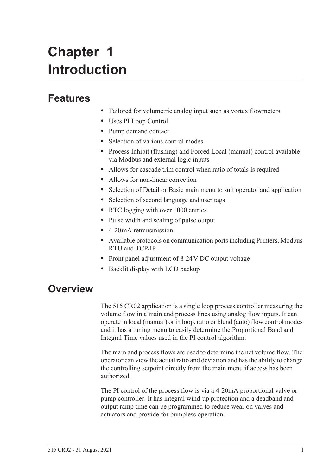# <span id="page-10-0"></span>**Chapter 1 Introduction**

## <span id="page-10-1"></span>**Features**

- **•** Tailored for volumetric analog input such as vortex flowmeters
- **•** Uses PI Loop Control
- **•** Pump demand contact
- **•** Selection of various control modes
- **•** Process Inhibit (flushing) and Forced Local (manual) control available via Modbus and external logic inputs
- **•** Allows for cascade trim control when ratio of totals is required
- Allows for non-linear correction
- **•** Selection of Detail or Basic main menu to suit operator and application
- **•** Selection of second language and user tags
- **•** RTC logging with over 1000 entries
- **•** Pulse width and scaling of pulse output
- **•** 4-20 mA retransmission
- **•** Available protocols on communication ports including Printers, Modbus RTU and TCP/IP
- **•** Front panel adjustment of 8-24 V DC output voltage
- **•** Backlit display with LCD backup

## <span id="page-10-2"></span>**Overview**

The 515 CR02 application is a single loop process controller measuring the volume flow in a main and process lines using analog flow inputs. It can operate in local (manual) or in loop, ratio or blend (auto) flow control modes and it has a tuning menu to easily determine the Proportional Band and Integral Time values used in the PI control algorithm.

The main and process flows are used to determine the net volume flow. The operator can view the actual ratio and deviation and has the ability to change the controlling setpoint directly from the main menu if access has been authorized.

The PI control of the process flow is via a 4-20mA proportional valve or pump controller. It has integral wind-up protection and a deadband and output ramp time can be programmed to reduce wear on valves and actuators and provide for bumpless operation.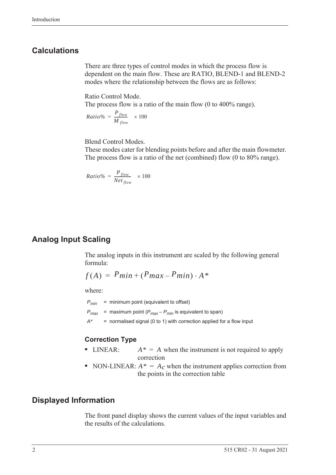### <span id="page-11-0"></span>**Calculations**

There are three types of control modes in which the process flow is dependent on the main flow. These are RATIO, BLEND-1 and BLEND-2 modes where the relationship between the flows are as follows:

Ratio Control Mode.

The process flow is a ratio of the main flow (0 to 400% range).

$$
Ratio\% = \frac{P_{flow}}{M_{flow}} \times 100
$$

Blend Control Modes.

These modes cater for blending points before and after the main flowmeter. The process flow is a ratio of the net (combined) flow (0 to 80% range).

$$
Ratio\% = \frac{P_{flow}}{Net_{flow}} \times 100
$$

### <span id="page-11-1"></span>**Analog Input Scaling**

The analog inputs in this instrument are scaled by the following general formula:

$$
f(A) = P_{min} + (P_{max} - P_{min}) \cdot A^*
$$

where:

*Pmin* = minimum point (equivalent to offset)

- $P_{\text{max}}$  = maximum point ( $P_{\text{max}} P_{\text{min}}$  is equivalent to span)
- *A\** = normalised signal (0 to 1) with correction applied for a flow input

#### **Correction Type**

- LINEAR:  $A^* = A$  when the instrument is not required to apply correction
- NON-LINEAR:  $A^* = A_c$  when the instrument applies correction from the points in the correction table

### <span id="page-11-2"></span>**Displayed Information**

The front panel display shows the current values of the input variables and the results of the calculations.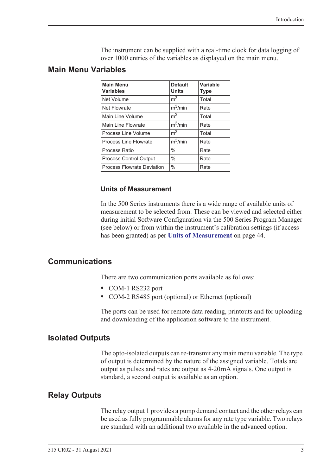The instrument can be supplied with a real-time clock for data logging of over 1000 entries of the variables as displayed on the main menu.

### <span id="page-12-0"></span>**Main Menu Variables**

| <b>Main Menu</b><br><b>Variables</b> | <b>Default</b><br><b>Units</b> | Variable<br><b>Type</b> |
|--------------------------------------|--------------------------------|-------------------------|
| Net Volume                           | m <sup>3</sup>                 | Total                   |
| <b>Net Flowrate</b>                  | $m^3/m$ in                     | Rate                    |
| Main Line Volume                     | m <sup>3</sup>                 | Total                   |
| Main Line Flowrate                   | $m^3/m$ in                     | Rate                    |
| Process Line Volume                  | m <sup>3</sup>                 | Total                   |
| <b>Process Line Flowrate</b>         | $m^3/m$ in                     | Rate                    |
| Process Ratio                        | $\%$                           | Rate                    |
| <b>Process Control Output</b>        | $\%$                           | Rate                    |
| <b>Process Flowrate Deviation</b>    | $\%$                           | Rate                    |

#### **Units of Measurement**

In the 500 Series instruments there is a wide range of available units of measurement to be selected from. These can be viewed and selected either during initial Software Configuration via the 500 Series Program Manager (see below) or from within the instrument's calibration settings (if access has been granted) as per **[Units of Measurement](#page-53-2)** on page 44.

### <span id="page-12-1"></span>**Communications**

There are two communication ports available as follows:

- **•** COM-1 RS232 port
- **•** COM-2 RS485 port (optional) or Ethernet (optional)

The ports can be used for remote data reading, printouts and for uploading and downloading of the application software to the instrument.

### <span id="page-12-2"></span>**Isolated Outputs**

The opto-isolated outputs can re-transmit any main menu variable. The type of output is determined by the nature of the assigned variable. Totals are output as pulses and rates are output as 4-20 mA signals. One output is standard, a second output is available as an option.

### <span id="page-12-3"></span>**Relay Outputs**

The relay output 1 provides a pump demand contact and the other relays can be used as fully programmable alarms for any rate type variable. Two relays are standard with an additional two available in the advanced option.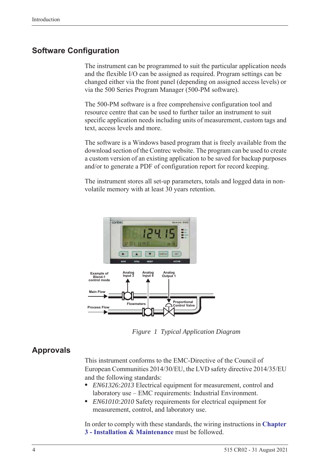### <span id="page-13-0"></span>**Software Configuration**

The instrument can be programmed to suit the particular application needs and the flexible I/O can be assigned as required. Program settings can be changed either via the front panel (depending on assigned access levels) or via the 500 Series Program Manager (500-PM software).

The 500-PM software is a free comprehensive configuration tool and resource centre that can be used to further tailor an instrument to suit specific application needs including units of measurement, custom tags and text, access levels and more.

The software is a Windows based program that is freely available from the download section of the Contrec website. The program can be used to create a custom version of an existing application to be saved for backup purposes and/or to generate a PDF of configuration report for record keeping.

The instrument stores all set-up parameters, totals and logged data in nonvolatile memory with at least 30 years retention.



*Figure 1 Typical Application Diagram*

### <span id="page-13-1"></span>**Approvals**

<span id="page-13-2"></span>This instrument conforms to the EMC-Directive of the Council of European Communities 2014/30/EU, the LVD safety directive 2014/35/EU and the following standards:

- **•** *EN61326:2013* Electrical equipment for measurement, control and laboratory use – EMC requirements: Industrial Environment.
- **•** *EN61010:2010* Safety requirements for electrical equipment for measurement, control, and laboratory use.

In order to comply with these standards, the wiring instructions in **[Chapter](#page-18-5)  [3 - Installation & Maintenance](#page-18-5)** must be followed.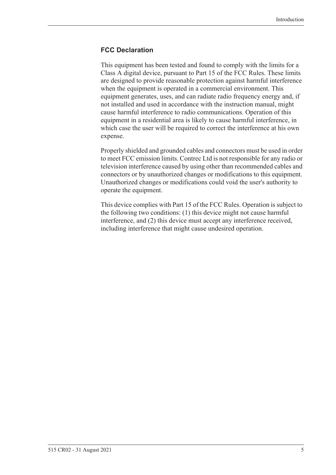### **FCC Declaration**

This equipment has been tested and found to comply with the limits for a Class A digital device, pursuant to Part 15 of the FCC Rules. These limits are designed to provide reasonable protection against harmful interference when the equipment is operated in a commercial environment. This equipment generates, uses, and can radiate radio frequency energy and, if not installed and used in accordance with the instruction manual, might cause harmful interference to radio communications. Operation of this equipment in a residential area is likely to cause harmful interference, in which case the user will be required to correct the interference at his own expense.

Properly shielded and grounded cables and connectors must be used in order to meet FCC emission limits. Contrec Ltd is not responsible for any radio or television interference caused by using other than recommended cables and connectors or by unauthorized changes or modifications to this equipment. Unauthorized changes or modifications could void the user's authority to operate the equipment.

This device complies with Part 15 of the FCC Rules. Operation is subject to the following two conditions: (1) this device might not cause harmful interference, and (2) this device must accept any interference received, including interference that might cause undesired operation.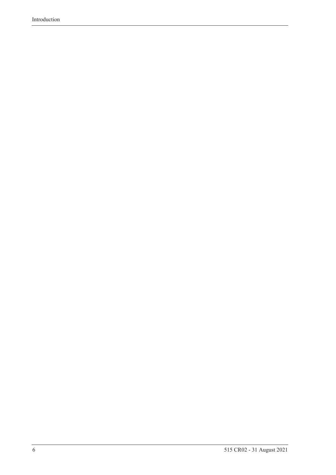Introduction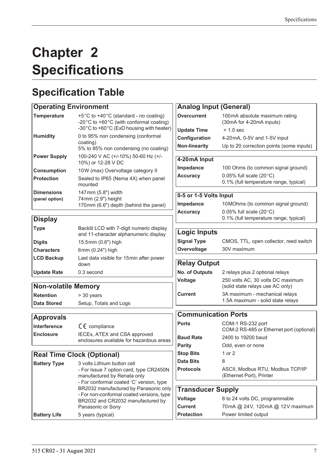# <span id="page-16-0"></span>**Chapter 2 Specifications**

## <span id="page-16-1"></span>**Specification Table**

| <b>Operating Environment</b>                                                                                               |                                                                                                                                                  | <b>Analog Input (General)</b>            |                                                                                                                  |
|----------------------------------------------------------------------------------------------------------------------------|--------------------------------------------------------------------------------------------------------------------------------------------------|------------------------------------------|------------------------------------------------------------------------------------------------------------------|
| <b>Temperature</b>                                                                                                         | +5°C to +40°C (standard - no coating)<br>-20 $\degree$ C to +60 $\degree$ C (with conformal coating)<br>-30°C to +60°C (ExD housing with heater) | <b>Overcurrent</b><br><b>Update Time</b> | 100 mA absolute maximum rating<br>(30mA for 4-20mA inputs)<br>$< 1.0$ sec                                        |
| <b>Humidity</b>                                                                                                            | 0 to 95% non condensing (conformal<br>coating)<br>5% to 85% non condensing (no coating)                                                          | Configuration<br><b>Non-linearity</b>    | 4-20mA, 0-5V and 1-5V input<br>Up to 20 correction points (some inputs)                                          |
| <b>Power Supply</b>                                                                                                        | 100-240 V AC (+/-10%) 50-60 Hz (+/-<br>10%) or 12-28 V DC                                                                                        | 4-20mA Input                             |                                                                                                                  |
| <b>Consumption</b><br><b>Protection</b>                                                                                    | 10W (max) Overvoltage category II<br>Sealed to IP65 (Nema 4X) when panel<br>mounted                                                              | Impedance<br><b>Accuracy</b>             | 100 Ohms (to common signal ground)<br>0.05% full scale $(20^{\circ}C)$<br>0.1% (full temperature range, typical) |
| <b>Dimensions</b><br>147 mm (5.8") width<br>74 mm (2.9") height<br>(panel option)<br>170mm (6.6") depth (behind the panel) |                                                                                                                                                  | 0-5 or 1-5 Volts Input<br>Impedance      | 10 MOhms (to common signal ground)                                                                               |
| <b>Display</b>                                                                                                             |                                                                                                                                                  | <b>Accuracy</b>                          | 0.05% full scale $(20^{\circ}C)$<br>0.1% (full temperature range, typical)                                       |
| <b>Type</b>                                                                                                                | Backlit LCD with 7-digit numeric display<br>and 11-character alphanumeric display                                                                | <b>Logic Inputs</b>                      |                                                                                                                  |
| <b>Digits</b>                                                                                                              | 15.5mm (0.6") high                                                                                                                               | <b>Signal Type</b>                       | CMOS, TTL, open collector, reed switch                                                                           |
| <b>Characters</b>                                                                                                          | 6mm (0.24") high                                                                                                                                 | Overvoltage                              | 30V maximum                                                                                                      |

#### **Relay Output**

| <b>No. of Outputs</b> | 2 relays plus 2 optional relays                                       |
|-----------------------|-----------------------------------------------------------------------|
| <b>Voltage</b>        | 250 volts AC, 30 volts DC maximum<br>(solid state relays use AC only) |
| <b>Current</b>        | 3A maximum - mechanical relays<br>1.5A maximum - solid state relays   |

### **Approvals Interference**  $\in$   $\in$  compliance **Enclosure IECEx, ATEX and CSA approved**

**LCD Backup** Last data visible for 15 min after power

down

**Data Stored** Setup, Totals and Logs

**Update Rate** 0.3 second

**Non-volatile Memory Retention** > 30 years

|         | enclosures available for hazardous areas |
|---------|------------------------------------------|
| :Iosure | IECEX, ATEX and CSA approved             |

| <b>Real Time Clock (Optional)</b> |                                                                                                                                                                                                                                                                                                   |  |
|-----------------------------------|---------------------------------------------------------------------------------------------------------------------------------------------------------------------------------------------------------------------------------------------------------------------------------------------------|--|
| <b>Battery Type</b>               | 3 volts Lithium button cell<br>- For Issue 7 option card, type CR2450N<br>manufactured by Renata only<br>- For conformal coated 'C' version, type<br>BR2032 manufactured by Panasonic only<br>- For non-conformal coated versions, type<br>BR2032 and CR2032 manufactured by<br>Panasonic or Sony |  |
| <b>Battery Life</b>               | 5 years (typical)                                                                                                                                                                                                                                                                                 |  |

### **Communication Ports**

| Taxaa xabaa xa Asaa ah s |                                                               |
|--------------------------|---------------------------------------------------------------|
|                          |                                                               |
|                          | (Ethernet Port), Printer                                      |
| <b>Protocols</b>         | ASCII, Modbus RTU, Modbus TCP/IP                              |
| Data Bits                | 8                                                             |
| <b>Stop Bits</b>         | 1 or 2                                                        |
| Parity                   | Odd, even or none                                             |
| <b>Baud Rate</b>         | 2400 to 19200 baud                                            |
| Ports                    | COM-1 RS-232 port<br>COM-2 RS-485 or Ethernet port (optional) |
|                          |                                                               |

| <b>Transducer Supply</b> |                                 |  |
|--------------------------|---------------------------------|--|
| Voltage                  | 8 to 24 volts DC, programmable  |  |
| <b>Current</b>           | 70mA @ 24V, 120mA @ 12V maximum |  |
| <b>Protection</b>        | Power limited output            |  |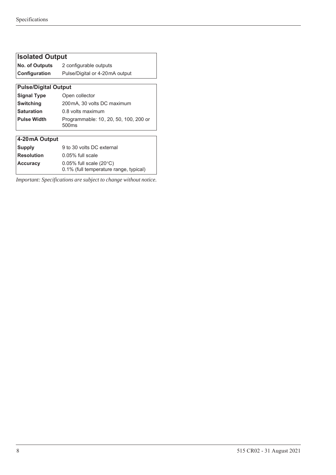| <b>Isolated Output</b>                          |                                                                                |  |
|-------------------------------------------------|--------------------------------------------------------------------------------|--|
| <b>No. of Outputs</b><br>2 configurable outputs |                                                                                |  |
| Configuration                                   | Pulse/Digital or 4-20 mA output                                                |  |
|                                                 |                                                                                |  |
| <b>Pulse/Digital Output</b>                     |                                                                                |  |
| <b>Signal Type</b><br>Open collector            |                                                                                |  |
| 200 mA, 30 volts DC maximum<br>Switching        |                                                                                |  |
| <b>Saturation</b>                               | 0.8 volts maximum                                                              |  |
| <b>Pulse Width</b>                              | Programmable: 10, 20, 50, 100, 200 or<br>500ms                                 |  |
|                                                 |                                                                                |  |
| 4-20mA Output                                   |                                                                                |  |
| Supply                                          | 9 to 30 volts DC external                                                      |  |
| <b>Resolution</b>                               | $0.05\%$ full scale                                                            |  |
| <b>Accuracy</b>                                 | $0.05\%$ full scale (20 $\degree$ C)<br>0.1% (full temperature range, typical) |  |

*Important: Specifications are subject to change without notice.*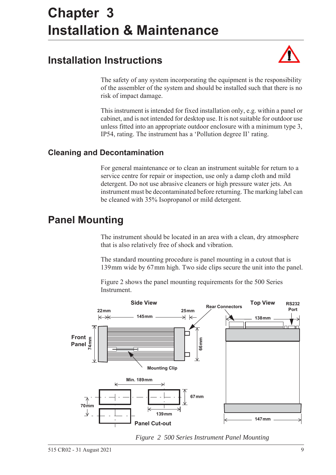# <span id="page-18-5"></span><span id="page-18-0"></span>**Chapter 3 Installation & Maintenance**

## <span id="page-18-1"></span>**Installation Instructions**



The safety of any system incorporating the equipment is the responsibility of the assembler of the system and should be installed such that there is no risk of impact damage.

This instrument is intended for fixed installation only, e.g. within a panel or cabinet, and is not intended for desktop use. It is not suitable for outdoor use unless fitted into an appropriate outdoor enclosure with a minimum type 3, IP54, rating. The instrument has a 'Pollution degree II' rating.

## <span id="page-18-2"></span>**Cleaning and Decontamination**

For general maintenance or to clean an instrument suitable for return to a service centre for repair or inspection, use only a damp cloth and mild detergent. Do not use abrasive cleaners or high pressure water jets. An instrument must be decontaminated before returning. The marking label can be cleaned with 35% Isopropanol or mild detergent.

## <span id="page-18-3"></span>**Panel Mounting**

The instrument should be located in an area with a clean, dry atmosphere that is also relatively free of shock and vibration.

The standard mounting procedure is panel mounting in a cutout that is 139 mm wide by 67 mm high. Two side clips secure the unit into the panel.

[Figure 2](#page-18-4) shows the panel mounting requirements for the 500 Series Instrument.



<span id="page-18-4"></span>*Figure 2 500 Series Instrument Panel Mounting*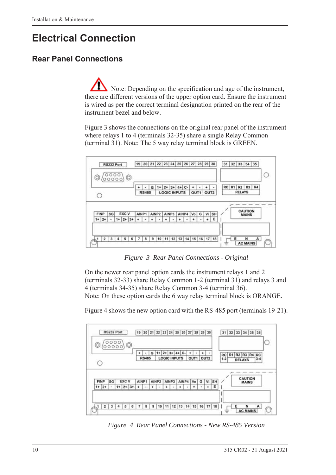## <span id="page-19-0"></span>**Electrical Connection**

## <span id="page-19-1"></span>**Rear Panel Connections**

Note: Depending on the specification and age of the instrument, there are different versions of the upper option card. Ensure the instrument is wired as per the correct terminal designation printed on the rear of the instrument bezel and below.

[Figure 3](#page-19-2) shows the connections on the original rear panel of the instrument where relays 1 to 4 (terminals 32-35) share a single Relay Common (terminal 31). Note: The 5 way relay terminal block is GREEN.



*Figure 3 Rear Panel Connections - Original*

<span id="page-19-2"></span>On the newer rear panel option cards the instrument relays 1 and 2 (terminals 32-33) share Relay Common 1-2 (terminal 31) and relays 3 and 4 (terminals 34-35) share Relay Common 3-4 (terminal 36). Note: On these option cards the 6 way relay terminal block is ORANGE.

[Figure 4](#page-19-3) shows the new option card with the RS-485 port (terminals 19-21).



<span id="page-19-3"></span>*Figure 4 Rear Panel Connections - New RS-485 Version*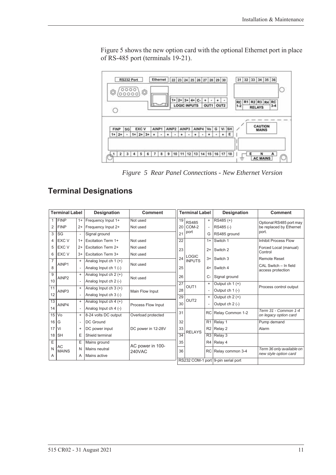[Figure 5](#page-20-1) shows the new option card with the optional Ethernet port in place of RS-485 port (terminals 19-21).



<span id="page-20-1"></span>*Figure 5 Rear Panel Connections - New Ethernet Version*

## <span id="page-20-0"></span>**Terminal Designations**

| <b>Terminal Label</b> |                    |                                                            | Designation               | <b>Comment</b>                    | <b>Terminal Label</b> |                  |                 | <b>Designation</b>                 | <b>Comment</b>                                     |
|-----------------------|--------------------|------------------------------------------------------------|---------------------------|-----------------------------------|-----------------------|------------------|-----------------|------------------------------------|----------------------------------------------------|
|                       | <b>FINP</b>        | $1+$                                                       | Frequency Input 1+        | Not used                          | 19                    | <b>RS485</b>     | $\ddot{}$       | RS485 (+)                          | Optional RS485 port may                            |
| 2                     | <b>FINP</b>        | $2+$                                                       | Frequency Input 2+        | Not used                          | 20                    | COM-2            |                 | RS485(-)                           | be replaced by Ethernet                            |
| 3                     | SG                 | $\overline{\phantom{a}}$                                   | Signal ground             |                                   | 21                    | port             | G               | RS485 ground                       | port.                                              |
| 4                     | EXC V              | $1+$                                                       | <b>Excitation Term 1+</b> | Not used                          | 22                    |                  | $1+$            | Switch 1                           | <b>Inhibit Process Flow</b>                        |
| 5                     | EXC V              | $2+$                                                       | <b>Excitation Term 2+</b> | Not used                          | 23                    |                  | $2+$            | Switch 2                           | Forced Local (manual)<br>Control                   |
| 6                     | EXC V              | $3+$                                                       | Excitation Term 3+        | Not used                          |                       | <b>LOGIC</b>     | $3+$<br>$4+$    |                                    |                                                    |
| 7                     | AINP1              | $\ddot{}$                                                  | Analog Input ch $1 (+)$   | Not used                          | 24                    | <b>INPUTS</b>    |                 | Switch 3                           | <b>Remote Reset</b>                                |
| 8                     |                    | $\overline{\phantom{a}}$                                   | Analog Input ch 1 (-)     |                                   | 25                    |                  |                 | Switch 4                           | CAL Switch - In field<br>access protection         |
| 9                     | AINP <sub>2</sub>  | $\ddot{}$                                                  | Analog Input ch $2 (+)$   | 26<br>Not used                    |                       | $C-$             | Signal ground   |                                    |                                                    |
| 10                    |                    |                                                            | Analog Input ch 2 (-)     |                                   | 27                    |                  | $\ddot{}$       | Output ch $1 (+)$                  |                                                    |
| 11                    | AINP3              | $\ddot{}$                                                  | Analog Input $ch 3 (+)$   | Main Flow Input                   | 28                    | OUT <sub>1</sub> |                 | Output ch 1 (-)                    | Process control output                             |
| 12                    |                    |                                                            | Analog Input ch 3 (-)     |                                   | 29                    |                  | $\ddot{}$       | Output ch $2 (+)$                  |                                                    |
| 13                    | AINP4              | Analog Input ch $4 (+)$<br>$\ddot{}$<br>Process Flow Input | 30                        | OUT <sub>2</sub>                  |                       | Output ch 2 (-)  |                 |                                    |                                                    |
| 14                    |                    |                                                            | Analog Input ch 4 (-)     |                                   |                       |                  |                 |                                    | Term 31 - Common 1-4                               |
| 15                    | Vo                 | $\ddot{}$                                                  | 8-24 volts DC output      | Overload protected                |                       | 31               | <b>RC</b>       | Relay Common 1-2                   | on legacy option card                              |
| 16                    | G                  | $\overline{\phantom{a}}$                                   | <b>DC</b> Ground          |                                   | 32                    |                  | R1              | Relay 1                            | Pump demand                                        |
| 17                    | Vi                 | $\ddot{}$                                                  | DC power input            | DC power in 12-28V                | 33                    | <b>RELAYS</b>    | R2              | Relay 2                            | Alarm                                              |
| 18                    | <b>SH</b>          | E                                                          | Shield terminal           |                                   | $\overline{34}$       |                  | R <sub>3</sub>  | Relay 3                            |                                                    |
| E                     |                    | E<br>Mains ground                                          | 35                        |                                   | R <sub>4</sub>        | Relay 4          |                 |                                    |                                                    |
| N                     | AC<br><b>MAINS</b> | N                                                          | Mains neutral             | AC power in 100-<br><b>240VAC</b> |                       | 36               | RC <sub>1</sub> | Relay common 3-4                   | Term 36 only available on<br>new style option card |
| A                     |                    | Α                                                          | Mains active              |                                   |                       |                  |                 |                                    |                                                    |
|                       |                    |                                                            |                           |                                   |                       |                  |                 | RS232 COM-1 port 9-pin serial port |                                                    |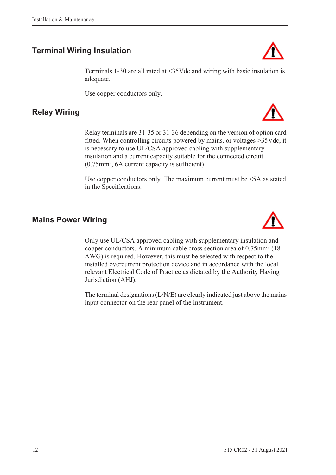## <span id="page-21-0"></span>**Terminal Wiring Insulation**

Terminals 1-30 are all rated at <35Vdc and wiring with basic insulation is adequate.

Use copper conductors only.

## <span id="page-21-1"></span>**Relay Wiring**

Relay terminals are 31-35 or 31-36 depending on the version of option card fitted. When controlling circuits powered by mains, or voltages >35Vdc, it is necessary to use UL/CSA approved cabling with supplementary insulation and a current capacity suitable for the connected circuit. (0.75mm², 6A current capacity is sufficient).

Use copper conductors only. The maximum current must be  $\leq 5A$  as stated in the Specifications.

## <span id="page-21-2"></span>**Mains Power Wiring**

Only use UL/CSA approved cabling with supplementary insulation and copper conductors. A minimum cable cross section area of 0.75mm² (18 AWG) is required. However, this must be selected with respect to the installed overcurrent protection device and in accordance with the local relevant Electrical Code of Practice as dictated by the Authority Having Jurisdiction (AHJ).

The terminal designations (L/N/E) are clearly indicated just above the mains input connector on the rear panel of the instrument.



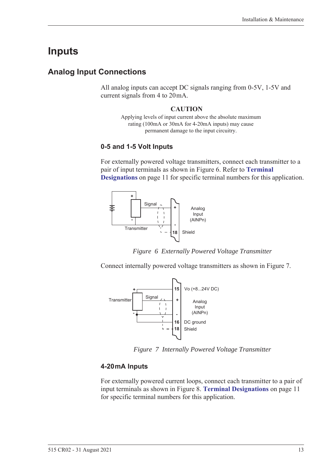## <span id="page-22-0"></span>**Inputs**

### <span id="page-22-1"></span>**Analog Input Connections**

All analog inputs can accept DC signals ranging from 0-5V, 1-5V and current signals from 4 to 20 mA.

#### **CAUTION**

Applying levels of input current above the absolute maximum rating (100mA or 30mA for 4-20mA inputs) may cause permanent damage to the input circuitry.

#### **0-5 and 1-5 Volt Inputs**

For externally powered voltage transmitters, connect each transmitter to a pair of input terminals as shown in [Figure 6.](#page-22-2) Refer to **[Terminal](#page-20-0)  [Designations](#page-20-0)** on page 11 for specific terminal numbers for this application.



*Figure 6 Externally Powered Voltage Transmitter*

<span id="page-22-2"></span>Connect internally powered voltage transmitters as shown in [Figure 7.](#page-22-3)



*Figure 7 Internally Powered Voltage Transmitter*

#### <span id="page-22-3"></span>**4-20 mA Inputs**

For externally powered current loops, connect each transmitter to a pair of input terminals as shown in [Figure 8.](#page-23-1) **[Terminal Designations](#page-20-0)** on page 11 for specific terminal numbers for this application.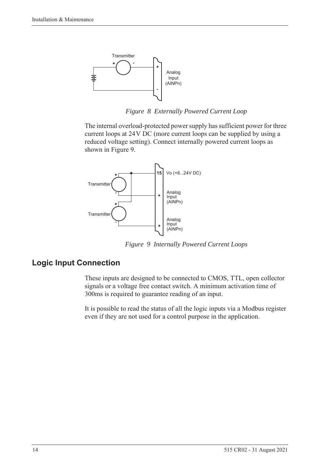

*Figure 8 Externally Powered Current Loop*

<span id="page-23-1"></span>The internal overload-protected power supply has sufficient power for three current loops at 24 V DC (more current loops can be supplied by using a reduced voltage setting). Connect internally powered current loops as shown in [Figure 9](#page-23-2).



*Figure 9 Internally Powered Current Loops*

### <span id="page-23-0"></span>**Logic Input Connection**

<span id="page-23-2"></span>These inputs are designed to be connected to CMOS, TTL, open collector signals or a voltage free contact switch. A minimum activation time of 300ms is required to guarantee reading of an input.

It is possible to read the status of all the logic inputs via a Modbus register even if they are not used for a control purpose in the application.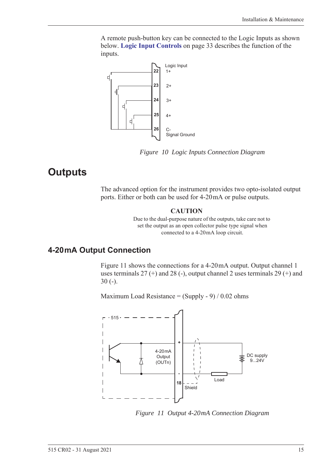A remote push-button key can be connected to the Logic Inputs as shown below. **[Logic Input Controls](#page-42-2)** on page 33 describes the function of the inputs.



*Figure 10 Logic Inputs Connection Diagram*

## <span id="page-24-0"></span>**Outputs**

<span id="page-24-2"></span>The advanced option for the instrument provides two opto-isolated output ports. Either or both can be used for 4-20 mA or pulse outputs.

#### **CAUTION**

Due to the dual-purpose nature of the outputs, take care not to set the output as an open collector pulse type signal when connected to a 4-20mA loop circuit.

### <span id="page-24-1"></span>**4-20 mA Output Connection**

[Figure 11](#page-24-3) shows the connections for a 4-20 mA output. Output channel 1 uses terminals  $27 (+)$  and  $28 (-)$ , output channel 2 uses terminals  $29 (+)$  and 30 (-).

Maximum Load Resistance =  $(Supply - 9) / 0.02$  ohms



<span id="page-24-3"></span>*Figure 11 Output 4-20 mA Connection Diagram*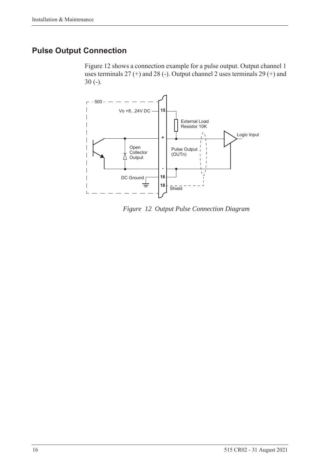## <span id="page-25-0"></span>**Pulse Output Connection**

[Figure 12](#page-25-1) shows a connection example for a pulse output. Output channel 1 uses terminals 27 (+) and 28 (-). Output channel 2 uses terminals 29 (+) and 30 (-).



<span id="page-25-1"></span>*Figure 12 Output Pulse Connection Diagram*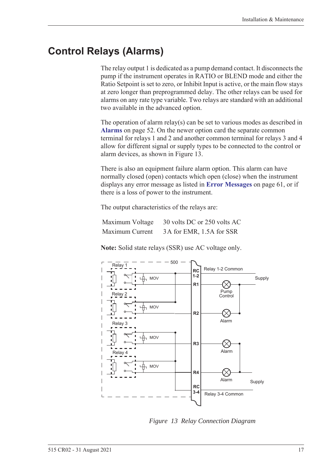## <span id="page-26-0"></span>**Control Relays (Alarms)**

The relay output 1 is dedicated as a pump demand contact. It disconnects the pump if the instrument operates in RATIO or BLEND mode and either the Ratio Setpoint is set to zero, or Inhibit Input is active, or the main flow stays at zero longer than preprogrammed delay. The other relays can be used for alarms on any rate type variable. Two relays are standard with an additional two available in the advanced option.

The operation of alarm relay(s) can be set to various modes as described in **Alarms** [on page 52](#page-61-1). On the newer option card the separate common terminal for relays 1 and 2 and another common terminal for relays 3 and 4 allow for different signal or supply types to be connected to the control or alarm devices, as shown in [Figure 13.](#page-26-1)

There is also an equipment failure alarm option. This alarm can have normally closed (open) contacts which open (close) when the instrument displays any error message as listed in **[Error Messages](#page-70-2)** on page 61, or if there is a loss of power to the instrument.

The output characteristics of the relays are:

| Maximum Voltage | 30 volts DC or 250 volts AC              |
|-----------------|------------------------------------------|
|                 | Maximum Current 3A for EMR, 1.5A for SSR |

**Note:** Solid state relays (SSR) use AC voltage only.



<span id="page-26-1"></span>*Figure 13 Relay Connection Diagram*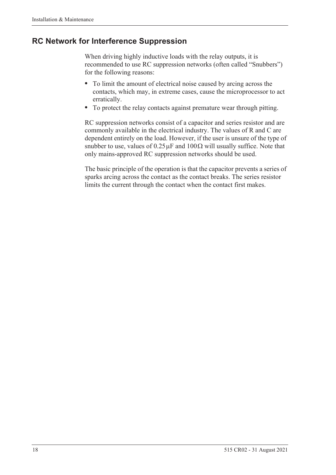## <span id="page-27-0"></span>**RC Network for Interference Suppression**

When driving highly inductive loads with the relay outputs, it is recommended to use RC suppression networks (often called "Snubbers") for the following reasons:

- **•** To limit the amount of electrical noise caused by arcing across the contacts, which may, in extreme cases, cause the microprocessor to act erratically.
- **•** To protect the relay contacts against premature wear through pitting.

RC suppression networks consist of a capacitor and series resistor and are commonly available in the electrical industry. The values of R and C are dependent entirely on the load. However, if the user is unsure of the type of snubber to use, values of  $0.25 \mu$ F and  $100 \Omega$  will usually suffice. Note that only mains-approved RC suppression networks should be used.

The basic principle of the operation is that the capacitor prevents a series of sparks arcing across the contact as the contact breaks. The series resistor limits the current through the contact when the contact first makes.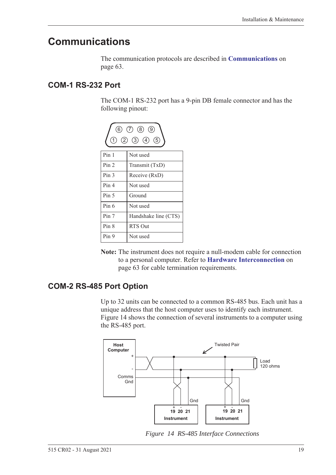## <span id="page-28-0"></span>**Communications**

The communication protocols are described in **[Communications](#page-72-4)** on [page 63](#page-72-4).

### <span id="page-28-1"></span>**COM-1 RS-232 Port**

The COM-1 RS-232 port has a 9-pin DB female connector and has the following pinout:



**Note:** The instrument does not require a null-modem cable for connection to a personal computer. Refer to **[Hardware Interconnection](#page-72-5)** on [page 63](#page-72-5) for cable termination requirements.

### <span id="page-28-2"></span>**COM-2 RS-485 Port Option**

Up to 32 units can be connected to a common RS-485 bus. Each unit has a unique address that the host computer uses to identify each instrument. [Figure 14](#page-28-3) shows the connection of several instruments to a computer using the RS-485 port.



<span id="page-28-3"></span>*Figure 14 RS-485 Interface Connections*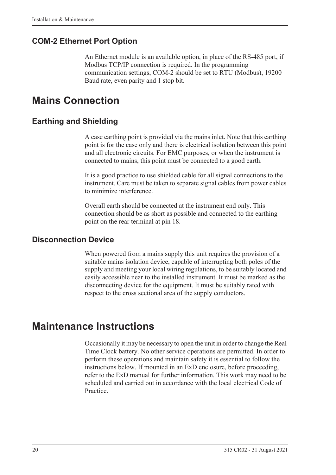### <span id="page-29-0"></span>**COM-2 Ethernet Port Option**

An Ethernet module is an available option, in place of the RS-485 port, if Modbus TCP/IP connection is required. In the programming communication settings, COM-2 should be set to RTU (Modbus), 19200 Baud rate, even parity and 1 stop bit.

## <span id="page-29-1"></span>**Mains Connection**

### <span id="page-29-2"></span>**Earthing and Shielding**

A case earthing point is provided via the mains inlet. Note that this earthing point is for the case only and there is electrical isolation between this point and all electronic circuits. For EMC purposes, or when the instrument is connected to mains, this point must be connected to a good earth.

It is a good practice to use shielded cable for all signal connections to the instrument. Care must be taken to separate signal cables from power cables to minimize interference.

Overall earth should be connected at the instrument end only. This connection should be as short as possible and connected to the earthing point on the rear terminal at pin 18.

### <span id="page-29-3"></span>**Disconnection Device**

When powered from a mains supply this unit requires the provision of a suitable mains isolation device, capable of interrupting both poles of the supply and meeting your local wiring regulations, to be suitably located and easily accessible near to the installed instrument. It must be marked as the disconnecting device for the equipment. It must be suitably rated with respect to the cross sectional area of the supply conductors.

## <span id="page-29-4"></span>**Maintenance Instructions**

Occasionally it may be necessary to open the unit in order to change the Real Time Clock battery. No other service operations are permitted. In order to perform these operations and maintain safety it is essential to follow the instructions below. If mounted in an ExD enclosure, before proceeding, refer to the ExD manual for further information. This work may need to be scheduled and carried out in accordance with the local electrical Code of Practice.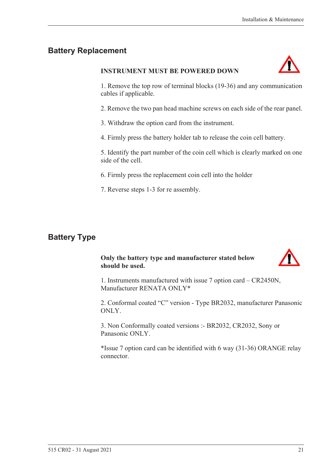### <span id="page-30-0"></span>**Battery Replacement**

#### **INSTRUMENT MUST BE POWERED DOWN**



1. Remove the top row of terminal blocks (19-36) and any communication cables if applicable.

2. Remove the two pan head machine screws on each side of the rear panel.

3. Withdraw the option card from the instrument.

4. Firmly press the battery holder tab to release the coin cell battery.

5. Identify the part number of the coin cell which is clearly marked on one side of the cell.

6. Firmly press the replacement coin cell into the holder

7. Reverse steps 1-3 for re assembly.

## <span id="page-30-1"></span>**Battery Type**

#### **Only the battery type and manufacturer stated below should be used.**



1. Instruments manufactured with issue 7 option card – CR2450N, Manufacturer RENATA ONLY\*

2. Conformal coated "C" version - Type BR2032, manufacturer Panasonic ONLY.

3. Non Conformally coated versions :- BR2032, CR2032, Sony or Panasonic ONLY.

\*Issue 7 option card can be identified with 6 way (31-36) ORANGE relay connector.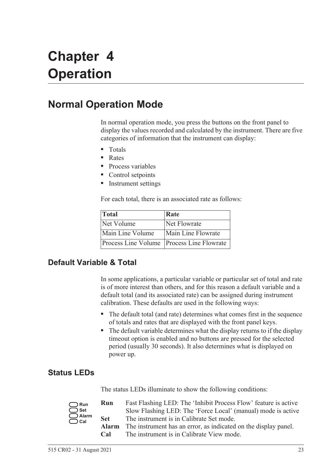# <span id="page-32-0"></span>**Chapter 4 Operation**

## <span id="page-32-1"></span>**Normal Operation Mode**

In normal operation mode, you press the buttons on the front panel to display the values recorded and calculated by the instrument. There are five categories of information that the instrument can display:

- **•** Totals
- **•** Rates
- **•** Process variables
- **•** Control setpoints
- **•** Instrument settings

For each total, there is an associated rate as follows:

| <b>Total</b>     | Rate                                             |
|------------------|--------------------------------------------------|
| Net Volume       | Net Flowrate                                     |
| Main Line Volume | Main Line Flowrate                               |
|                  | <b>Process Line Volume Process Line Flowrate</b> |

### <span id="page-32-2"></span>**Default Variable & Total**

In some applications, a particular variable or particular set of total and rate is of more interest than others, and for this reason a default variable and a default total (and its associated rate) can be assigned during instrument calibration. These defaults are used in the following ways:

- **•** The default total (and rate) determines what comes first in the sequence of totals and rates that are displayed with the front panel keys.
- **•** The default variable determines what the display returns to if the display timeout option is enabled and no buttons are pressed for the selected period (usually 30 seconds). It also determines what is displayed on power up.

### <span id="page-32-3"></span>**Status LEDs**

The status LEDs illuminate to show the following conditions:

| $\bigcap$ Run                            | Run        | Fast Flashing LED: The 'Inhibit Process Flow' feature is active |
|------------------------------------------|------------|-----------------------------------------------------------------|
| $\bigcirc$ Set                           |            | Slow Flashing LED: The 'Force Local' (manual) mode is active    |
| $\bigcirc$ Alarm<br>$\bar{\bigcirc}$ Cal | <b>Set</b> | The instrument is in Calibrate Set mode.                        |
|                                          | Alarm      | The instrument has an error, as indicated on the display panel. |
|                                          | Cal        | The instrument is in Calibrate View mode.                       |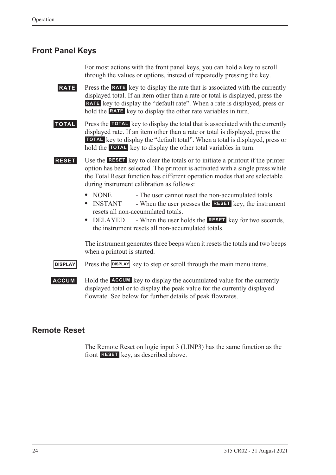### <span id="page-33-0"></span>**Front Panel Keys**

For most actions with the front panel keys, you can hold a key to scroll through the values or options, instead of repeatedly pressing the key.

**RATE** Press the **RATE** key to display the rate that is associated with the currently displayed total. If an item other than a rate or total is displayed, press the RATE key to display the "default rate". When a rate is displayed, press or hold the **RATE** key to display the other rate variables in turn.

**TOTAL** Press the TOTAL key to display the total that is associated with the currently displayed rate. If an item other than a rate or total is displayed, press the **TOTAL** key to display the "default total". When a total is displayed, press or hold the **TOTAL** key to display the other total variables in turn.

**RESET** Use the **RESET** key to clear the totals or to initiate a printout if the printer option has been selected. The printout is activated with a single press while the Total Reset function has different operation modes that are selectable during instrument calibration as follows:

- NONE The user cannot reset the non-accumulated totals.
- INSTANT When the user presses the **RESET** key, the instrument resets all non-accumulated totals.
- DELAYED When the user holds the **RESET** key for two seconds, the instrument resets all non-accumulated totals.

The instrument generates three beeps when it resets the totals and two beeps when a printout is started.

**DISPLAY** Press the **DISPLAY** key to step or scroll through the main menu items.

**ACCUM** Hold the **ACCUM** key to display the accumulated value for the currently displayed total or to display the peak value for the currently displayed flowrate. See below for further details of peak flowrates.

### <span id="page-33-1"></span>**Remote Reset**

The Remote Reset on logic input 3 (LINP3) has the same function as the front **RESET** key, as described above.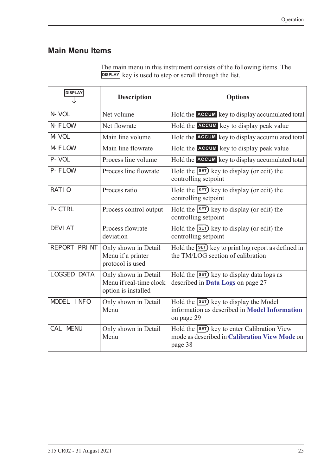## <span id="page-34-0"></span>**Main Menu Items**

| <b>DISPLAY</b>    | <b>Description</b>                                                     | <b>Options</b>                                                                                                  |
|-------------------|------------------------------------------------------------------------|-----------------------------------------------------------------------------------------------------------------|
| $N-VOL$           | Net volume                                                             | Hold the <b>ACCUM</b> key to display accumulated total                                                          |
| N-FLOW            | Net flowrate                                                           | Hold the ACCUM key to display peak value                                                                        |
| M-VOL             | Main line volume                                                       | Hold the ACCUM key to display accumulated total                                                                 |
| M-FLOW            | Main line flowrate                                                     | Hold the <b>ACCUM</b> key to display peak value                                                                 |
| $P-VOL$           | Process line volume                                                    | Hold the ACCUM key to display accumulated total                                                                 |
| P-FLOW            | Process line flowrate                                                  | Hold the SET) key to display (or edit) the<br>controlling setpoint                                              |
| RATI <sub>0</sub> | Process ratio                                                          | Hold the SET key to display (or edit) the<br>controlling setpoint                                               |
| P-CTRL            | Process control output                                                 | Hold the SET) key to display (or edit) the<br>controlling setpoint                                              |
| <b>DEVIAT</b>     | Process flowrate<br>deviation                                          | Hold the $\overline{\text{set}}$ key to display (or edit) the<br>controlling setpoint                           |
| REPORT PRINT      | Only shown in Detail<br>Menu if a printer<br>protocol is used          | Hold the SET key to print log report as defined in<br>the TM/LOG section of calibration                         |
| LOGGED DATA       | Only shown in Detail<br>Menu if real-time clock<br>option is installed | Hold the $\left[$ set $\right]$ key to display data logs as<br>described in Data Logs on page 27                |
| MODEL INFO        | Only shown in Detail<br>Menu                                           | Hold the <b>SET</b> ) key to display the Model<br>information as described in Model Information<br>on page 29   |
| CAL MENU          | Only shown in Detail<br>Menu                                           | Hold the <b>SET</b> ) key to enter Calibration View<br>mode as described in Calibration View Mode on<br>page 38 |

The main menu in this instrument consists of the following items. The **DISPLAY** key is used to step or scroll through the list.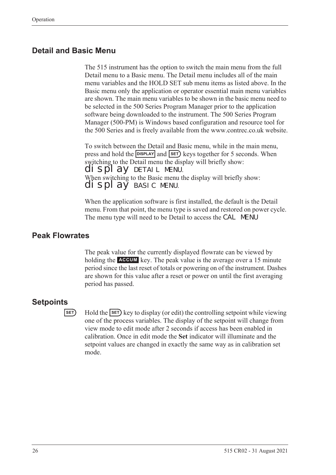## <span id="page-35-0"></span>**Detail and Basic Menu**

The 515 instrument has the option to switch the main menu from the full Detail menu to a Basic menu. The Detail menu includes all of the main menu variables and the HOLD SET sub menu items as listed above. In the Basic menu only the application or operator essential main menu variables are shown. The main menu variables to be shown in the basic menu need to be selected in the 500 Series Program Manager prior to the application software being downloaded to the instrument. The 500 Series Program Manager (500-PM) is Windows based configuration and resource tool for the 500 Series and is freely available from the www.contrec.co.uk website.

To switch between the Detail and Basic menu, while in the main menu, press and hold the **DISPLAY** and **SET**) keys together for 5 seconds. When switching to the Detail menu the display will briefly show: display DETAIL MENU. When switching to the Basic menu the display will briefly show: display BASIC MENU.

When the application software is first installed, the default is the Detail menu. From that point, the menu type is saved and restored on power cycle. The menu type will need to be Detail to access the CAL MENU

### <span id="page-35-1"></span>**Peak Flowrates**

The peak value for the currently displayed flowrate can be viewed by holding the **ACCUM** key. The peak value is the average over a 15 minute period since the last reset of totals or powering on of the instrument. Dashes are shown for this value after a reset or power on until the first averaging period has passed.

## <span id="page-35-2"></span>**Setpoints**

**EXET** Hold the **SET** key to display (or edit) the controlling setpoint while viewing one of the process variables. The display of the setpoint will change from view mode to edit mode after 2 seconds if access has been enabled in calibration. Once in edit mode the **Set** indicator will illuminate and the setpoint values are changed in exactly the same way as in calibration set mode.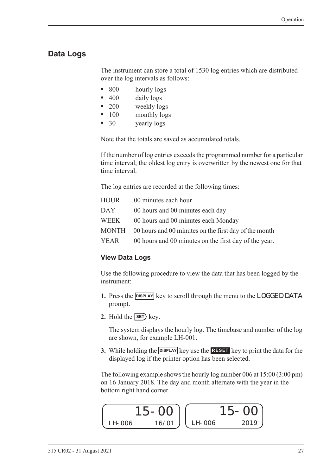#### **Data Logs**

The instrument can store a total of 1530 log entries which are distributed over the log intervals as follows:

- 800 hourly logs
- 400 daily logs
- **•** 200 weekly logs
- **•** 100 monthly logs
- 30 yearly logs

Note that the totals are saved as accumulated totals.

If the number of log entries exceeds the programmed number for a particular time interval, the oldest log entry is overwritten by the newest one for that time interval.

The log entries are recorded at the following times:

|      | HOUR 00 minutes each hour                                   |
|------|-------------------------------------------------------------|
| DAY  | 00 hours and 00 minutes each day                            |
| WEEK | 00 hours and 00 minutes each Monday                         |
|      | MONTH 00 hours and 00 minutes on the first day of the month |
| YEAR | 00 hours and 00 minutes on the first day of the year.       |

#### **View Data Logs**

Use the following procedure to view the data that has been logged by the instrument:

- **1.** Press the **DISPLAY** key to scroll through the menu to the LOGGED DATA prompt.
- **2.** Hold the  $\overline{\text{SET}}$  key.

The system displays the hourly log. The timebase and number of the log are shown, for example LH-001.

**3.** While holding the **DISPLAY** key use the **RESET** key to print the data for the displayed log if the printer option has been selected.

The following example shows the hourly log number 006 at 15:00 (3:00 pm) on 16 January 2018. The day and month alternate with the year in the bottom right hand corner.

$$
\begin{array}{|c|c|c|}\n\hline\n15-00 \\
\hline\n16-006 & 16/01\n\end{array}\n\begin{array}{|c|c|}\n\hline\n15-00 \\
\hline\n\end{array}
$$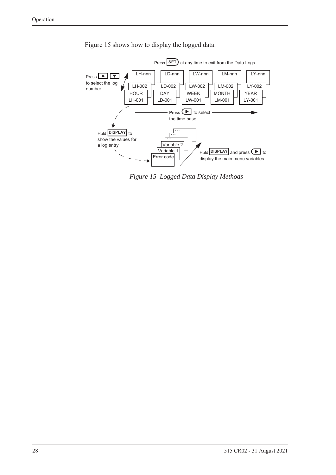

[Figure 15](#page-37-0) shows how to display the logged data.

<span id="page-37-0"></span>*Figure 15 Logged Data Display Methods*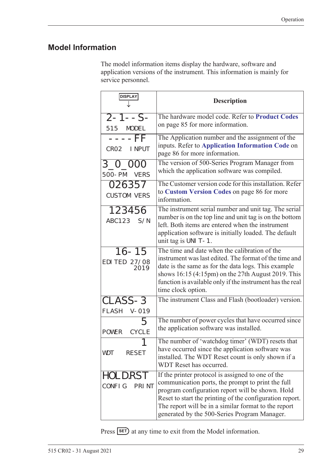# <span id="page-38-0"></span>**Model Information**

The model information items display the hardware, software and application versions of the instrument. This information is mainly for service personnel.

| <b>DISPLAY</b>                     | <b>Description</b>                                                                                                                                                                                                                                                                                                             |  |  |
|------------------------------------|--------------------------------------------------------------------------------------------------------------------------------------------------------------------------------------------------------------------------------------------------------------------------------------------------------------------------------|--|--|
| $2 - 1 - -5 -$<br>515 MODEL        | The hardware model code. Refer to Product Codes<br>on page 85 for more information.                                                                                                                                                                                                                                            |  |  |
| $--FF$<br>CRO2 INPUT               | The Application number and the assignment of the<br>inputs. Refer to Application Information Code on<br>page 86 for more information.                                                                                                                                                                                          |  |  |
| 3 0 000<br>500-PM<br><b>VERS</b>   | The version of 500-Series Program Manager from<br>which the application software was compiled.                                                                                                                                                                                                                                 |  |  |
| 026357<br><b>CUSTOM VERS</b>       | The Customer version code for this installation. Refer<br>to Custom Version Codes on page 86 for more<br>information.                                                                                                                                                                                                          |  |  |
| 123456<br>ABC123 S/N               | The instrument serial number and unit tag. The serial<br>number is on the top line and unit tag is on the bottom<br>left. Both items are entered when the instrument<br>application software is initially loaded. The default<br>unit tag is UNI T-1.                                                                          |  |  |
| $16 - 15$<br>EDI TED 27/08<br>2019 | The time and date when the calibration of the<br>instrument was last edited. The format of the time and<br>date is the same as for the data logs. This example<br>shows $16:15$ (4:15pm) on the 27th August 2019. This<br>function is available only if the instrument has the real<br>time clock option.                      |  |  |
| CLASS-3<br>FLASH V-019             | The instrument Class and Flash (bootloader) version.                                                                                                                                                                                                                                                                           |  |  |
| <b>CYCLE</b><br>POWER              | The number of power cycles that have occurred since<br>the application software was installed.                                                                                                                                                                                                                                 |  |  |
| <b>RESET</b><br>WDT                | The number of 'watchdog timer' (WDT) resets that<br>have occurred since the application software was<br>installed. The WDT Reset count is only shown if a<br>WDT Reset has occurred.                                                                                                                                           |  |  |
| <b>CONFIG</b><br><b>PRINT</b>      | If the printer protocol is assigned to one of the<br>communication ports, the prompt to print the full<br>program configuration report will be shown. Hold<br>Reset to start the printing of the configuration report.<br>The report will be in a similar format to the report<br>generated by the 500-Series Program Manager. |  |  |

Press **SET**) at any time to exit from the Model information.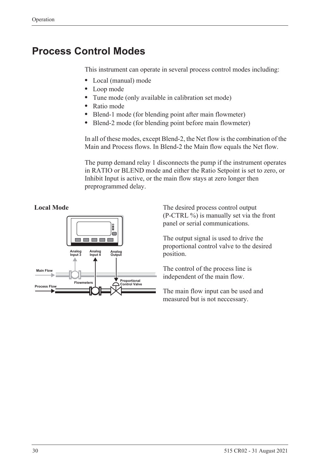# <span id="page-39-0"></span>**Process Control Modes**

This instrument can operate in several process control modes including:

- **•** Local (manual) mode
- **•** Loop mode
- **•** Tune mode (only available in calibration set mode)
- **•** Ratio mode
- **•** Blend-1 mode (for blending point after main flowmeter)
- **•** Blend-2 mode (for blending point before main flowmeter)

In all of these modes, except Blend-2, the Net flow is the combination of the Main and Process flows. In Blend-2 the Main flow equals the Net flow.

The pump demand relay 1 disconnects the pump if the instrument operates in RATIO or BLEND mode and either the Ratio Setpoint is set to zero, or Inhibit Input is active, or the main flow stays at zero longer then preprogrammed delay.





**Local Mode** The desired process control output (P-CTRL %) is manually set via the front panel or serial communications.

> The output signal is used to drive the proportional control valve to the desired position.

The control of the process line is independent of the main flow.

The main flow input can be used and measured but is not neccessary.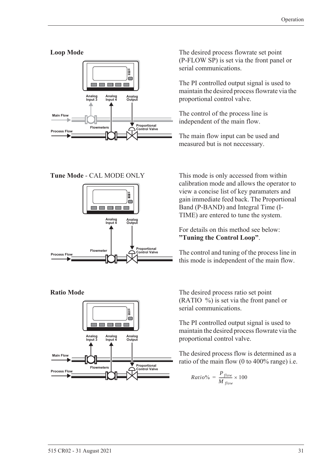





**Loop Mode** The desired process flowrate set point (P-FLOW SP) is set via the front panel or serial communications.

> The PI controlled output signal is used to maintain the desired process flowrate via the proportional control valve.

The control of the process line is independent of the main flow.

The main flow input can be used and measured but is not neccessary.

**Tune Mode** - CAL MODE ONLY This mode is only accessed from within calibration mode and allows the operator to view a concise list of key paramaters and gain immediate feed back. The Proportional Band (P-BAND) and Integral Time (I-TIME) are entered to tune the system.

> For details on this method see below: **"Tuning the Control Loop"**.

The control and tuning of the process line in this mode is independent of the main flow.

**Ratio Mode** The desired process ratio set point (RATIO %) is set via the front panel or serial communications.

> The PI controlled output signal is used to maintain the desired process flowrate via the proportional control valve.

> The desired process flow is determined as a ratio of the main flow (0 to 400% range) i.e.

$$
Ratio\% = \frac{P_{flow}}{M_{flow}} \times 100
$$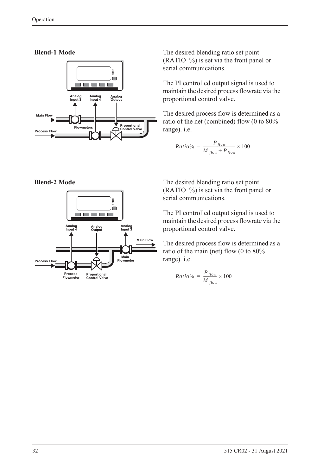

**Blend-1 Mode** The desired blending ratio set point (RATIO %) is set via the front panel or serial communications.

> The PI controlled output signal is used to maintain the desired process flowrate via the proportional control valve.

> The desired process flow is determined as a ratio of the net (combined) flow (0 to 80% range). i.e.

$$
Ratio\% = \frac{P_{flow}}{M_{flow} + P_{flow}} \times 100
$$

**Blend-2 Mode** The desired blending ratio set point (RATIO %) is set via the front panel or serial communications.

> The PI controlled output signal is used to maintain the desired process flowrate via the proportional control valve.

> The desired process flow is determined as a ratio of the main (net) flow (0 to 80% range). i.e.

$$
Ratio\% = \frac{P_{flow}}{M_{flow}} \times 100
$$

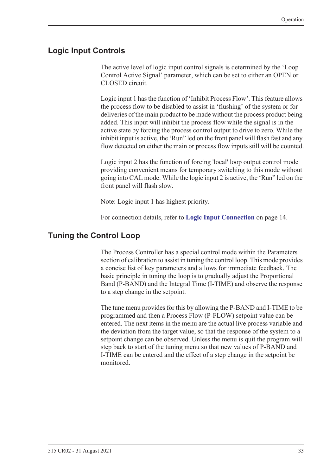#### **Logic Input Controls**

The active level of logic input control signals is determined by the 'Loop Control Active Signal' parameter, which can be set to either an OPEN or CLOSED circuit.

Logic input 1 has the function of 'Inhibit Process Flow'. This feature allows the process flow to be disabled to assist in 'flushing' of the system or for deliveries of the main product to be made without the process product being added. This input will inhibit the process flow while the signal is in the active state by forcing the process control output to drive to zero. While the inhibit input is active, the 'Run" led on the front panel will flash fast and any flow detected on either the main or process flow inputs still will be counted.

Logic input 2 has the function of forcing 'local' loop output control mode providing convenient means for temporary switching to this mode without going into CAL mode. While the logic input 2 is active, the 'Run" led on the front panel will flash slow.

Note: Logic input 1 has highest priority.

For connection details, refer to **[Logic Input Connection](#page-23-0)** on page 14.

#### <span id="page-42-0"></span>**Tuning the Control Loop**

The Process Controller has a special control mode within the Parameters section of calibration to assist in tuning the control loop. This mode provides a concise list of key parameters and allows for immediate feedback. The basic principle in tuning the loop is to gradually adjust the Proportional Band (P-BAND) and the Integral Time (I-TIME) and observe the response to a step change in the setpoint.

The tune menu provides for this by allowing the P-BAND and I-TIME to be programmed and then a Process Flow (P-FLOW) setpoint value can be entered. The next items in the menu are the actual live process variable and the deviation from the target value, so that the response of the system to a setpoint change can be observed. Unless the menu is quit the program will step back to start of the tuning menu so that new values of P-BAND and I-TIME can be entered and the effect of a step change in the setpoint be monitored.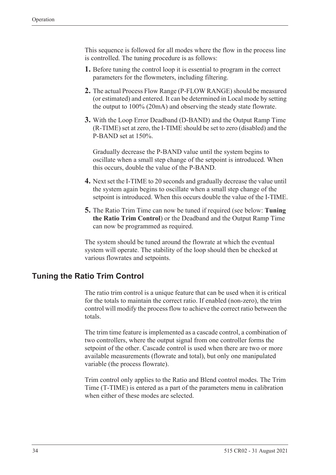This sequence is followed for all modes where the flow in the process line is controlled. The tuning procedure is as follows:

- **1.** Before tuning the control loop it is essential to program in the correct parameters for the flowmeters, including filtering.
- **2.** The actual Process Flow Range (P-FLOW RANGE) should be measured (or estimated) and entered. It can be determined in Local mode by setting the output to 100% (20mA) and observing the steady state flowrate.
- **3.** With the Loop Error Deadband (D-BAND) and the Output Ramp Time (R-TIME) set at zero, the I-TIME should be set to zero (disabled) and the P-BAND set at 150%.

Gradually decrease the P-BAND value until the system begins to oscillate when a small step change of the setpoint is introduced. When this occurs, double the value of the P-BAND.

- **4.** Next set the I-TIME to 20 seconds and gradually decrease the value until the system again begins to oscillate when a small step change of the setpoint is introduced. When this occurs double the value of the I-TIME.
- **5.** The Ratio Trim Time can now be tuned if required (see below: **Tuning the Ratio Trim Control**) or the Deadband and the Output Ramp Time can now be programmed as required.

The system should be tuned around the flowrate at which the eventual system will operate. The stability of the loop should then be checked at various flowrates and setpoints.

#### <span id="page-43-0"></span>**Tuning the Ratio Trim Control**

The ratio trim control is a unique feature that can be used when it is critical for the totals to maintain the correct ratio. If enabled (non-zero), the trim control will modify the process flow to achieve the correct ratio between the totals.

The trim time feature is implemented as a cascade control, a combination of two controllers, where the output signal from one controller forms the setpoint of the other. Cascade control is used when there are two or more available measurements (flowrate and total), but only one manipulated variable (the process flowrate).

Trim control only applies to the Ratio and Blend control modes. The Trim Time (T-TIME) is entered as a part of the parameters menu in calibration when either of these modes are selected.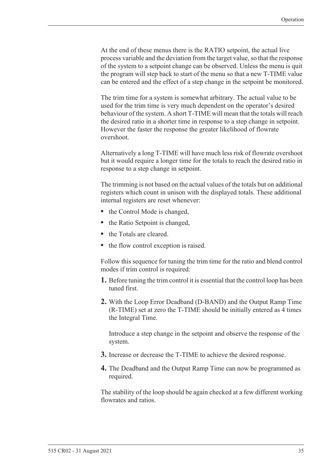At the end of these menus there is the RATIO setpoint, the actual live process variable and the deviation from the target value, so that the response of the system to a setpoint change can be observed. Unless the menu is quit the program will step back to start of the menu so that a new T-TIME value can be entered and the effect of a step change in the setpoint be monitored.

The trim time for a system is somewhat arbitrary. The actual value to be used for the trim time is very much dependent on the operator's desired behaviour of the system. A short T-TIME will mean that the totals will reach the desired ratio in a shorter time in response to a step change in setpoint. However the faster the response the greater likelihood of flowrate overshoot.

Alternatively a long T-TIME will have much less risk of flowrate overshoot but it would require a longer time for the totals to reach the desired ratio in response to a step change in setpoint.

The trimming is not based on the actual values of the totals but on additional registers which count in unison with the displayed totals. These additional internal registers are reset whenever:

- **•** the Control Mode is changed,
- **•** the Ratio Setpoint is changed,
- **•** the Totals are cleared.
- **•** the flow control exception is raised.

Follow this sequence for tuning the trim time for the ratio and blend control modes if trim control is required:

- **1.** Before tuning the trim control it is essential that the control loop has been tuned first.
- **2.** With the Loop Error Deadband (D-BAND) and the Output Ramp Time (R-TIME) set at zero the T-TIME should be initially entered as 4 times the Integral Time.

Introduce a step change in the setpoint and observe the response of the system.

- **3.** Increase or decrease the T-TIME to achieve the desired response.
- **4.** The Deadband and the Output Ramp Time can now be programmed as required.

The stability of the loop should be again checked at a few different working flowrates and ratios.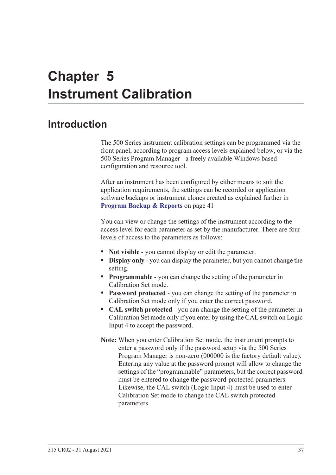# **Chapter 5 Instrument Calibration**

# **Introduction**

The 500 Series instrument calibration settings can be programmed via the front panel, according to program access levels explained below, or via the 500 Series Program Manager - a freely available Windows based configuration and resource tool.

After an instrument has been configured by either means to suit the application requirements, the settings can be recorded or application software backups or instrument clones created as explained further in **[Program Backup & Reports](#page-50-0)** on page 41

You can view or change the settings of the instrument according to the access level for each parameter as set by the manufacturer. There are four levels of access to the parameters as follows:

- **• Not visible** you cannot display or edit the parameter.
- **• Display only** you can display the parameter, but you cannot change the setting.
- **• Programmable** you can change the setting of the parameter in Calibration Set mode.
- **• Password protected** you can change the setting of the parameter in Calibration Set mode only if you enter the correct password.
- **• CAL switch protected**  you can change the setting of the parameter in Calibration Set mode only if you enter by using the CAL switch on Logic Input 4 to accept the password.
- **Note:** When you enter Calibration Set mode, the instrument prompts to enter a password only if the password setup via the 500 Series Program Manager is non-zero (000000 is the factory default value). Entering any value at the password prompt will allow to change the settings of the "programmable" parameters, but the correct password must be entered to change the password-protected parameters. Likewise, the CAL switch (Logic Input 4) must be used to enter Calibration Set mode to change the CAL switch protected parameters.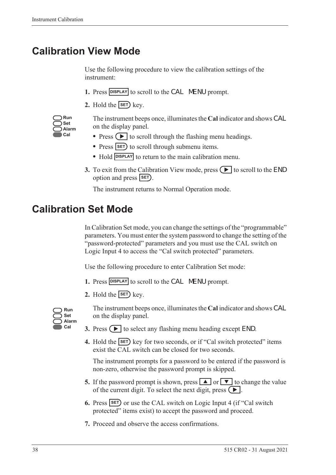# **Calibration View Mode**

Use the following procedure to view the calibration settings of the instrument:

- 1. Press **DISPLAY** to scroll to the CAL MENU prompt.
- **2.** Hold the  $\overline{\text{SET}}$  key.



The instrument beeps once, illuminates the **Cal** indicator and shows CAL on the display panel.

- Press  $\left( \blacktriangleright \right)$  to scroll through the flashing menu headings.
- Press **SET**) to scroll through submenu items.
- Hold **DISPLAY** to return to the main calibration menu.
- **3.** To exit from the Calibration View mode, press  $\Box$  to scroll to the END option and press **SET**).

The instrument returns to Normal Operation mode.

# **Calibration Set Mode**

In Calibration Set mode, you can change the settings of the "programmable" parameters. You must enter the system password to change the setting of the "password-protected" parameters and you must use the CAL switch on Logic Input 4 to access the "Cal switch protected" parameters.

Use the following procedure to enter Calibration Set mode:

- **1.** Press **DISPLAY** to scroll to the CAL MENU prompt.
- **2.** Hold the  $\overline{\text{SET}}$  key.



The instrument beeps once, illuminates the **Cal** indicator and shows CAL on the display panel.

- **3.** Press  $\left( \blacktriangleright \right)$  to select any flashing menu heading except END.
- **4.** Hold the **SET** key for two seconds, or if "Cal switch protected" items exist the CAL switch can be closed for two seconds.

The instrument prompts for a password to be entered if the password is non-zero, otherwise the password prompt is skipped.

- **5.** If the password prompt is shown, press  $\boxed{\blacktriangle}$  or  $\boxed{\blacktriangledown}$  to change the value of the current digit. To select the next digit, press  $\Box$ .
- **6.** Press **SET** or use the CAL switch on Logic Input 4 (if "Cal switch protected" items exist) to accept the password and proceed.
- **7.** Proceed and observe the access confirmations.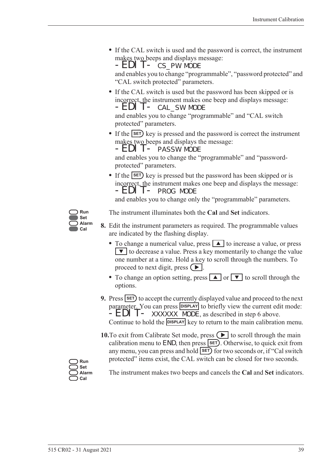**•** If the CAL switch is used and the password is correct, the instrument makes two beeps and displays message:  $-$ FDIT-CS PW MODE

and enables you to change "programmable", "password protected" and "CAL switch protected" parameters.

• If the CAL switch is used but the password has been skipped or is incorrect, the instrument makes one beep and displays message:  $-EDI$   $T - CAL$  SW MODE

and enables you to change "programmable" and "CAL switch protected" parameters.

- If the **SET**) key is pressed and the password is correct the instrument makes two beeps and displays the message:
	- $-EDI$   $-$  PASSW MODE

and enables you to change the "programmable" and "passwordprotected" parameters.

• If the **SET**) key is pressed but the password has been skipped or is incorrect, the instrument makes one beep and displays the message:  $\Box$   $\Box$   $-$  PROG MODE

and enables you to change only the "programmable" parameters.



The instrument illuminates both the **Cal** and **Set** indicators.

- **8.** Edit the instrument parameters as required. The programmable values are indicated by the flashing display.
	- To change a numerical value, press **A** to increase a value, or press  $\triangledown$  to decrease a value. Press a key momentarily to change the value one number at a time. Hold a key to scroll through the numbers. To proceed to next digit, press  $(\blacktriangleright)$ .
	- To change an option setting, press  $\blacksquare$  or  $\blacksquare$  to scroll through the options.
- **9.** Press **SET** to accept the currently displayed value and proceed to the next parameter. You can press **DISPLAY** to briefly view the current edit mode: parameter. You can press  $\frac{\text{DISPLAY}}{\text{LO}}$  to briefly view the current ed:<br>-  $\text{EDI}$  T - XXXXXX MODE, as described in step 6 above. Continue to hold the **DISPLAY** key to return to the main calibration menu.
- **10.**To exit from Calibrate Set mode, press  $\Box$  to scroll through the main calibration menu to END, then press **SET**). Otherwise, to quick exit from any menu, you can press and hold **SET** for two seconds or, if "Cal switch protected" items exist, the CAL switch can be closed for two seconds.

**Run Set Alarm Cal**

The instrument makes two beeps and cancels the **Cal** and **Set** indicators.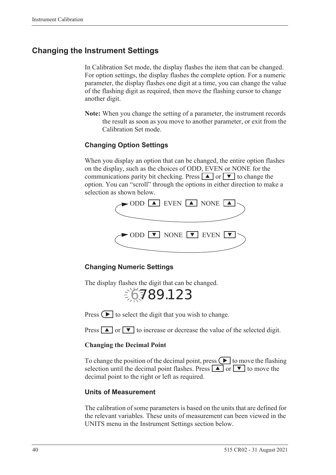#### **Changing the Instrument Settings**

In Calibration Set mode, the display flashes the item that can be changed. For option settings, the display flashes the complete option. For a numeric parameter, the display flashes one digit at a time, you can change the value of the flashing digit as required, then move the flashing cursor to change another digit.

**Note:** When you change the setting of a parameter, the instrument records the result as soon as you move to another parameter, or exit from the Calibration Set mode.

#### **Changing Option Settings**

When you display an option that can be changed, the entire option flashes on the display, such as the choices of ODD, EVEN or NONE for the communications parity bit checking. Press  $\boxed{\blacktriangle}$  or  $\boxed{\blacktriangledown}$  to change the option. You can "scroll" through the options in either direction to make a selection as shown below.



#### **Changing Numeric Settings**

The display flashes the digit that can be changed.



Press  $\left( \blacktriangleright \right)$  to select the digit that you wish to change.

Press  $\boxed{\blacktriangle}$  or  $\boxed{\blacktriangledown}$  to increase or decrease the value of the selected digit.

#### **Changing the Decimal Point**

To change the position of the decimal point, press  $\Box$  to move the flashing selection until the decimal point flashes. Press  $\boxed{\blacktriangle}$  or  $\boxed{\blacktriangledown}$  to move the decimal point to the right or left as required.

#### **Units of Measurement**

The calibration of some parameters is based on the units that are defined for the relevant variables. These units of measurement can been viewed in the UNITS menu in the Instrument Settings section below.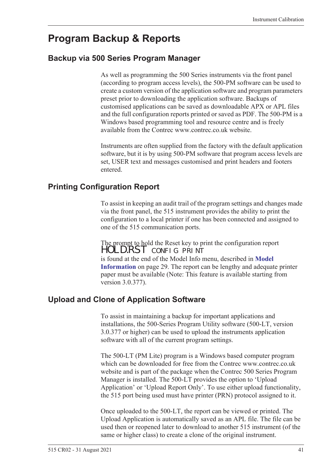# <span id="page-50-0"></span>**Program Backup & Reports**

#### **Backup via 500 Series Program Manager**

As well as programming the 500 Series instruments via the front panel (according to program access levels), the 500-PM software can be used to create a custom version of the application software and program parameters preset prior to downloading the application software. Backups of customised applications can be saved as downloadable APX or APL files and the full configuration reports printed or saved as PDF. The 500-PM is a Windows based programming tool and resource centre and is freely available from the Contrec www.contrec.co.uk website.

Instruments are often supplied from the factory with the default application software, but it is by using 500-PM software that program access levels are set, USER text and messages customised and print headers and footers entered.

#### **Printing Configuration Report**

To assist in keeping an audit trail of the program settings and changes made via the front panel, the 515 instrument provides the ability to print the configuration to a local printer if one has been connected and assigned to one of the 515 communication ports.

The prompt to hold the Reset key to print the configuration report HOLD.RST CONFIG PRINT is found at the end of the Model Info menu, described in **[Model](#page-38-0)  [Information](#page-38-0)** on page 29. The report can be lengthy and adequate printer paper must be available (Note: This feature is available starting from version 3.0.377).

#### **Upload and Clone of Application Software**

To assist in maintaining a backup for important applications and installations, the 500-Series Program Utility software (500-LT, version 3.0.377 or higher) can be used to upload the instruments application software with all of the current program settings.

The 500-LT (PM Lite) program is a Windows based computer program which can be downloaded for free from the Contrec www.contrec.co.uk website and is part of the package when the Contrec 500 Series Program Manager is installed. The 500-LT provides the option to 'Upload Application' or 'Upload Report Only'. To use either upload functionality, the 515 port being used must have printer (PRN) protocol assigned to it.

Once uploaded to the 500-LT, the report can be viewed or printed. The Upload Application is automatically saved as an APL file. The file can be used then or reopened later to download to another 515 instrument (of the same or higher class) to create a clone of the original instrument.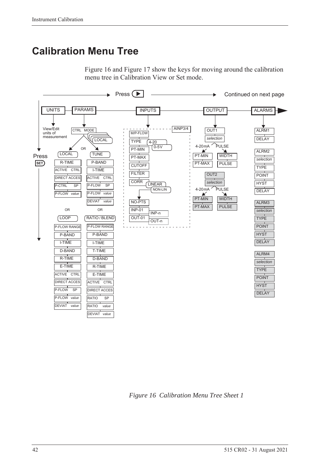# **Calibration Menu Tree**





<span id="page-51-0"></span>*Figure 16 Calibration Menu Tree Sheet 1*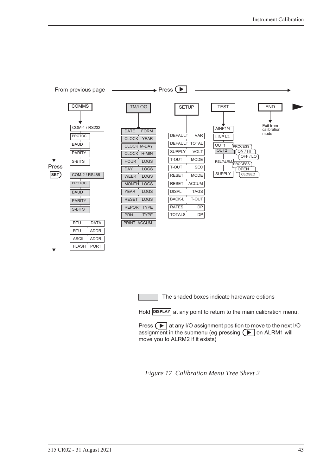

The shaded boxes indicate hardware options

Hold **DISPLAY** at any point to return to the main calibration menu.

Press  $\Box$  at any I/O assignment position to move to the next I/O assignment in the submenu (eg pressing  $\left( \blacktriangleright \right)$  on ALRM1 will move you to ALRM2 if it exists)

<span id="page-52-0"></span>*Figure 17 Calibration Menu Tree Sheet 2*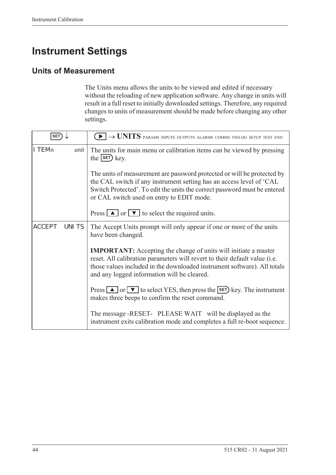# **Instrument Settings**

#### **Units of Measurement**

The Units menu allows the units to be viewed and edited if necessary without the reloading of new application software. Any change in units will result in a full reset to initially downloaded settings. Therefore, any required changes to units of measurement should be made before changing any other settings.

| <b>SET</b>              | $\textcolor{blue}{\blacktriangleright} \rightarrow \textcolor{red}{UNITS}$ params inputs outputs alarms comms tm/log setup test end                                                                                                                                             |  |  |
|-------------------------|---------------------------------------------------------------------------------------------------------------------------------------------------------------------------------------------------------------------------------------------------------------------------------|--|--|
| $I$ TEM $n$<br>unit     | The units for main menu or calibration items can be viewed by pressing<br>the $\left  \text{set} \right $ key.                                                                                                                                                                  |  |  |
|                         | The units of measurement are password protected or will be protected by<br>the CAL switch if any instrument setting has an access level of 'CAL<br>Switch Protected'. To edit the units the correct password must be entered<br>or CAL switch used on entry to EDIT mode.       |  |  |
|                         | Press $\boxed{\blacktriangle}$ or $\boxed{\blacktriangledown}$ to select the required units.                                                                                                                                                                                    |  |  |
| <b>ACCEPT</b><br>UNI TS | The Accept Units prompt will only appear if one or more of the units<br>have been changed.                                                                                                                                                                                      |  |  |
|                         | <b>IMPORTANT:</b> Accepting the change of units will initiate a master<br>reset. All calibration parameters will revert to their default value (i.e.<br>those values included in the downloaded instrument software). All totals<br>and any logged information will be cleared. |  |  |
|                         | Press $\Box$ or $\nabla$ to select YES, then press the <b>SET</b> ) key. The instrument<br>makes three beeps to confirm the reset command.                                                                                                                                      |  |  |
|                         | The message -RESET- PLEASE WAIT will be displayed as the<br>instrument exits calibration mode and completes a full re-boot sequence.                                                                                                                                            |  |  |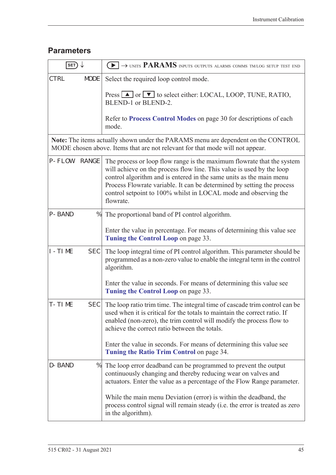### **Parameters**

| SET)                       | $\blacktriangleright$ $\rightarrow$ units PARAMS inputs outputs alarms comms tm/log setup test end                                                                                                                                                                                                                                                                               |
|----------------------------|----------------------------------------------------------------------------------------------------------------------------------------------------------------------------------------------------------------------------------------------------------------------------------------------------------------------------------------------------------------------------------|
| <b>CTRL</b><br><b>MODE</b> | Select the required loop control mode.                                                                                                                                                                                                                                                                                                                                           |
|                            | Press $\Box$ or $\nabla$ to select either: LOCAL, LOOP, TUNE, RATIO,<br>BLEND-1 or BLEND-2.                                                                                                                                                                                                                                                                                      |
|                            | Refer to Process Control Modes on page 30 for descriptions of each<br>mode.                                                                                                                                                                                                                                                                                                      |
|                            | Note: The items actually shown under the PARAMS menu are dependent on the CONTROL<br>MODE chosen above. Items that are not relevant for that mode will not appear.                                                                                                                                                                                                               |
| RANGE<br>P-FLOW            | The process or loop flow range is the maximum flowrate that the system<br>will achieve on the process flow line. This value is used by the loop<br>control algorithm and is entered in the same units as the main menu<br>Process Flowrate variable. It can be determined by setting the process<br>control setpoint to 100% whilst in LOCAL mode and observing the<br>flowrate. |
| P-BAND<br>%                | The proportional band of PI control algorithm.                                                                                                                                                                                                                                                                                                                                   |
|                            | Enter the value in percentage. For means of determining this value see<br>Tuning the Control Loop on page 33.                                                                                                                                                                                                                                                                    |
| $I - T I ME$<br><b>SEC</b> | The loop integral time of PI control algorithm. This parameter should be<br>programmed as a non-zero value to enable the integral term in the control<br>algorithm.                                                                                                                                                                                                              |
|                            | Enter the value in seconds. For means of determining this value see<br>Tuning the Control Loop on page 33.                                                                                                                                                                                                                                                                       |
| T-TIME<br><b>SEC</b>       | The loop ratio trim time. The integral time of cascade trim control can be<br>used when it is critical for the totals to maintain the correct ratio. If<br>enabled (non-zero), the trim control will modify the process flow to<br>achieve the correct ratio between the totals.                                                                                                 |
|                            | Enter the value in seconds. For means of determining this value see<br>Tuning the Ratio Trim Control on page 34.                                                                                                                                                                                                                                                                 |
| D-BAND<br>%                | The loop error deadband can be programmed to prevent the output<br>continuously changing and thereby reducing wear on valves and<br>actuators. Enter the value as a percentage of the Flow Range parameter.                                                                                                                                                                      |
|                            | While the main menu Deviation (error) is within the deadband, the<br>process control signal will remain steady (i.e. the error is treated as zero<br>in the algorithm).                                                                                                                                                                                                          |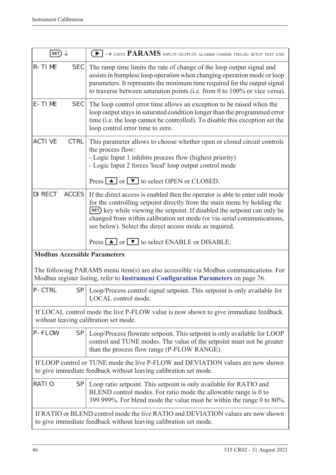| SET)                                                                                                                                                 | $\blacktriangleright$ $\rightarrow$ units PARAMS inputs outputs alarms comms tm/log setup test end                                                                                                                                                                                                                                                                                                                                                                       |  |  |
|------------------------------------------------------------------------------------------------------------------------------------------------------|--------------------------------------------------------------------------------------------------------------------------------------------------------------------------------------------------------------------------------------------------------------------------------------------------------------------------------------------------------------------------------------------------------------------------------------------------------------------------|--|--|
| R-TIME<br><b>SEC</b>                                                                                                                                 | The ramp time limits the rate of change of the loop output signal and<br>assists in bumpless loop operation when changing operation mode or loop<br>parameters. It represents the minimum time required for the output signal<br>to traverse between saturation points (i.e. from 0 to 100% or vice versa).                                                                                                                                                              |  |  |
| E-TIME<br><b>SEC</b>                                                                                                                                 | The loop control error time allows an exception to be raised when the<br>loop output stays in saturated condition longer than the programmed error<br>time (i.e. the loop cannot be controlled). To disable this exception set the<br>loop control error time to zero.                                                                                                                                                                                                   |  |  |
| <b>ACTI VE</b><br><b>CTRL</b>                                                                                                                        | This parameter allows to choose whether open or closed circuit controls<br>the process flow:<br>- Logic Input 1 inhibits process flow (highest priority)<br>- Logic Input 2 forces 'local' loop output control mode<br>Press $\boxed{\blacktriangle}$ or $\boxed{\blacktriangledown}$ to select OPEN or CLOSED.                                                                                                                                                          |  |  |
| DI RECT<br><b>ACCES</b>                                                                                                                              | If the direct access is enabled then the operator is able to enter edit mode<br>for the controlling setpoint directly from the main menu by holding the<br>SET) key while viewing the setpoint. If disabled the setpoint can only be<br>changed from within calibration set mode (or via serial communications,<br>see below). Select the direct access mode as required.<br>Press $\boxed{\blacktriangle}$ or $\boxed{\blacktriangledown}$ to select ENABLE or DISABLE. |  |  |
| <b>Modbus Accessible Parameters</b>                                                                                                                  |                                                                                                                                                                                                                                                                                                                                                                                                                                                                          |  |  |
|                                                                                                                                                      | The following PARAMS menu item(s) are also accessible via Modbus communications. For<br>Modbus register listing, refer to Instrument Configuration Parameters on page 76.                                                                                                                                                                                                                                                                                                |  |  |
| P-CTRL                                                                                                                                               | SP Loop/Process control signal setpoint. This setpoint is only available for<br>LOCAL control mode.                                                                                                                                                                                                                                                                                                                                                                      |  |  |
| without leaving calibration set mode.                                                                                                                | If LOCAL control mode the live P-FLOW value is now shown to give immediate feedback                                                                                                                                                                                                                                                                                                                                                                                      |  |  |
| P-FLOW<br>SP.                                                                                                                                        | Loop/Process flowrate setpoint. This setpoint is only available for LOOP<br>control and TUNE modes. The value of the setpoint must not be greater<br>than the process flow range (P-FLOW RANGE).                                                                                                                                                                                                                                                                         |  |  |
| If LOOP control or TUNE mode the live P-FLOW and DEVIATION values are now shown<br>to give immediate feedback without leaving calibration set mode.  |                                                                                                                                                                                                                                                                                                                                                                                                                                                                          |  |  |
| RATI <sub>0</sub><br>SP                                                                                                                              | Loop ratio setpoint. This setpoint is only available for RATIO and<br>BLEND control modes. For ratio mode the allowable range is 0 to<br>399.999%. For blend mode the value must be within the range 0 to 80%.                                                                                                                                                                                                                                                           |  |  |
| If RATIO or BLEND control mode the live RATIO and DEVIATION values are now shown<br>to give immediate feedback without leaving calibration set mode. |                                                                                                                                                                                                                                                                                                                                                                                                                                                                          |  |  |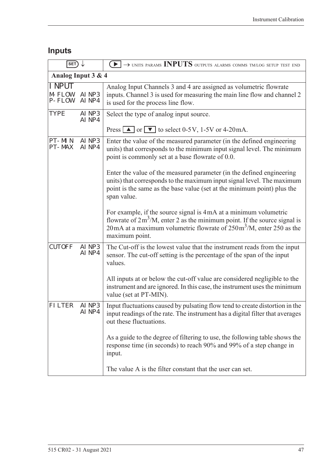# **Inputs**

| <b>SET</b>                      |                    | $\rightarrow$ units params INPUTS outputs alarms comms tm/log setup test end                                                                                                                                                                                |  |  |  |
|---------------------------------|--------------------|-------------------------------------------------------------------------------------------------------------------------------------------------------------------------------------------------------------------------------------------------------------|--|--|--|
|                                 | Analog Input 3 & 4 |                                                                                                                                                                                                                                                             |  |  |  |
| <b>NPUT</b><br>M-FLOW<br>P-FLOW | AI NP3<br>AI NP4   | Analog Input Channels 3 and 4 are assigned as volumetric flowrate<br>inputs. Channel 3 is used for measuring the main line flow and channel 2<br>is used for the process line flow.                                                                         |  |  |  |
| <b>TYPE</b>                     | AI NP3<br>AI NP4   | Select the type of analog input source.                                                                                                                                                                                                                     |  |  |  |
|                                 |                    | Press $\Box$ or $\nabla$ to select 0-5V, 1-5V or 4-20mA.                                                                                                                                                                                                    |  |  |  |
| PT-MIN<br>PT-MAX                | AI NP3<br>AI NP4   | Enter the value of the measured parameter (in the defined engineering<br>units) that corresponds to the minimum input signal level. The minimum<br>point is commonly set at a base flowrate of 0.0.                                                         |  |  |  |
|                                 |                    | Enter the value of the measured parameter (in the defined engineering<br>units) that corresponds to the maximum input signal level. The maximum<br>point is the same as the base value (set at the minimum point) plus the<br>span value.                   |  |  |  |
|                                 |                    | For example, if the source signal is 4mA at a minimum volumetric<br>flowrate of $2m3/M$ , enter 2 as the minimum point. If the source signal is<br>20mA at a maximum volumetric flowrate of $250 \text{ m}^3/\text{M}$ , enter 250 as the<br>maximum point. |  |  |  |
| <b>CUTOFF</b>                   | AI NP3<br>AI NP4   | The Cut-off is the lowest value that the instrument reads from the input<br>sensor. The cut-off setting is the percentage of the span of the input<br>values.                                                                                               |  |  |  |
|                                 |                    | All inputs at or below the cut-off value are considered negligible to the<br>instrument and are ignored. In this case, the instrument uses the minimum<br>value (set at PT-MIN).                                                                            |  |  |  |
| <b>FILTER</b>                   | AI NP3<br>AI NP4   | Input fluctuations caused by pulsating flow tend to create distortion in the<br>input readings of the rate. The instrument has a digital filter that averages<br>out these fluctuations.                                                                    |  |  |  |
|                                 |                    | As a guide to the degree of filtering to use, the following table shows the<br>response time (in seconds) to reach 90% and 99% of a step change in<br>input.                                                                                                |  |  |  |
|                                 |                    | The value A is the filter constant that the user can set.                                                                                                                                                                                                   |  |  |  |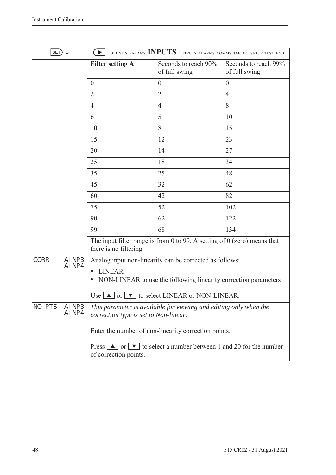| SET)        |                  |                                                                                                                                            | $\left\lceil\blacktriangleright\right\rceil\to$ units params INPUTS outputs alarms comms tmlog setup test end |                                       |  |
|-------------|------------------|--------------------------------------------------------------------------------------------------------------------------------------------|---------------------------------------------------------------------------------------------------------------|---------------------------------------|--|
|             |                  | <b>Filter setting A</b>                                                                                                                    | Seconds to reach 90%<br>of full swing                                                                         | Seconds to reach 99%<br>of full swing |  |
|             |                  | $\overline{0}$                                                                                                                             | $\overline{0}$                                                                                                | $\overline{0}$                        |  |
|             |                  | $\overline{2}$                                                                                                                             | $\overline{2}$                                                                                                | $\overline{4}$                        |  |
|             |                  | $\overline{4}$                                                                                                                             | $\overline{4}$                                                                                                | 8                                     |  |
|             |                  | 6                                                                                                                                          | 5                                                                                                             | 10                                    |  |
|             |                  | 10                                                                                                                                         | 8                                                                                                             | 15                                    |  |
|             |                  | 15                                                                                                                                         | 12                                                                                                            | 23                                    |  |
|             |                  | 20                                                                                                                                         | 14                                                                                                            | 27                                    |  |
|             |                  | 25                                                                                                                                         | 18                                                                                                            | 34                                    |  |
|             |                  | 35                                                                                                                                         | 25                                                                                                            | 48                                    |  |
|             |                  | 45                                                                                                                                         | 32                                                                                                            | 62                                    |  |
|             |                  | 60                                                                                                                                         | 42                                                                                                            | 82                                    |  |
|             |                  | 75                                                                                                                                         | 52                                                                                                            | 102                                   |  |
|             |                  | 90                                                                                                                                         | 62                                                                                                            | 122                                   |  |
|             |                  | 99                                                                                                                                         | 68                                                                                                            | 134                                   |  |
|             |                  | there is no filtering.                                                                                                                     | The input filter range is from 0 to 99. A setting of $0$ (zero) means that                                    |                                       |  |
| <b>CORR</b> | AI NP3           |                                                                                                                                            | Analog input non-linearity can be corrected as follows:                                                       |                                       |  |
|             | AI NP4           | <b>LINEAR</b>                                                                                                                              | NON-LINEAR to use the following linearity correction parameters                                               |                                       |  |
|             |                  |                                                                                                                                            | Use $\Box$ or $\nabla$ to select LINEAR or NON-LINEAR.                                                        |                                       |  |
| NO-PTS      | AI NP3<br>AI NP4 | This parameter is available for viewing and editing only when the<br>correction type is set to Non-linear.                                 |                                                                                                               |                                       |  |
|             |                  | Enter the number of non-linearity correction points.                                                                                       |                                                                                                               |                                       |  |
|             |                  | Press $\boxed{\blacktriangle}$ or $\boxed{\blacktriangledown}$ to select a number between 1 and 20 for the number<br>of correction points. |                                                                                                               |                                       |  |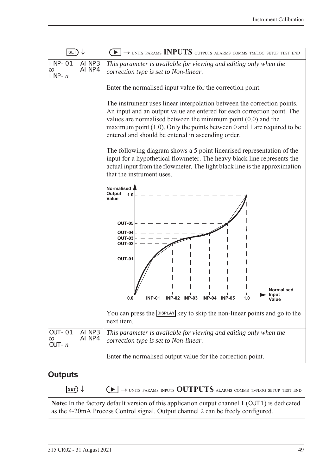| SET)                                              | $\left\langle \blacktriangleright\right\vert\rightarrow$ units params INPUTS outputs alarms comms tm/log setup test end                                                                                                                                                                                                                                  |  |  |
|---------------------------------------------------|----------------------------------------------------------------------------------------------------------------------------------------------------------------------------------------------------------------------------------------------------------------------------------------------------------------------------------------------------------|--|--|
| $I NP-01$<br>AI NP3<br>AI NP4<br>to<br>$I NP - n$ | This parameter is available for viewing and editing only when the<br>correction type is set to Non-linear.                                                                                                                                                                                                                                               |  |  |
|                                                   | Enter the normalised input value for the correction point.                                                                                                                                                                                                                                                                                               |  |  |
|                                                   | The instrument uses linear interpolation between the correction points.<br>An input and an output value are entered for each correction point. The<br>values are normalised between the minimum point $(0.0)$ and the<br>maximum point $(1.0)$ . Only the points between 0 and 1 are required to be<br>entered and should be entered in ascending order. |  |  |
|                                                   | The following diagram shows a 5 point linearised representation of the<br>input for a hypothetical flowmeter. The heavy black line represents the<br>actual input from the flowmeter. The light black line is the approximation<br>that the instrument uses.                                                                                             |  |  |
|                                                   | Normalised /<br>Output<br>1.0<br>Value<br><b>OUT-05</b><br><b>OUT-04</b><br><b>OUT-03</b><br><b>OUT-02</b><br><b>OUT-01</b><br>Normalised<br>Input<br><b>INP-01</b><br>INP-02 INP-03<br>$INP-04$<br><b>INP-05</b><br>0.0<br>1.0<br>Value                                                                                                                 |  |  |
|                                                   | You can press the <b>DISPLAY</b> key to skip the non-linear points and go to the<br>next item.                                                                                                                                                                                                                                                           |  |  |
| $OUT-01$<br>AI NP3<br>AI NP4<br>to<br>$OUT - n$   | This parameter is available for viewing and editing only when the<br>correction type is set to Non-linear.                                                                                                                                                                                                                                               |  |  |
|                                                   | Enter the normalised output value for the correction point.                                                                                                                                                                                                                                                                                              |  |  |

# **Outputs**

| $\boxed{\text{SET}}$ | $ \Theta\rangle$ $\rightarrow$ units params inputs OUTPUTS alarms comms tm/log setup test end $ $                                                                                        |
|----------------------|------------------------------------------------------------------------------------------------------------------------------------------------------------------------------------------|
|                      | <b>Note:</b> In the factory default version of this application output channel 1 (OUT1) is dedicated<br>as the 4-20mA Process Control signal. Output channel 2 can be freely configured. |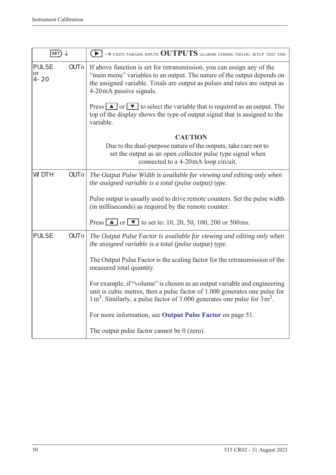| SET) $\downarrow$              |      | $\left\{ \blacktriangleright\right\} \rightarrow$ units params inputs $\text{OUTPUTS}$ alarms comms tmlog setup test end                                                                                                                                    |  |
|--------------------------------|------|-------------------------------------------------------------------------------------------------------------------------------------------------------------------------------------------------------------------------------------------------------------|--|
| <b>PULSE</b><br>or<br>$4 - 20$ | OUTn | If above function is set for retransmission, you can assign any of the<br>"main menu" variables to an output. The nature of the output depends on<br>the assigned variable. Totals are output as pulses and rates are output as<br>4-20 mA passive signals. |  |
|                                |      | Press $\Box$ or $\nabla$ to select the variable that is required as an output. The<br>top of the display shows the type of output signal that is assigned to the<br>variable.                                                                               |  |
|                                |      | <b>CAUTION</b>                                                                                                                                                                                                                                              |  |
|                                |      | Due to the dual-purpose nature of the outputs, take care not to<br>set the output as an open collector pulse type signal when<br>connected to a 4-20mA loop circuit.                                                                                        |  |
| <b>WI DTH</b>                  | OUTn | The Output Pulse Width is available for viewing and editing only when<br>the assigned variable is a total (pulse output) type.                                                                                                                              |  |
|                                |      | Pulse output is usually used to drive remote counters. Set the pulse width<br>(in milliseconds) as required by the remote counter.                                                                                                                          |  |
|                                |      | Press $\Box$ or $\Box$ to set to: 10, 20, 50, 100, 200 or 500 ms.                                                                                                                                                                                           |  |
| <b>PULSE</b>                   | OUTn | The Output Pulse Factor is available for viewing and editing only when<br>the assigned variable is a total (pulse output) type.                                                                                                                             |  |
|                                |      | The Output Pulse Factor is the scaling factor for the retransmission of the<br>measured total quantity.                                                                                                                                                     |  |
|                                |      | For example, if "volume" is chosen as an output variable and engineering<br>unit is cubic metres, then a pulse factor of 1.000 generates one pulse for<br>$1 \text{ m}^3$ . Similarly, a pulse factor of 3.000 generates one pulse for $3 \text{ m}^3$ .    |  |
|                                |      | For more information, see Output Pulse Factor on page 51.                                                                                                                                                                                                   |  |
|                                |      | The output pulse factor cannot be $0$ (zero).                                                                                                                                                                                                               |  |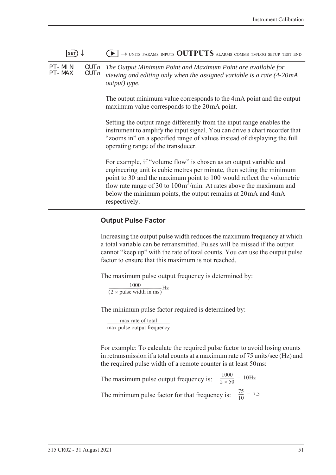| <b>SET</b>       |                                      | $\rightarrow$ units params inputs OUTPUTS alarms comms tm/log setup test end                                                                                                                                                                                                                                                                                                                  |  |  |
|------------------|--------------------------------------|-----------------------------------------------------------------------------------------------------------------------------------------------------------------------------------------------------------------------------------------------------------------------------------------------------------------------------------------------------------------------------------------------|--|--|
| PT-MIN<br>PT-MAX | OUT <sub>n</sub><br>OUT <sub>n</sub> | The Output Minimum Point and Maximum Point are available for<br>viewing and editing only when the assigned variable is a rate (4-20mA<br>output) type.                                                                                                                                                                                                                                        |  |  |
|                  |                                      | The output minimum value corresponds to the 4mA point and the output<br>maximum value corresponds to the 20mA point.                                                                                                                                                                                                                                                                          |  |  |
|                  |                                      | Setting the output range differently from the input range enables the<br>instrument to amplify the input signal. You can drive a chart recorder that<br>"zooms in" on a specified range of values instead of displaying the full<br>operating range of the transducer.                                                                                                                        |  |  |
|                  |                                      | For example, if "volume flow" is chosen as an output variable and<br>engineering unit is cubic metres per minute, then setting the minimum<br>point to 30 and the maximum point to 100 would reflect the volumetric<br>flow rate range of 30 to $100 \text{m}^3/\text{min}$ . At rates above the maximum and<br>below the minimum points, the output remains at 20mA and 4mA<br>respectively. |  |  |

#### <span id="page-60-0"></span>**Output Pulse Factor**

Increasing the output pulse width reduces the maximum frequency at which a total variable can be retransmitted. Pulses will be missed if the output cannot "keep up" with the rate of total counts. You can use the output pulse factor to ensure that this maximum is not reached.

The maximum pulse output frequency is determined by:

 $\frac{1000}{(2 \times \text{pulse width in ms)}}$ Hz

The minimum pulse factor required is determined by:

max rate of total max pulse output frequency ------------------------------------------------------------------

For example: To calculate the required pulse factor to avoid losing counts in retransmission if a total counts at a maximum rate of 75 units/sec (Hz) and the required pulse width of a remote counter is at least 50ms:

The maximum pulse output frequency is:  $\frac{1000}{2 \times 50}$  = 10Hz The minimum pulse factor for that frequency is:  $\frac{75}{10}$  $\frac{75}{10}$  = 7.5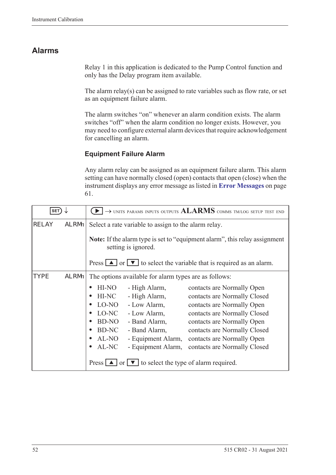### **Alarms**

Relay 1 in this application is dedicated to the Pump Control function and only has the Delay program item available.

The alarm relay(s) can be assigned to rate variables such as flow rate, or set as an equipment failure alarm.

The alarm switches "on" whenever an alarm condition exists. The alarm switches "off" when the alarm condition no longer exists. However, you may need to configure external alarm devices that require acknowledgement for cancelling an alarm.

#### **Equipment Failure Alarm**

Any alarm relay can be assigned as an equipment failure alarm. This alarm setting can have normally closed (open) contacts that open (close) when the instrument displays any error message as listed in **[Error Messages](#page-70-0)** on page [61](#page-70-0).

| <b>SET</b>   |       | $\rightarrow$ units params inputs outputs $ALARMS$ comms tm/log setup test end                           |                                                              |                                                                                                                     |  |
|--------------|-------|----------------------------------------------------------------------------------------------------------|--------------------------------------------------------------|---------------------------------------------------------------------------------------------------------------------|--|
| <b>RELAY</b> | ALRMn | Select a rate variable to assign to the alarm relay.                                                     |                                                              |                                                                                                                     |  |
|              |       | <b>Note:</b> If the alarm type is set to "equipment alarm", this relay assignment<br>setting is ignored. |                                                              |                                                                                                                     |  |
|              |       |                                                                                                          |                                                              | Press $\boxed{\blacktriangle}$ or $\boxed{\blacktriangledown}$ to select the variable that is required as an alarm. |  |
| <b>TYPE</b>  | ALRMn |                                                                                                          | The options available for alarm types are as follows:        |                                                                                                                     |  |
|              |       | HI-NO                                                                                                    | - High Alarm,                                                | contacts are Normally Open                                                                                          |  |
|              |       | HI-NC                                                                                                    | - High Alarm,                                                | contacts are Normally Closed                                                                                        |  |
|              |       | LO-NO                                                                                                    | - Low Alarm,                                                 | contacts are Normally Open                                                                                          |  |
|              |       | LO-NC                                                                                                    | - Low Alarm,                                                 | contacts are Normally Closed                                                                                        |  |
|              |       | BD-NO                                                                                                    | - Band Alarm,                                                | contacts are Normally Open                                                                                          |  |
|              |       | BD-NC                                                                                                    | - Band Alarm,                                                | contacts are Normally Closed                                                                                        |  |
|              |       | AL-NO                                                                                                    | - Equipment Alarm,                                           | contacts are Normally Open                                                                                          |  |
|              |       | AL-NC                                                                                                    | - Equipment Alarm,                                           | contacts are Normally Closed                                                                                        |  |
|              |       |                                                                                                          | Press $\Box$ or $\Box$ to select the type of alarm required. |                                                                                                                     |  |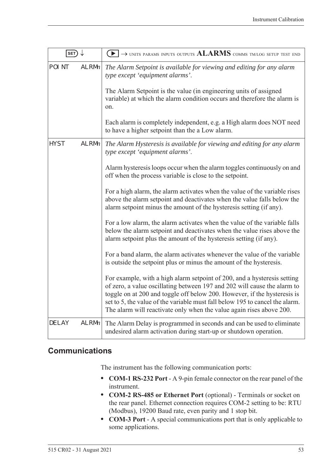| SET)         |              | $\blacktriangleright$ $\rightarrow$ units params inputs outputs $ALARMS$ comms tm/log setup test end                                                                                                                                                                                                                                                                                     |
|--------------|--------------|------------------------------------------------------------------------------------------------------------------------------------------------------------------------------------------------------------------------------------------------------------------------------------------------------------------------------------------------------------------------------------------|
| POI NT       | ALRMn        | The Alarm Setpoint is available for viewing and editing for any alarm<br>type except 'equipment alarms'.                                                                                                                                                                                                                                                                                 |
|              |              | The Alarm Setpoint is the value (in engineering units of assigned<br>variable) at which the alarm condition occurs and therefore the alarm is<br>on.                                                                                                                                                                                                                                     |
|              |              | Each alarm is completely independent, e.g. a High alarm does NOT need<br>to have a higher setpoint than the a Low alarm.                                                                                                                                                                                                                                                                 |
| <b>HYST</b>  | ALRMn        | The Alarm Hysteresis is available for viewing and editing for any alarm<br>type except 'equipment alarms'.                                                                                                                                                                                                                                                                               |
|              |              | Alarm hysteresis loops occur when the alarm toggles continuously on and<br>off when the process variable is close to the setpoint.                                                                                                                                                                                                                                                       |
|              |              | For a high alarm, the alarm activates when the value of the variable rises<br>above the alarm setpoint and deactivates when the value falls below the<br>alarm setpoint minus the amount of the hysteresis setting (if any).                                                                                                                                                             |
|              |              | For a low alarm, the alarm activates when the value of the variable falls<br>below the alarm setpoint and deactivates when the value rises above the<br>alarm setpoint plus the amount of the hysteresis setting (if any).                                                                                                                                                               |
|              |              | For a band alarm, the alarm activates whenever the value of the variable<br>is outside the setpoint plus or minus the amount of the hysteresis.                                                                                                                                                                                                                                          |
|              |              | For example, with a high alarm setpoint of 200, and a hysteresis setting<br>of zero, a value oscillating between 197 and 202 will cause the alarm to<br>toggle on at 200 and toggle off below 200. However, if the hysteresis is<br>set to 5, the value of the variable must fall below 195 to cancel the alarm.<br>The alarm will reactivate only when the value again rises above 200. |
| <b>DELAY</b> | <b>ALRMn</b> | The Alarm Delay is programmed in seconds and can be used to eliminate<br>undesired alarm activation during start-up or shutdown operation.                                                                                                                                                                                                                                               |

#### **Communications**

The instrument has the following communication ports:

- **• COM-1 RS-232 Port** A 9-pin female connector on the rear panel of the instrument.
- **• COM-2 RS-485 or Ethernet Port** (optional) Terminals or socket on the rear panel. Ethernet connection requires COM-2 setting to be: RTU (Modbus), 19200 Baud rate, even parity and 1 stop bit.
- **• COM-3 Port** A special communications port that is only applicable to some applications.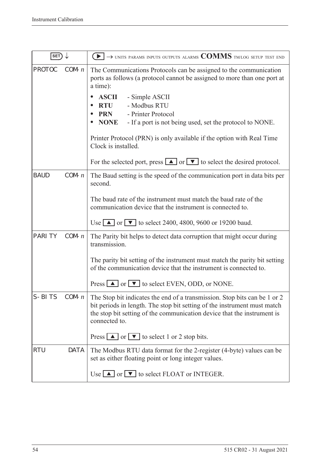| SET)          |             | $\rightarrow$ units params inputs outputs alarms $COMMS$ tm/log setup test end                                                                                                                                                                    |
|---------------|-------------|---------------------------------------------------------------------------------------------------------------------------------------------------------------------------------------------------------------------------------------------------|
| <b>PROTOC</b> | $COM - n$   | The Communications Protocols can be assigned to the communication<br>ports as follows (a protocol cannot be assigned to more than one port at<br>a time):                                                                                         |
|               |             | <b>ASCII</b><br>- Simple ASCII                                                                                                                                                                                                                    |
|               |             | - Modbus RTU<br><b>RTU</b>                                                                                                                                                                                                                        |
|               |             | <b>PRN</b><br>- Printer Protocol                                                                                                                                                                                                                  |
|               |             | - If a port is not being used, set the protocol to NONE.<br><b>NONE</b>                                                                                                                                                                           |
|               |             | Printer Protocol (PRN) is only available if the option with Real Time<br>Clock is installed.                                                                                                                                                      |
|               |             | For the selected port, press $\boxed{\triangle}$ or $\boxed{\triangledown}$ to select the desired protocol.                                                                                                                                       |
| <b>BAUD</b>   | $COM - n$   | The Baud setting is the speed of the communication port in data bits per<br>second.                                                                                                                                                               |
|               |             | The baud rate of the instrument must match the baud rate of the<br>communication device that the instrument is connected to.                                                                                                                      |
|               |             | Use $\boxed{\blacktriangle}$ or $\boxed{\blacktriangledown}$ to select 2400, 4800, 9600 or 19200 baud.                                                                                                                                            |
| PARI TY       | $COM - n$   | The Parity bit helps to detect data corruption that might occur during<br>transmission.                                                                                                                                                           |
|               |             | The parity bit setting of the instrument must match the parity bit setting<br>of the communication device that the instrument is connected to.                                                                                                    |
|               |             | Press $\Box$ or $\nabla$ to select EVEN, ODD, or NONE.                                                                                                                                                                                            |
| S-BITS        | $COM - n$   | The Stop bit indicates the end of a transmission. Stop bits can be 1 or 2<br>bit periods in length. The stop bit setting of the instrument must match<br>the stop bit setting of the communication device that the instrument is<br>connected to. |
|               |             | Press $\boxed{\blacktriangle}$ or $\boxed{\blacktriangledown}$ to select 1 or 2 stop bits.                                                                                                                                                        |
| <b>RTU</b>    | <b>DATA</b> | The Modbus RTU data format for the 2-register (4-byte) values can be<br>set as either floating point or long integer values.                                                                                                                      |
|               |             | Use $\blacksquare$ or $\blacksquare$ to select FLOAT or INTEGER.                                                                                                                                                                                  |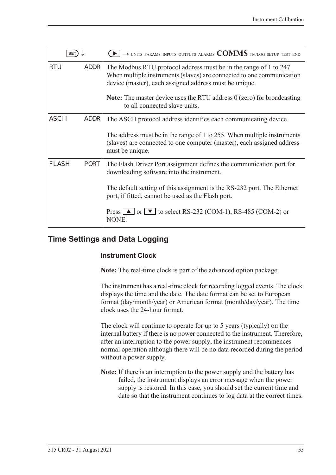| <b>SET</b>        |             | $\rightarrow$ units params inputs outputs alarms $COMMS$ tm/log setup test end                                                                                                                                                                                                                                                              |
|-------------------|-------------|---------------------------------------------------------------------------------------------------------------------------------------------------------------------------------------------------------------------------------------------------------------------------------------------------------------------------------------------|
| <b>RTU</b>        | <b>ADDR</b> | The Modbus RTU protocol address must be in the range of 1 to 247.<br>When multiple instruments (slaves) are connected to one communication<br>device (master), each assigned address must be unique.<br><b>Note:</b> The master device uses the RTU address $0$ (zero) for broadcasting<br>to all connected slave units.                    |
|                   |             |                                                                                                                                                                                                                                                                                                                                             |
| ASCI <sub>I</sub> | <b>ADDR</b> | The ASCII protocol address identifies each communicating device.<br>The address must be in the range of 1 to 255. When multiple instruments<br>(slaves) are connected to one computer (master), each assigned address<br>must be unique.                                                                                                    |
| <b>FLASH</b>      | <b>PORT</b> | The Flash Driver Port assignment defines the communication port for<br>downloading software into the instrument.<br>The default setting of this assignment is the RS-232 port. The Ethernet<br>port, if fitted, cannot be used as the Flash port.<br>Press $\Delta$ or $\triangledown$ to select RS-232 (COM-1), RS-485 (COM-2) or<br>NONE. |

# **Time Settings and Data Logging**

#### **Instrument Clock**

**Note:** The real-time clock is part of the advanced option package.

The instrument has a real-time clock for recording logged events. The clock displays the time and the date. The date format can be set to European format (day/month/year) or American format (month/day/year). The time clock uses the 24-hour format.

The clock will continue to operate for up to 5 years (typically) on the internal battery if there is no power connected to the instrument. Therefore, after an interruption to the power supply, the instrument recommences normal operation although there will be no data recorded during the period without a power supply.

**Note:** If there is an interruption to the power supply and the battery has failed, the instrument displays an error message when the power supply is restored. In this case, you should set the current time and date so that the instrument continues to log data at the correct times.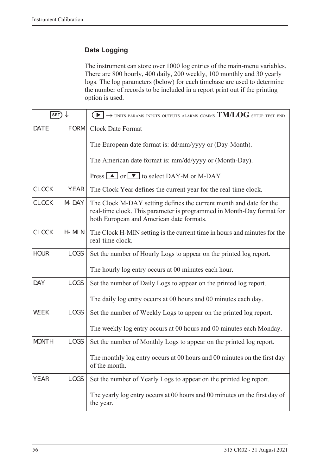#### **Data Logging**

The instrument can store over 1000 log entries of the main-menu variables. There are 800 hourly, 400 daily, 200 weekly, 100 monthly and 30 yearly logs. The log parameters (below) for each timebase are used to determine the number of records to be included in a report print out if the printing option is used.

| SET)         |             | $\left\{ \blacktriangleright\right\}$ $\rightarrow$ units params inputs outputs alarms comms $\Gamma \mathrm{M}/\mathrm{LOG}$ setup test end                                            |
|--------------|-------------|-----------------------------------------------------------------------------------------------------------------------------------------------------------------------------------------|
| <b>DATE</b>  | <b>FORM</b> | <b>Clock Date Format</b>                                                                                                                                                                |
|              |             | The European date format is: dd/mm/yyyy or (Day-Month).                                                                                                                                 |
|              |             | The American date format is: mm/dd/yyyy or (Month-Day).                                                                                                                                 |
|              |             | Press $\boxed{\blacktriangle}$ or $\boxed{\blacktriangledown}$ to select DAY-M or M-DAY                                                                                                 |
| <b>CLOCK</b> | <b>YEAR</b> | The Clock Year defines the current year for the real-time clock.                                                                                                                        |
| <b>CLOCK</b> | M-DAY       | The Clock M-DAY setting defines the current month and date for the<br>real-time clock. This parameter is programmed in Month-Day format for<br>both European and American date formats. |
| <b>CLOCK</b> | $H-MIN$     | The Clock H-MIN setting is the current time in hours and minutes for the<br>real-time clock.                                                                                            |
| <b>HOUR</b>  | <b>LOGS</b> | Set the number of Hourly Logs to appear on the printed log report.                                                                                                                      |
|              |             | The hourly log entry occurs at 00 minutes each hour.                                                                                                                                    |
| <b>DAY</b>   | <b>LOGS</b> | Set the number of Daily Logs to appear on the printed log report.                                                                                                                       |
|              |             | The daily log entry occurs at 00 hours and 00 minutes each day.                                                                                                                         |
| <b>WEEK</b>  | <b>LOGS</b> | Set the number of Weekly Logs to appear on the printed log report.                                                                                                                      |
|              |             | The weekly log entry occurs at 00 hours and 00 minutes each Monday.                                                                                                                     |
| <b>MONTH</b> | <b>LOGS</b> | Set the number of Monthly Logs to appear on the printed log report.                                                                                                                     |
|              |             | The monthly log entry occurs at 00 hours and 00 minutes on the first day<br>of the month.                                                                                               |
| <b>YEAR</b>  | <b>LOGS</b> | Set the number of Yearly Logs to appear on the printed log report.                                                                                                                      |
|              |             | The yearly log entry occurs at 00 hours and 00 minutes on the first day of<br>the year.                                                                                                 |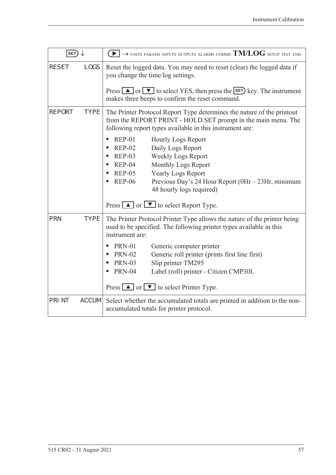| SET)                         | $\left\{ \blacktriangleright\right\} \rightarrow$ units params inputs outputs alarms comms $\Gamma\mathrm{M}/\mathrm{LOG}$ setup test end                                                                                                                                                                                                                                                                                                                                                                                                                              |
|------------------------------|------------------------------------------------------------------------------------------------------------------------------------------------------------------------------------------------------------------------------------------------------------------------------------------------------------------------------------------------------------------------------------------------------------------------------------------------------------------------------------------------------------------------------------------------------------------------|
| <b>LOGS</b><br><b>RESET</b>  | Reset the logged data. You may need to reset (clear) the logged data if<br>you change the time/log settings.<br>Press $\Box$ or $\nabla$ to select YES, then press the <b>SET</b> ) key. The instrument<br>makes three beeps to confirm the reset command.                                                                                                                                                                                                                                                                                                             |
| <b>REPORT</b><br><b>TYPE</b> | The Printer Protocol Report Type determines the nature of the printout<br>from the REPORT PRINT - HOLD.SET prompt in the main menu. The<br>following report types available in this instrument are:<br><b>REP-01</b><br><b>Hourly Logs Report</b><br><b>REP-02</b><br>Daily Logs Report<br>$REP-03$<br><b>Weekly Logs Report</b><br>$REP-04$<br>Monthly Logs Report<br><b>REP-05</b><br><b>Yearly Logs Report</b><br><b>REP-06</b><br>Previous Day's 24 Hour Report (0Hr - 23Hr, minimum<br>48 hourly logs required)                                                   |
| <b>PRN</b><br><b>TYPE</b>    | Press $\boxed{\blacktriangle}$ or $\boxed{\blacktriangledown}$ to select Report Type.<br>The Printer Protocol Printer Type allows the nature of the printer being<br>used to be specified. The following printer types available in this<br>instrument are:<br><b>PRN-01</b><br>Generic computer printer<br><b>PRN-02</b><br>Generic roll printer (prints first line first)<br>Slip printer TM295<br><b>PRN-03</b><br><b>PRN-04</b><br>Label (roll) printer - Citizen CMP30L<br>Press $\boxed{\blacktriangle}$ or $\boxed{\blacktriangledown}$ to select Printer Type. |
| PRI NT<br><b>ACCUM</b>       | Select whether the accumulated totals are printed in addition to the non-<br>accumulated totals for printer protocol.                                                                                                                                                                                                                                                                                                                                                                                                                                                  |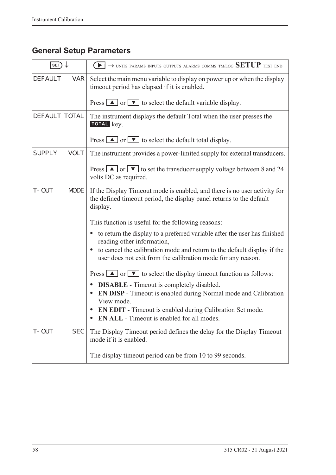# <span id="page-67-0"></span>**General Setup Parameters**

| SET)           |             | $\rightarrow$ units params inputs outputs alarms comms tm/log SETUP test end                                                                                  |
|----------------|-------------|---------------------------------------------------------------------------------------------------------------------------------------------------------------|
| <b>DEFAULT</b> | <b>VAR</b>  | Select the main menu variable to display on power up or when the display<br>timeout period has elapsed if it is enabled.                                      |
|                |             | Press $\Box$ or $\nabla$ to select the default variable display.                                                                                              |
| DEFAULT TOTAL  |             | The instrument displays the default Total when the user presses the<br>TOTAL key.                                                                             |
|                |             | Press $\boxed{\blacktriangle}$ or $\boxed{\blacktriangledown}$ to select the default total display.                                                           |
| <b>SUPPLY</b>  | <b>VOLT</b> | The instrument provides a power-limited supply for external transducers.                                                                                      |
|                |             | Press $\Box$ or $\nabla$ to set the transducer supply voltage between 8 and 24<br>volts DC as required.                                                       |
| T-OUT          | <b>MODE</b> | If the Display Timeout mode is enabled, and there is no user activity for<br>the defined timeout period, the display panel returns to the default<br>display. |
|                |             | This function is useful for the following reasons:                                                                                                            |
|                |             | • to return the display to a preferred variable after the user has finished<br>reading other information,                                                     |
|                |             | to cancel the calibration mode and return to the default display if the<br>$\bullet$<br>user does not exit from the calibration mode for any reason.          |
|                |             | Press $\boxed{\blacktriangle}$ or $\boxed{\blacktriangledown}$ to select the display timeout function as follows:                                             |
|                |             | <b>DISABLE</b> - Timeout is completely disabled.<br>$\bullet$<br>EN DISP - Timeout is enabled during Normal mode and Calibration<br>$\bullet$<br>View mode.   |
|                |             | <b>EN EDIT</b> - Timeout is enabled during Calibration Set mode.<br>EN ALL - Timeout is enabled for all modes.                                                |
| T-OUT          | <b>SEC</b>  | The Display Timeout period defines the delay for the Display Timeout<br>mode if it is enabled.                                                                |
|                |             | The display timeout period can be from 10 to 99 seconds.                                                                                                      |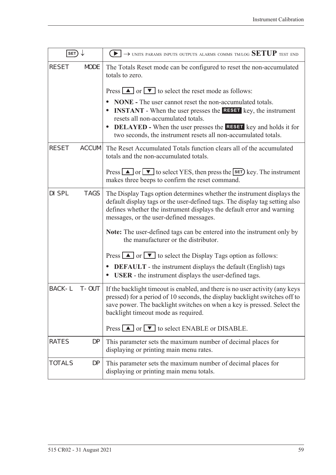| SET)          |              | $\blacktriangleright$ $\rightarrow$ units params inputs outputs alarms comms tm/log $\operatorname{SETUP}$ test end                                                                                                                                                                                                                                                           |
|---------------|--------------|-------------------------------------------------------------------------------------------------------------------------------------------------------------------------------------------------------------------------------------------------------------------------------------------------------------------------------------------------------------------------------|
| <b>RESET</b>  | <b>MODE</b>  | The Totals Reset mode can be configured to reset the non-accumulated<br>totals to zero.                                                                                                                                                                                                                                                                                       |
|               |              | Press $\boxed{\blacktriangle}$ or $\boxed{\blacktriangledown}$ to select the reset mode as follows:                                                                                                                                                                                                                                                                           |
|               |              | <b>NONE</b> - The user cannot reset the non-accumulated totals.<br>$\bullet$<br><b>INSTANT</b> - When the user presses the <b>RESET</b> key, the instrument<br>$\bullet$<br>resets all non-accumulated totals.<br><b>DELAYED</b> - When the user presses the <b>RESET</b> key and holds it for<br>$\bullet$<br>two seconds, the instrument resets all non-accumulated totals. |
| <b>RESET</b>  | <b>ACCUM</b> | The Reset Accumulated Totals function clears all of the accumulated<br>totals and the non-accumulated totals.                                                                                                                                                                                                                                                                 |
|               |              | Press $\Box$ or $\nabla$ to select YES, then press the <b>SET</b> ) key. The instrument<br>makes three beeps to confirm the reset command.                                                                                                                                                                                                                                    |
| DI SPL        | <b>TAGS</b>  | The Display Tags option determines whether the instrument displays the<br>default display tags or the user-defined tags. The display tag setting also<br>defines whether the instrument displays the default error and warning<br>messages, or the user-defined messages.                                                                                                     |
|               |              | <b>Note:</b> The user-defined tags can be entered into the instrument only by<br>the manufacturer or the distributor.                                                                                                                                                                                                                                                         |
|               |              | Press $\Box$ or $\nabla$ to select the Display Tags option as follows:                                                                                                                                                                                                                                                                                                        |
|               |              | <b>DEFAULT</b> - the instrument displays the default (English) tags<br>$\bullet$<br>USER - the instrument displays the user-defined tags.                                                                                                                                                                                                                                     |
| BACK-L        | T-OUT        | If the backlight timeout is enabled, and there is no user activity (any keys<br>pressed) for a period of 10 seconds, the display backlight switches off to<br>save power. The backlight switches on when a key is pressed. Select the<br>backlight timeout mode as required.                                                                                                  |
|               |              | Press $\boxed{\blacktriangle}$ or $\boxed{\blacktriangledown}$ to select ENABLE or DISABLE.                                                                                                                                                                                                                                                                                   |
| <b>RATES</b>  | DP           | This parameter sets the maximum number of decimal places for<br>displaying or printing main menu rates.                                                                                                                                                                                                                                                                       |
| <b>TOTALS</b> | DP           | This parameter sets the maximum number of decimal places for<br>displaying or printing main menu totals.                                                                                                                                                                                                                                                                      |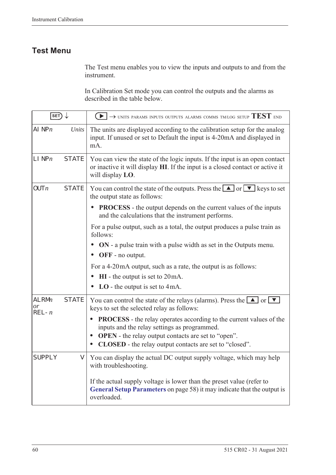### **Test Menu**

The Test menu enables you to view the inputs and outputs to and from the instrument.

In Calibration Set mode you can control the outputs and the alarms as described in the table below.

| $\overline{\text{SET}}$                    |              | $\blacktriangleright$ $\rightarrow$ units params inputs outputs alarms comms tm/log setup TEST end                                                                                                                                                               |
|--------------------------------------------|--------------|------------------------------------------------------------------------------------------------------------------------------------------------------------------------------------------------------------------------------------------------------------------|
| AI $NPn$                                   | Units        | The units are displayed according to the calibration setup for the analog<br>input. If unused or set to Default the input is 4-20mA and displayed in<br>mA.                                                                                                      |
| LI NPn                                     | <b>STATE</b> | You can view the state of the logic inputs. If the input is an open contact<br>or inactive it will display HI. If the input is a closed contact or active it<br>will display LO.                                                                                 |
| OUT <sub>n</sub>                           | <b>STATE</b> | You can control the state of the outputs. Press the $\Box$ or $\nabla$ keys to set<br>the output state as follows:                                                                                                                                               |
|                                            |              | <b>PROCESS</b> - the output depends on the current values of the inputs<br>and the calculations that the instrument performs.                                                                                                                                    |
|                                            |              | For a pulse output, such as a total, the output produces a pulse train as<br>follows:                                                                                                                                                                            |
|                                            |              | ON - a pulse train with a pulse width as set in the Outputs menu.<br>OFF - no output.                                                                                                                                                                            |
|                                            |              | For a 4-20mA output, such as a rate, the output is as follows:                                                                                                                                                                                                   |
|                                            |              | $HI$ - the output is set to $20mA$ .                                                                                                                                                                                                                             |
|                                            |              | $LO$ - the output is set to 4mA.                                                                                                                                                                                                                                 |
| <b>ALRMn</b><br><sub>or</sub><br>$REL - n$ | <b>STATE</b> | You can control the state of the relays (alarms). Press the $\boxed{\blacktriangle}$ or $\boxed{\blacktriangledown}$<br>keys to set the selected relay as follows:                                                                                               |
|                                            |              | <b>PROCESS</b> - the relay operates according to the current values of the<br>inputs and the relay settings as programmed.<br><b>OPEN</b> - the relay output contacts are set to "open".<br>$\bullet$<br>CLOSED - the relay output contacts are set to "closed". |
| <b>SUPPLY</b>                              | V            | You can display the actual DC output supply voltage, which may help<br>with troubleshooting.                                                                                                                                                                     |
|                                            |              | If the actual supply voltage is lower than the preset value (refer to<br>General Setup Parameters on page 58) it may indicate that the output is<br>overloaded.                                                                                                  |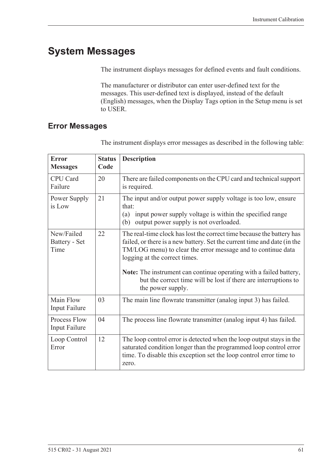# **System Messages**

The instrument displays messages for defined events and fault conditions.

The manufacturer or distributor can enter user-defined text for the messages. This user-defined text is displayed, instead of the default (English) messages, when the Display Tags option in the Setup menu is set to USER.

#### <span id="page-70-0"></span>**Error Messages**

| <b>Error</b><br><b>Messages</b>     | <b>Status</b><br>Code | <b>Description</b>                                                                                                                                                                                                                                                                                                                                                                                               |
|-------------------------------------|-----------------------|------------------------------------------------------------------------------------------------------------------------------------------------------------------------------------------------------------------------------------------------------------------------------------------------------------------------------------------------------------------------------------------------------------------|
| <b>CPU</b> Card<br>Failure          | 20                    | There are failed components on the CPU card and technical support<br>is required.                                                                                                                                                                                                                                                                                                                                |
| Power Supply<br>is Low              | 21                    | The input and/or output power supply voltage is too low, ensure<br>that:<br>input power supply voltage is within the specified range<br>(a)<br>output power supply is not overloaded.<br>(b)                                                                                                                                                                                                                     |
| New/Failed<br>Battery - Set<br>Time | 22                    | The real-time clock has lost the correct time because the battery has<br>failed, or there is a new battery. Set the current time and date (in the<br>TM/LOG menu) to clear the error message and to continue data<br>logging at the correct times.<br>Note: The instrument can continue operating with a failed battery,<br>but the correct time will be lost if there are interruptions to<br>the power supply. |
| Main Flow<br>Input Failure          | 03                    | The main line flowrate transmitter (analog input 3) has failed.                                                                                                                                                                                                                                                                                                                                                  |
| Process Flow<br>Input Failure       | 04                    | The process line flowrate transmitter (analog input 4) has failed.                                                                                                                                                                                                                                                                                                                                               |
| Loop Control<br>Error               | 12                    | The loop control error is detected when the loop output stays in the<br>saturated condition longer than the programmed loop control error<br>time. To disable this exception set the loop control error time to<br>zero.                                                                                                                                                                                         |

The instrument displays error messages as described in the following table: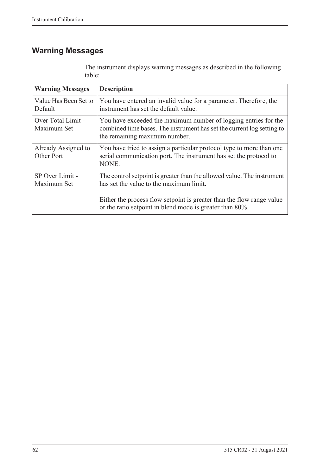# **Warning Messages**

The instrument displays warning messages as described in the following table:

| <b>Warning Messages</b>           | <b>Description</b>                                                                                                                                                         |
|-----------------------------------|----------------------------------------------------------------------------------------------------------------------------------------------------------------------------|
| Value Has Been Set to<br>Default  | You have entered an invalid value for a parameter. Therefore, the<br>instrument has set the default value.                                                                 |
| Over Total Limit -<br>Maximum Set | You have exceeded the maximum number of logging entries for the<br>combined time bases. The instrument has set the current log setting to<br>the remaining maximum number. |
| Already Assigned to<br>Other Port | You have tried to assign a particular protocol type to more than one<br>serial communication port. The instrument has set the protocol to<br>NONE.                         |
| SP Over Limit -<br>Maximum Set    | The control setpoint is greater than the allowed value. The instrument<br>has set the value to the maximum limit.                                                          |
|                                   | Either the process flow setpoint is greater than the flow range value<br>or the ratio setpoint in blend mode is greater than 80%.                                          |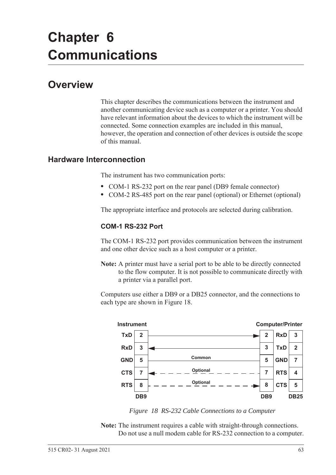# **Chapter 6 Communications**

# **Overview**

<span id="page-72-2"></span>This chapter describes the communications between the instrument and another communicating device such as a computer or a printer. You should have relevant information about the devices to which the instrument will be connected. Some connection examples are included in this manual, however, the operation and connection of other devices is outside the scope of this manual.

# **Hardware Interconnection**

<span id="page-72-3"></span>The instrument has two communication ports:

- **•** COM-1 RS-232 port on the rear panel (DB9 female connector)
- **•** COM-2 RS-485 port on the rear panel (optional) or Ethernet (optional)

The appropriate interface and protocols are selected during calibration.

# <span id="page-72-1"></span>**COM-1 RS-232 Port**

The COM-1 RS-232 port provides communication between the instrument and one other device such as a host computer or a printer.

**Note:** A printer must have a serial port to be able to be directly connected to the flow computer. It is not possible to communicate directly with a printer via a parallel port.

Computers use either a DB9 or a DB25 connector, and the connections to each type are shown in [Figure 18.](#page-72-0)



*Figure 18 RS-232 Cable Connections to a Computer*

<span id="page-72-0"></span>**Note:** The instrument requires a cable with straight-through connections. Do not use a null modem cable for RS-232 connection to a computer.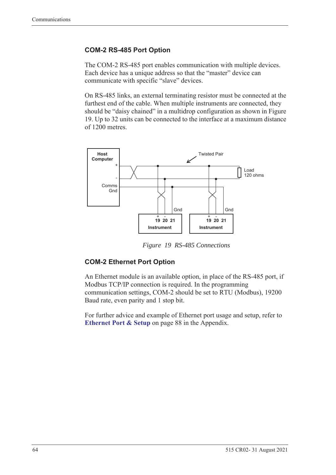## <span id="page-73-1"></span>**COM-2 RS-485 Port Option**

The COM-2 RS-485 port enables communication with multiple devices. Each device has a unique address so that the "master" device can communicate with specific "slave" devices.

On RS-485 links, an external terminating resistor must be connected at the furthest end of the cable. When multiple instruments are connected, they should be "daisy chained" in a multidrop configuration as shown in [Figure](#page-73-0)  [19](#page-73-0). Up to 32 units can be connected to the interface at a maximum distance of 1200 metres.



<span id="page-73-2"></span>*Figure 19 RS-485 Connections*

# <span id="page-73-0"></span>**COM-2 Ethernet Port Option**

An Ethernet module is an available option, in place of the RS-485 port, if Modbus TCP/IP connection is required. In the programming communication settings, COM-2 should be set to RTU (Modbus), 19200 Baud rate, even parity and 1 stop bit.

For further advice and example of Ethernet port usage and setup, refer to **[Ethernet Port & Setup](#page-97-0)** on page 88 in the Appendix.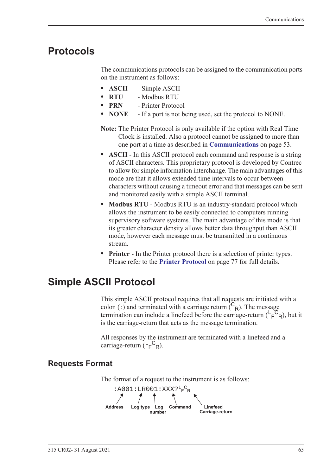# **Protocols**

<span id="page-74-1"></span>The communications protocols can be assigned to the communication ports on the instrument as follows:

- **• ASCII** Simple ASCII
- **• RTU** Modbus RTU
- **• PRN** Printer Protocol
- **• NONE** If a port is not being used, set the protocol to NONE.
- **Note:** The Printer Protocol is only available if the option with Real Time Clock is installed. Also a protocol cannot be assigned to more than one port at a time as described in **[Communications](#page-62-0)** on page 53.
- **• ASCII** In this ASCII protocol each command and response is a string of ASCII characters. This proprietary protocol is developed by Contrec to allow for simple information interchange. The main advantages of this mode are that it allows extended time intervals to occur between characters without causing a timeout error and that messages can be sent and monitored easily with a simple ASCII terminal.
- **• Modbus RTU** Modbus RTU is an industry-standard protocol which allows the instrument to be easily connected to computers running supervisory software systems. The main advantage of this mode is that its greater character density allows better data throughput than ASCII mode, however each message must be transmitted in a continuous stream.
- <span id="page-74-0"></span>**• Printer** - In the Printer protocol there is a selection of printer types. Please refer to the **[Printer Protocol](#page-86-0)** on page 77 for full details.

# **Simple ASCII Protocol**

This simple ASCII protocol requires that all requests are initiated with a colon (:) and terminated with a carriage return  $\binom{C_R}{R}$ . The message termination can include a linefeed before the carriage-return  $(\mathsf{L}_\mathsf{F}^\mathsf{C}_{\mathsf{R}})$ , but it is the carriage-return that acts as the message termination.

<span id="page-74-2"></span>All responses by the instrument are terminated with a linefeed and a carriage-return  $(L_F^C_R)$ .

# **Requests Format**

The format of a request to the instrument is as follows:

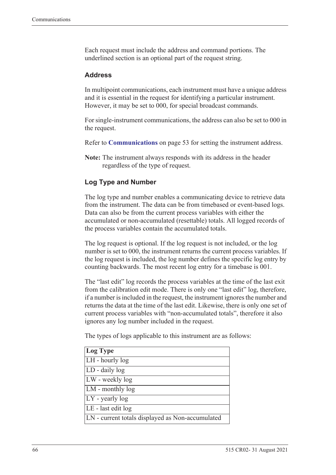Each request must include the address and command portions. The underlined section is an optional part of the request string.

#### <span id="page-75-0"></span>**Address**

In multipoint communications, each instrument must have a unique address and it is essential in the request for identifying a particular instrument. However, it may be set to 000, for special broadcast commands.

For single-instrument communications, the address can also be set to 000 in the request.

Refer to **[Communications](#page-62-0)** on page 53 for setting the instrument address.

**Note:** The instrument always responds with its address in the header regardless of the type of request.

### **Log Type and Number**

The log type and number enables a communicating device to retrieve data from the instrument. The data can be from timebased or event-based logs. Data can also be from the current process variables with either the accumulated or non-accumulated (resettable) totals. All logged records of the process variables contain the accumulated totals.

The log request is optional. If the log request is not included, or the log number is set to 000, the instrument returns the current process variables. If the log request is included, the log number defines the specific log entry by counting backwards. The most recent log entry for a timebase is 001.

The "last edit" log records the process variables at the time of the last exit from the calibration edit mode. There is only one "last edit" log, therefore, if a number is included in the request, the instrument ignores the number and returns the data at the time of the last edit. Likewise, there is only one set of current process variables with "non-accumulated totals", therefore it also ignores any log number included in the request.

The types of logs applicable to this instrument are as follows:

| Log Type                                         |
|--------------------------------------------------|
| LH - hourly log                                  |
| LD - daily log                                   |
| LW - weekly log                                  |
| LM - monthly log                                 |
| $LY$ - yearly log                                |
| LE - last edit log                               |
| LN - current totals displayed as Non-accumulated |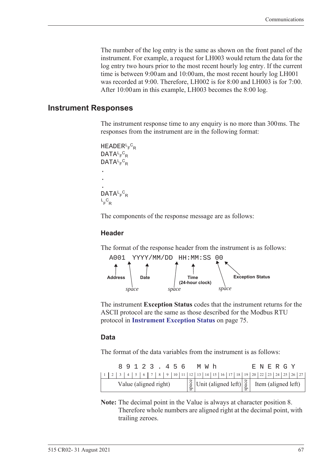The number of the log entry is the same as shown on the front panel of the instrument. For example, a request for LH003 would return the data for the log entry two hours prior to the most recent hourly log entry. If the current time is between 9:00 am and 10:00 am, the most recent hourly log LH001 was recorded at 9:00. Therefore, LH002 is for 8:00 and LH003 is for 7:00. After 10:00 am in this example, LH003 becomes the 8:00 log.

### **Instrument Responses**

<span id="page-76-1"></span>The instrument response time to any enquiry is no more than 300 ms. The responses from the instrument are in the following format:

HEADER<sup>L</sup>F<sup>C</sup>R DATA<sup>L</sup>F<sup>C</sup>R DATA<sup>L</sup>F<sup>C</sup>R . . . DATA<sup>L</sup>F<sup>C</sup>R  $L_F^C$ <sub>R</sub>

The components of the response message are as follows:

#### **Header**

The format of the response header from the instrument is as follows:



<span id="page-76-0"></span>The instrument **Exception Status** codes that the instrument returns for the ASCII protocol are the same as those described for the Modbus RTU protocol in **[Instrument Exception Status](#page-84-0)** on page 75.

#### **Data**

The format of the data variables from the instrument is as follows:

|                       |  |  |  |  | 89123.456 |  |  |                                                                                                                                                               |  | M W h |  |  |  |  | E N E R G Y |  |  |
|-----------------------|--|--|--|--|-----------|--|--|---------------------------------------------------------------------------------------------------------------------------------------------------------------|--|-------|--|--|--|--|-------------|--|--|
|                       |  |  |  |  |           |  |  |                                                                                                                                                               |  |       |  |  |  |  |             |  |  |
| Value (aligned right) |  |  |  |  |           |  |  | $\begin{bmatrix} \frac{8}{9} \\ \frac{8}{9} \end{bmatrix}$ Unit (aligned left) $\begin{bmatrix} \frac{8}{9} \\ \frac{8}{9} \end{bmatrix}$ Item (aligned left) |  |       |  |  |  |  |             |  |  |

**Note:** The decimal point in the Value is always at character position 8. Therefore whole numbers are aligned right at the decimal point, with trailing zeroes.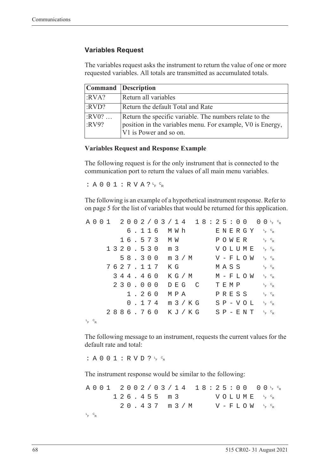#### **Variables Request**

The variables request asks the instrument to return the value of one or more requested variables. All totals are transmitted as accumulated totals.

|                  | <b>Command</b> Description                                                                                                                      |
|------------------|-------------------------------------------------------------------------------------------------------------------------------------------------|
| :RVA?            | Return all variables                                                                                                                            |
| :RVD?            | Return the default Total and Rate                                                                                                               |
| $:RV0?$<br>:RV9? | Return the specific variable. The numbers relate to the<br>position in the variables menu. For example, V0 is Energy,<br>V1 is Power and so on. |

#### **Variables Request and Response Example**

The following request is for the only instrument that is connected to the communication port to return the values of all main menu variables.

:  $A 0 0 1 : R V A ? \frac{c}{r} c_R$ 

The following is an example of a hypothetical instrument response. Refer to on page 5 for the list of variables that would be returned for this application.

|             |  |  |  |  |         |  |                  |  |       | $A\;0\;0\;1\;2\;0\;0\;2\;/\;0\;3\;/\;1\;4\;1\;8:2\;5:0\;0\;0\;0\;{}^{\phantom{1}}\!\!\!1^{\phantom{1}}\!\!\!\!8^{\phantom{1}}\!\!\!8^{\phantom{1}}\!\!\!8^{\phantom{1}}\!\!\!8^{\phantom{1}}\!\!\!8^{\phantom{1}}\!\!\!8^{\phantom{1}}\!\!\!8^{\phantom{1}}\!\!\!8^{\phantom{1}}\!\!\!8^{\phantom{1}}\!\!\!8^{\phantom{1}}\!\!\!8^{\phantom{1}}\!\!\!8$ |  |         |  |                                    |  |                                   |  |
|-------------|--|--|--|--|---------|--|------------------|--|-------|---------------------------------------------------------------------------------------------------------------------------------------------------------------------------------------------------------------------------------------------------------------------------------------------------------------------------------------------------------|--|---------|--|------------------------------------|--|-----------------------------------|--|
|             |  |  |  |  |         |  | 6.116 MWh        |  |       | $E \text{ } N \text{ } E \text{ } R \text{ } G \text{ } Y \quad \downarrow \quad c_R$                                                                                                                                                                                                                                                                   |  |         |  |                                    |  |                                   |  |
|             |  |  |  |  |         |  | 16.573 MW        |  |       |                                                                                                                                                                                                                                                                                                                                                         |  |         |  | POWER                              |  | $L_F$ $C_R$                       |  |
|             |  |  |  |  |         |  | 1320.530 m 3     |  |       |                                                                                                                                                                                                                                                                                                                                                         |  |         |  | VOLUME <sup>L</sup> <sup>C</sup> R |  |                                   |  |
|             |  |  |  |  |         |  |                  |  |       | 58.300 m 3 / M V - F L O W                                                                                                                                                                                                                                                                                                                              |  |         |  |                                    |  | $L_{F}$ $C_{R}$                   |  |
|             |  |  |  |  |         |  | 7627.117 KG      |  |       |                                                                                                                                                                                                                                                                                                                                                         |  | MASS    |  |                                    |  | $L_{F}$ $C_{R}$                   |  |
|             |  |  |  |  | 344.460 |  |                  |  |       | K G / M                                                                                                                                                                                                                                                                                                                                                 |  |         |  | M – F L O W                        |  | $L_{F}$ $C_{R}$                   |  |
|             |  |  |  |  | 230.000 |  |                  |  | DEG C |                                                                                                                                                                                                                                                                                                                                                         |  | T E M P |  |                                    |  | $L_F$ $C_R$                       |  |
|             |  |  |  |  | 1.260   |  | МРА              |  |       |                                                                                                                                                                                                                                                                                                                                                         |  |         |  | PRESS                              |  | $L_F$ $C_R$                       |  |
|             |  |  |  |  |         |  | $0.174$ m $3/KG$ |  |       |                                                                                                                                                                                                                                                                                                                                                         |  |         |  | $S P - V O L$                      |  | $L_{F}$ $C_{R}$                   |  |
|             |  |  |  |  |         |  |                  |  |       | 2886.760 KJ/KG                                                                                                                                                                                                                                                                                                                                          |  |         |  | $S$ $P$ – $E$ $N$ $T$              |  | $L$ <sub>F</sub> $C$ <sub>R</sub> |  |
| $L_F$ $C_R$ |  |  |  |  |         |  |                  |  |       |                                                                                                                                                                                                                                                                                                                                                         |  |         |  |                                    |  |                                   |  |

The following message to an instrument, requests the current values for the default rate and total:

: A 0 0 1 : R V D ?  $L_F$   $C_R$ 

The instrument response would be similar to the following:

A001 2002/03/14 18:25:00  $F$   $\circ$ <sub>R</sub>  $126.455 m3$ <sup>F</sup> <sup>C</sup> R  $20.437$  m  $3/M$  $F$   $\circ$ <sub>R</sub> L <sup>F</sup> <sup>C</sup> R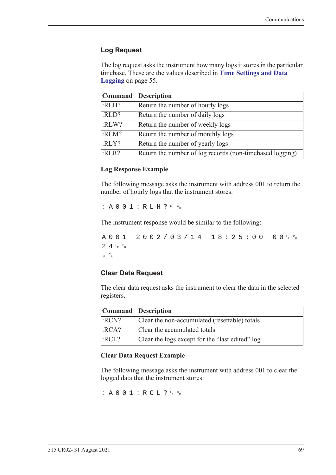#### **Log Request**

The log request asks the instrument how many logs it stores in the particular timebase. These are the values described in **[Time Settings and Data](#page-64-0)  Logging** [on page 55](#page-64-0).

|       | Command Description                                      |
|-------|----------------------------------------------------------|
| :RLH? | Return the number of hourly logs                         |
| :RLD? | Return the number of daily logs                          |
| :RLW? | Return the number of weekly logs                         |
| :RLM? | Return the number of monthly logs                        |
| :RLY? | Return the number of yearly logs                         |
| :RLR? | Return the number of log records (non-timebased logging) |

#### **Log Response Example**

The following message asks the instrument with address 001 to return the number of hourly logs that the instrument stores:

 $: A 0 0 1 : R L H ? \Leftrightarrow c_R$ 

The instrument response would be similar to the following:

A001 2002/03/14 18:25:00  $F$   $\circ$ R  $24r$ <sub>F</sub>  $c_R$ L <sup>F</sup> <sup>C</sup> R

#### **Clear Data Request**

The clear data request asks the instrument to clear the data in the selected registers.

| Command Description |                                                 |
|---------------------|-------------------------------------------------|
| :RCN?               | Clear the non-accumulated (resettable) totals   |
| $ $ :RCA?           | Clear the accumulated totals                    |
| :RCL?               | Clear the logs except for the "last edited" log |

#### **Clear Data Request Example**

The following message asks the instrument with address 001 to clear the logged data that the instrument stores:

: A 0 0 1 : R C L ?  $L_F$   $c_R$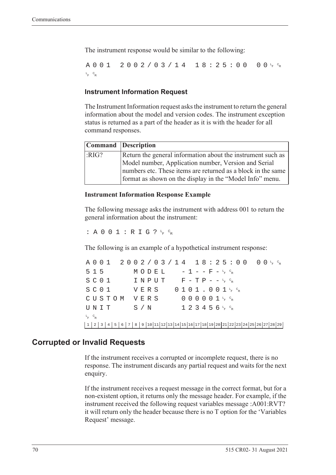The instrument response would be similar to the following:

A001 2002/03/14 18:25:00  $F$   $\circ$ <sub>R</sub> L <sup>F</sup> <sup>C</sup> R

#### <span id="page-79-0"></span>**Instrument Information Request**

The Instrument Information request asks the instrument to return the general information about the model and version codes. The instrument exception status is returned as a part of the header as it is with the header for all command responses.

|      | Command Description                                                                                                      |
|------|--------------------------------------------------------------------------------------------------------------------------|
| RIG? | Return the general information about the instrument such as                                                              |
|      | Model number, Application number, Version and Serial                                                                     |
|      | numbers etc. These items are returned as a block in the same<br>format as shown on the display in the "Model Info" menu. |

#### **Instrument Information Response Example**

The following message asks the instrument with address 001 to return the general information about the instrument:

: A 0 0 1 : R I G ?  $L_F$   $C_R$ 

The following is an example of a hypothetical instrument response:

A001 2002/03/14 18:25:00 <sup>F</sup> <sup>C</sup> R  $515$   $MODEL$   $-1--F-$ <sup>L</sup>F<sup>C</sup>R  $S$  C O  $1$  I N P U T F - T P - - <sup>L</sup><sub>F</sub> <sup>C</sup>R  $S$  C O  $1$  V E R S O  $1$  O  $1$  J  $1$  , O  $0$   $1$   $1$   $1$   $6$   $8$ CUSTOM VERS 000001<sup>t</sup>F<sup>c</sup>r  $\texttt{UNIT}$  S/N 123456<sup>L</sup>F <sup>C</sup>R L <sup>F</sup> <sup>C</sup> R 1 2 3 4 5 6 7 8 9 10 11 12 13 14 15 16 17 18 19 20 21 22 23 24 25 26 27 28 29

# **Corrupted or Invalid Requests**

If the instrument receives a corrupted or incomplete request, there is no response. The instrument discards any partial request and waits for the next enquiry.

If the instrument receives a request message in the correct format, but for a non-existent option, it returns only the message header. For example, if the instrument received the following request variables message :A001:RVT? it will return only the header because there is no T option for the 'Variables Request' message.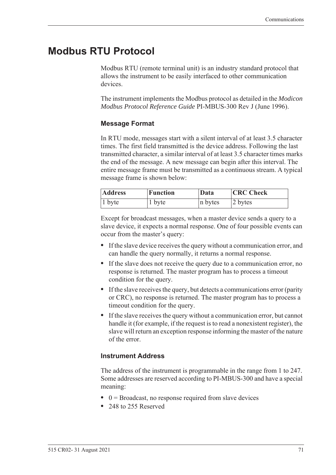# **Modbus RTU Protocol**

<span id="page-80-0"></span>Modbus RTU (remote terminal unit) is an industry standard protocol that allows the instrument to be easily interfaced to other communication devices.

The instrument implements the Modbus protocol as detailed in the *Modicon Modbus Protocol Reference Guide* PI-MBUS-300 Rev J (June 1996).

## **Message Format**

In RTU mode, messages start with a silent interval of at least 3.5 character times. The first field transmitted is the device address. Following the last transmitted character, a similar interval of at least 3.5 character times marks the end of the message. A new message can begin after this interval. The entire message frame must be transmitted as a continuous stream. A typical message frame is shown below:

| <b>Address</b> | <b>Function</b> | Data    | <b>CRC</b> Check |
|----------------|-----------------|---------|------------------|
| $ 1$ byte      | 1 byte          | n bytes | 2 bytes          |

Except for broadcast messages, when a master device sends a query to a slave device, it expects a normal response. One of four possible events can occur from the master's query:

- **•** If the slave device receives the query without a communication error, and can handle the query normally, it returns a normal response.
- **•** If the slave does not receive the query due to a communication error, no response is returned. The master program has to process a timeout condition for the query.
- **•** If the slave receives the query, but detects a communications error (parity or CRC), no response is returned. The master program has to process a timeout condition for the query.
- **•** If the slave receives the query without a communication error, but cannot handle it (for example, if the request is to read a nonexistent register), the slave will return an exception response informing the master of the nature of the error.

### **Instrument Address**

The address of the instrument is programmable in the range from 1 to 247. Some addresses are reserved according to PI-MBUS-300 and have a special meaning:

- 0 = Broadcast, no response required from slave devices
- **•** 248 to 255 Reserved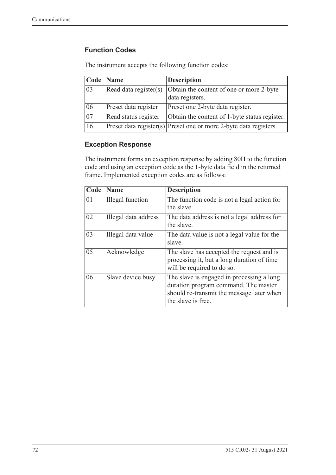# **Function Codes**

| Code            | <b>Name</b>           | <b>Description</b>                                                    |
|-----------------|-----------------------|-----------------------------------------------------------------------|
| 03              | Read data register(s) | Obtain the content of one or more 2-byte<br>data registers.           |
| 06              | Preset data register  | Preset one 2-byte data register.                                      |
| $\overline{07}$ | Read status register  | Obtain the content of 1-byte status register.                         |
| 16              |                       | $ $ Preset data register(s) Preset one or more 2-byte data registers. |

The instrument accepts the following function codes:

### **Exception Response**

The instrument forms an exception response by adding 80H to the function code and using an exception code as the 1-byte data field in the returned frame. Implemented exception codes are as follows:

| Code | <b>Name</b>             | <b>Description</b>                                                                                                                                   |
|------|-------------------------|------------------------------------------------------------------------------------------------------------------------------------------------------|
| 01   | <b>Illegal</b> function | The function code is not a legal action for<br>the slave.                                                                                            |
| 02   | Illegal data address    | The data address is not a legal address for<br>the slave.                                                                                            |
| 03   | Illegal data value      | The data value is not a legal value for the<br>slave.                                                                                                |
| 05   | Acknowledge             | The slave has accepted the request and is<br>processing it, but a long duration of time<br>will be required to do so.                                |
| 06   | Slave device busy       | The slave is engaged in processing a long<br>duration program command. The master<br>should re-transmit the message later when<br>the slave is free. |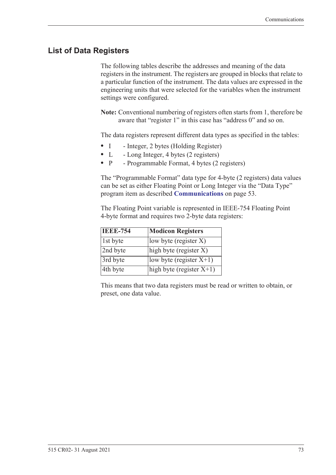# **List of Data Registers**

The following tables describe the addresses and meaning of the data registers in the instrument. The registers are grouped in blocks that relate to a particular function of the instrument. The data values are expressed in the engineering units that were selected for the variables when the instrument settings were configured.

**Note:** Conventional numbering of registers often starts from 1, therefore be aware that "register 1" in this case has "address 0" and so on.

The data registers represent different data types as specified in the tables:

- I Integer, 2 bytes (Holding Register)
- L Long Integer, 4 bytes (2 registers)
- P Programmable Format, 4 bytes (2 registers)

The "Programmable Format" data type for 4-byte (2 registers) data values can be set as either Floating Point or Long Integer via the "Data Type" program item as described **[Communications](#page-62-0)** on page 53.

The Floating Point variable is represented in IEEE-754 Floating Point 4-byte format and requires two 2-byte data registers:

| <b>IEEE-754</b> | <b>Modicon Registers</b>                       |
|-----------------|------------------------------------------------|
| 1st byte        | low byte (register $X$ )                       |
| 2nd byte        | $\left  \text{high byte (register X)} \right $ |
| 3rd byte        | low byte (register $X+1$ )                     |
| 4th byte        | high byte (register $X+1$ )                    |

This means that two data registers must be read or written to obtain, or preset, one data value.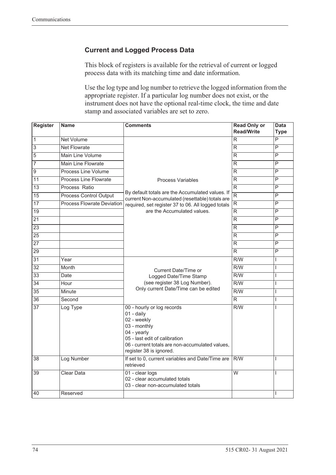# **Current and Logged Process Data**

This block of registers is available for the retrieval of current or logged process data with its matching time and date information.

Use the log type and log number to retrieve the logged information from the appropriate register. If a particular log number does not exist, or the instrument does not have the optional real-time clock, the time and date stamp and associated variables are set to zero.

| <b>Register</b> | <b>Name</b>                                                                 | <b>Comments</b>                                                                                                                                                                                                                                                                                                             | <b>Read Only or</b><br><b>Read/Write</b> | Data<br><b>Type</b>      |
|-----------------|-----------------------------------------------------------------------------|-----------------------------------------------------------------------------------------------------------------------------------------------------------------------------------------------------------------------------------------------------------------------------------------------------------------------------|------------------------------------------|--------------------------|
| $\overline{1}$  | <b>Net Volume</b>                                                           |                                                                                                                                                                                                                                                                                                                             | R                                        | $\overline{\mathsf{P}}$  |
| $\overline{3}$  | <b>Net Flowrate</b>                                                         |                                                                                                                                                                                                                                                                                                                             | R                                        | P                        |
| $\overline{5}$  | <b>Main Line Volume</b>                                                     |                                                                                                                                                                                                                                                                                                                             | R                                        | $\overline{P}$           |
| $\overline{7}$  | <b>Main Line Flowrate</b>                                                   |                                                                                                                                                                                                                                                                                                                             | R                                        | $\overline{\mathsf{P}}$  |
| $\overline{9}$  | Process Line Volume                                                         |                                                                                                                                                                                                                                                                                                                             | $\overline{\mathsf{R}}$                  | $\overline{\mathsf{P}}$  |
| 11              | <b>Process Line Flowrate</b>                                                | <b>Process Variables</b>                                                                                                                                                                                                                                                                                                    | R                                        | P                        |
| 13              | Process Ratio                                                               |                                                                                                                                                                                                                                                                                                                             | R                                        | P                        |
| 15              | Process Control Output                                                      |                                                                                                                                                                                                                                                                                                                             | $\overline{\mathsf{R}}$                  | P                        |
| $\overline{17}$ | <b>Process Flowrate Deviation</b>                                           |                                                                                                                                                                                                                                                                                                                             | R                                        | $\overline{P}$           |
| $\overline{19}$ |                                                                             | By default totals are the Accumulated values. If<br>current Non-accumulated (resettable) totals are<br>required, set register 37 to 06. All logged totals<br>are the Accumulated values.<br>R<br>$\overline{\mathsf{R}}$<br>$\overline{\mathsf{R}}$<br>R<br>R<br>R<br><b>Current Date/Time or</b><br>Logged Date/Time Stamp |                                          | P                        |
| $\overline{21}$ |                                                                             |                                                                                                                                                                                                                                                                                                                             |                                          | P                        |
| $\overline{23}$ |                                                                             |                                                                                                                                                                                                                                                                                                                             |                                          | $\overline{\mathsf{P}}$  |
| $\overline{25}$ |                                                                             |                                                                                                                                                                                                                                                                                                                             |                                          | P                        |
| $\overline{27}$ |                                                                             |                                                                                                                                                                                                                                                                                                                             |                                          | P                        |
| $\overline{29}$ |                                                                             |                                                                                                                                                                                                                                                                                                                             |                                          | $\mathsf{P}$             |
| $\overline{31}$ | Year                                                                        |                                                                                                                                                                                                                                                                                                                             | R/W                                      | T                        |
| $\overline{32}$ | Month                                                                       |                                                                                                                                                                                                                                                                                                                             | $\overline{R/W}$                         | $\overline{\phantom{a}}$ |
| $\overline{33}$ | Date                                                                        |                                                                                                                                                                                                                                                                                                                             | R/W                                      | I                        |
| $\overline{34}$ | Hour                                                                        | (see register 38 Log Number).                                                                                                                                                                                                                                                                                               | R/W                                      | $\overline{1}$           |
| $\overline{35}$ | Minute<br>Second<br>Log Type<br>Log Number<br><b>Clear Data</b><br>Reserved | Only current Date/Time can be edited                                                                                                                                                                                                                                                                                        | R/W                                      | ı                        |
| $\overline{36}$ |                                                                             |                                                                                                                                                                                                                                                                                                                             | $\overline{\mathsf{R}}$                  | $\overline{\phantom{a}}$ |
| $\overline{37}$ |                                                                             | 00 - hourly or log records<br>$01 - \text{daily}$<br>02 - weekly<br>03 - monthly<br>04 - yearly<br>05 - last edit of calibration<br>06 - current totals are non-accumulated values,<br>register 38 is ignored.                                                                                                              | $\overline{R/W}$                         | ı                        |
| 38              |                                                                             | If set to 0, current variables and Date/Time are<br>retrieved                                                                                                                                                                                                                                                               | $\overline{R/W}$                         | ı                        |
| 39              |                                                                             | 01 - clear logs<br>02 - clear accumulated totals<br>03 - clear non-accumulated totals                                                                                                                                                                                                                                       | W                                        | ı                        |
| 40              |                                                                             |                                                                                                                                                                                                                                                                                                                             |                                          | ı                        |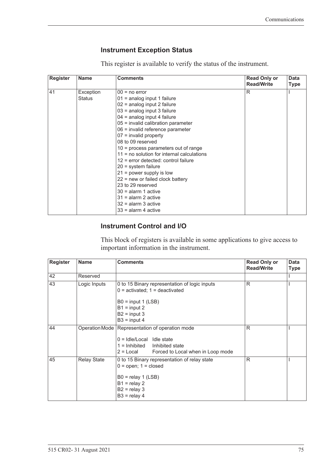# <span id="page-84-1"></span><span id="page-84-0"></span>**Instrument Exception Status**

This register is available to verify the status of the instrument.

| <b>Register</b> | <b>Name</b> | <b>Comments</b>                              | <b>Read Only or</b><br><b>Read/Write</b> | <b>Data</b><br><b>Type</b> |
|-----------------|-------------|----------------------------------------------|------------------------------------------|----------------------------|
| 41              | Exception   | $00 = no error$                              | R                                        |                            |
|                 | Status      | $01$ = analog input 1 failure                |                                          |                            |
|                 |             | 02 = analog input 2 failure                  |                                          |                            |
|                 |             | 03 = analog input 3 failure                  |                                          |                            |
|                 |             | 04 = analog input 4 failure                  |                                          |                            |
|                 |             | 05 = invalid calibration parameter           |                                          |                            |
|                 |             | 06 = invalid reference parameter             |                                          |                            |
|                 |             | $07$ = invalid property                      |                                          |                            |
|                 |             | 08 to 09 reserved                            |                                          |                            |
|                 |             | $10$ = process parameters out of range       |                                          |                            |
|                 |             | $11$ = no solution for internal calculations |                                          |                            |
|                 |             | 12 = error detected: control failure         |                                          |                            |
|                 |             | $20 =$ system failure                        |                                          |                            |
|                 |             | $21$ = power supply is low                   |                                          |                            |
|                 |             | $22$ = new or failed clock battery           |                                          |                            |
|                 |             | 23 to 29 reserved                            |                                          |                            |
|                 |             | $30$ = alarm 1 active                        |                                          |                            |
|                 |             | $31$ = alarm 2 active                        |                                          |                            |
|                 |             | $32$ = alarm 3 active                        |                                          |                            |
|                 |             | $33$ = alarm 4 active                        |                                          |                            |

## **Instrument Control and I/O**

This block of registers is available in some applications to give access to important information in the instrument.

| <b>Register</b> | <b>Name</b>        | <b>Comments</b>                                                                                                                                                    | <b>Read Only or</b><br><b>Read/Write</b> | <b>Data</b><br><b>Type</b> |
|-----------------|--------------------|--------------------------------------------------------------------------------------------------------------------------------------------------------------------|------------------------------------------|----------------------------|
| 42              | Reserved           |                                                                                                                                                                    |                                          |                            |
| 43              | Logic Inputs       | 0 to 15 Binary representation of logic inputs<br>$0 =$ activated; $1 =$ deactivated<br>$B0 = input 1 (LSB)$<br>$B1 = input 2$<br>$B2 = input 3$<br>$B3 = input 4$  | R                                        |                            |
| 44              |                    | Operation Mode   Representation of operation mode<br>$0 =$ Idle/Local Idle state<br>1 = Inhibited Inhibited state<br>$2 =$ Local Forced to Local when in Loop mode | R                                        |                            |
| 45              | <b>Relay State</b> | 0 to 15 Binary representation of relay state<br>$0 =$ open; $1 =$ closed<br>$B0 =$ relay 1 (LSB)<br>$B1 =$ relay 2<br>$B2 =$ relay 3<br>$B3 =$ relay 4             | R                                        |                            |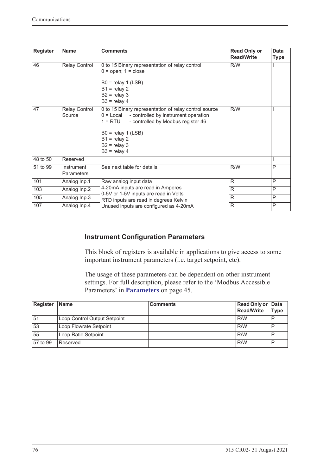| <b>Register</b> | <b>Name</b>                     | <b>Comments</b>                                                                                                                                                                                                                               | <b>Read Only or</b><br><b>Read/Write</b> | Data<br><b>Type</b> |
|-----------------|---------------------------------|-----------------------------------------------------------------------------------------------------------------------------------------------------------------------------------------------------------------------------------------------|------------------------------------------|---------------------|
| 46              | <b>Relay Control</b>            | 0 to 15 Binary representation of relay control<br>$0 =$ open; $1 =$ close<br>$B0 =$ relay 1 (LSB)<br>$B1 =$ relay 2<br>$B2 =$ relay 3<br>$B3 =$ relay 4                                                                                       | R/W                                      |                     |
| 47              | <b>Relay Control</b><br>Source  | 0 to 15 Binary representation of relay control source<br>$0 = Local$<br>- controlled by instrument operation<br>- controlled by Modbus register 46<br>$1 = RTU$<br>$B0 =$ relay 1 (LSB)<br>$B1 =$ relay 2<br>$B2 =$ relay 3<br>$B3 =$ relay 4 | R/W                                      |                     |
| 48 to 50        | Reserved                        |                                                                                                                                                                                                                                               |                                          |                     |
| 51 to 99        | Instrument<br><b>Parameters</b> | See next table for details.                                                                                                                                                                                                                   | R/W                                      | P                   |
| 101             | Analog Inp.1                    | Raw analog input data                                                                                                                                                                                                                         | R.                                       | P                   |
| 103             | Analog Inp.2                    | 4-20mA inputs are read in Amperes                                                                                                                                                                                                             | R                                        | P                   |
| 105             | Analog Inp.3                    | 0-5V or 1-5V inputs are read in Volts<br>RTD inputs are read in degrees Kelvin                                                                                                                                                                | R                                        | P                   |
| 107             | Analog Inp.4                    | Unused inputs are configured as 4-20mA                                                                                                                                                                                                        | R                                        | P                   |

# **Instrument Configuration Parameters**

This block of registers is available in applications to give access to some important instrument parameters (i.e. target setpoint, etc).

The usage of these parameters can be dependent on other instrument settings. For full description, please refer to the 'Modbus Accessible Parameters' in **[Parameters](#page-54-0)** on page 45.

| <b>Register</b> | <b>Name</b>                  | <b>Comments</b> | Read Only or Data<br><b>Read/Write</b> | <b>Type</b> |
|-----------------|------------------------------|-----------------|----------------------------------------|-------------|
| 51              | Loop Control Output Setpoint |                 | IR/W                                   |             |
| 53              | Loop Flowrate Setpoint       |                 | IR/W                                   | D           |
| 55              | Loop Ratio Setpoint          |                 | l R/W                                  |             |
| 57 to 99        | l Reserved                   |                 | IR/W                                   | ▫           |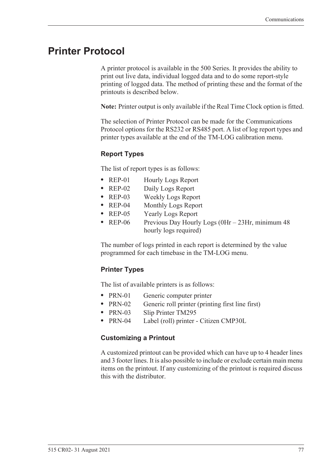# <span id="page-86-0"></span>**Printer Protocol**

<span id="page-86-2"></span>A printer protocol is available in the 500 Series. It provides the ability to print out live data, individual logged data and to do some report-style printing of logged data. The method of printing these and the format of the printouts is described below.

**Note:** Printer output is only available if the Real Time Clock option is fitted.

The selection of Printer Protocol can be made for the Communications Protocol options for the RS232 or RS485 port. A list of log report types and printer types available at the end of the TM-LOG calibration menu.

## <span id="page-86-3"></span>**Report Types**

The list of report types is as follows:

- REP-01 Hourly Logs Report
- **•** REP-02 Daily Logs Report
- **•** REP-03 Weekly Logs Report
- **•** REP-04 Monthly Logs Report
- **•** REP-05 Yearly Logs Report
- REP-06 Previous Day Hourly Logs (0Hr 23Hr, minimum 48 hourly logs required)

The number of logs printed in each report is determined by the value programmed for each timebase in the TM-LOG menu.

# <span id="page-86-4"></span>**Printer Types**

The list of available printers is as follows:

- PRN-01 Generic computer printer
- **•** PRN-02 Generic roll printer (printing first line first)
- **•** PRN-03 Slip Printer TM295
- **•** PRN-04 Label (roll) printer Citizen CMP30L

### <span id="page-86-1"></span>**Customizing a Printout**

A customized printout can be provided which can have up to 4 header lines and 3 footer lines. It is also possible to include or exclude certain main menu items on the printout. If any customizing of the printout is required discuss this with the distributor.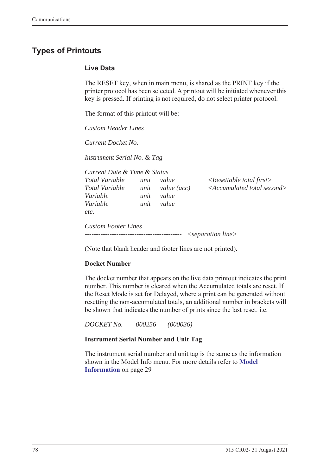# <span id="page-87-1"></span>**Types of Printouts**

#### <span id="page-87-0"></span>**Live Data**

The RESET key, when in main menu, is shared as the PRINT key if the printer protocol has been selected. A printout will be initiated whenever this key is pressed. If printing is not required, do not select printer protocol.

The format of this printout will be:

*Custom Header Lines*

*Current Docket No.* 

*Instrument Serial No. & Tag*

| Current Date & Time & Status                                                   |                              |                                         |                                                                                   |
|--------------------------------------------------------------------------------|------------------------------|-----------------------------------------|-----------------------------------------------------------------------------------|
| <b>Total Variable</b><br><b>Total Variable</b><br>Variable<br>Variable<br>etc. | unit<br>unit<br>unit<br>unit | value<br>value $(ac)$<br>value<br>value | $\langle$ Resettable total first $\rangle$<br>$\leq$ Accumulated total second $>$ |
| <b>Custom Footer Lines</b>                                                     |                              |                                         | $\leq$ separation line $>$                                                        |

(Note that blank header and footer lines are not printed).

### **Docket Number**

The docket number that appears on the live data printout indicates the print number. This number is cleared when the Accumulated totals are reset. If the Reset Mode is set for Delayed, where a print can be generated without resetting the non-accumulated totals, an additional number in brackets will be shown that indicates the number of prints since the last reset. i.e.

*DOCKET No. 000256 (000036)*

#### **Instrument Serial Number and Unit Tag**

The instrument serial number and unit tag is the same as the information shown in the Model Info menu. For more details refer to **[Model](#page-38-0)  [Information](#page-38-0)** on page 29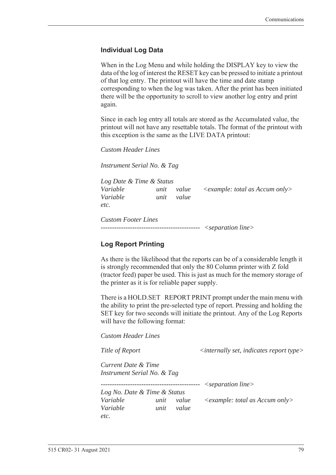## <span id="page-88-0"></span>**Individual Log Data**

When in the Log Menu and while holding the DISPLAY key to view the data of the log of interest the RESET key can be pressed to initiate a printout of that log entry. The printout will have the time and date stamp corresponding to when the log was taken. After the print has been initiated there will be the opportunity to scroll to view another log entry and print again.

Since in each log entry all totals are stored as the Accumulated value, the printout will not have any resettable totals. The format of the printout with this exception is the same as the LIVE DATA printout:

*Custom Header Lines*

*Instrument Serial No. & Tag*

| Log Date & Time & Status   |      |       |                                        |
|----------------------------|------|-------|----------------------------------------|
| Variable                   | unit | value | $\langle$ example: total as Accum only |
| Variable                   | unit | value |                                        |
| etc.                       |      |       |                                        |
| <b>Custom Footer Lines</b> |      |       |                                        |

*-------------------------------------------- <separation line>*

# <span id="page-88-1"></span>**Log Report Printing**

As there is the likelihood that the reports can be of a considerable length it is strongly recommended that only the 80 Column printer with Z fold (tractor feed) paper be used. This is just as much for the memory storage of the printer as it is for reliable paper supply.

There is a HOLD.SET REPORT PRINT prompt under the main menu with the ability to print the pre-selected type of report. Pressing and holding the SET key for two seconds will initiate the printout. Any of the Log Reports will have the following format:

*Custom Header Lines*

*Title of Report*  $\langle$  *internally set, indicates report type>* 

*Current Date & Time Instrument Serial No. & Tag*

*-------------------------------------------- <separation line> Log No. Date & Time & Status Variable unit value <example: total as Accum only> Variable unit value etc.*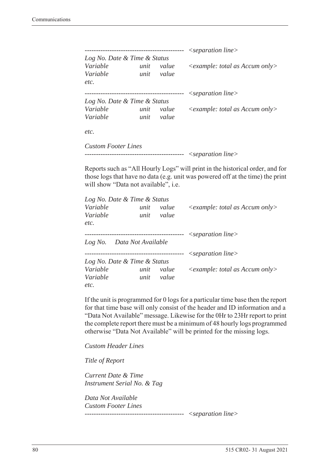|                              |                                     | --------- | $\leq$ separation line $>$              |
|------------------------------|-------------------------------------|-----------|-----------------------------------------|
| Log No. Date & Time & Status |                                     |           |                                         |
| Variable                     | unit                                | value     | $\leq$ example: total as Accum only $>$ |
| Variable                     | unit                                | value     |                                         |
| etc.                         |                                     |           |                                         |
|                              | ----------------------------------- |           | $\leq$ separation line $>$              |
| Log No. Date & Time & Status |                                     |           |                                         |
| Variable                     | unit                                | value     | $\leq$ example: total as Accum only $>$ |
| Variable                     | unit                                | value     |                                         |
| etc.                         |                                     |           |                                         |
| <b>Custom Footer Lines</b>   |                                     |           |                                         |

*-------------------------------------------- <separation line>*

Reports such as "All Hourly Logs" will print in the historical order, and for those logs that have no data (e.g. unit was powered off at the time) the print will show "Data not available", i.e.

| Log No. Date & Time & Status |                                     |       |                                      |
|------------------------------|-------------------------------------|-------|--------------------------------------|
| Variable                     | unit                                | value | $\leq$ example: total as Accum only> |
| Variable                     | unit                                | value |                                      |
| etc.                         |                                     |       |                                      |
|                              | ----------------------------------- |       | $\leq$ separation line $>$           |
| Log No. Data Not Available   |                                     |       |                                      |
|                              |                                     |       | $\leq$ separation line $>$           |
| Log No. Date & Time & Status |                                     |       |                                      |
| Variable                     | unit                                | value | $\leq$ example: total as Accum only> |
| Variable                     | unit                                | value |                                      |
| etc.                         |                                     |       |                                      |

If the unit is programmed for 0 logs for a particular time base then the report for that time base will only consist of the header and ID information and a "Data Not Available" message. Likewise for the 0Hr to 23Hr report to print the complete report there must be a minimum of 48 hourly logs programmed otherwise "Data Not Available" will be printed for the missing logs.

*Custom Header Lines*

*Title of Report*

*Current Date & Time Instrument Serial No. & Tag*

*Data Not Available Custom Footer Lines -------------------------------------------- <separation line>*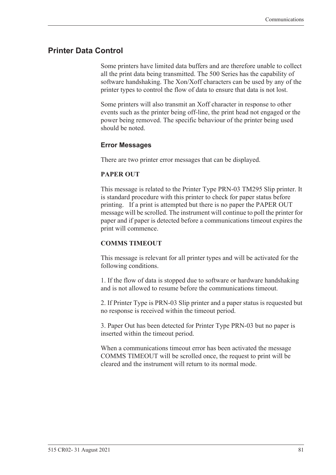# <span id="page-90-0"></span>**Printer Data Control**

Some printers have limited data buffers and are therefore unable to collect all the print data being transmitted. The 500 Series has the capability of software handshaking. The Xon/Xoff characters can be used by any of the printer types to control the flow of data to ensure that data is not lost.

Some printers will also transmit an Xoff character in response to other events such as the printer being off-line, the print head not engaged or the power being removed. The specific behaviour of the printer being used should be noted.

# <span id="page-90-1"></span>**Error Messages**

There are two printer error messages that can be displayed.

### **PAPER OUT**

This message is related to the Printer Type PRN-03 TM295 Slip printer. It is standard procedure with this printer to check for paper status before printing. If a print is attempted but there is no paper the PAPER OUT message will be scrolled. The instrument will continue to poll the printer for paper and if paper is detected before a communications timeout expires the print will commence.

# **COMMS TIMEOUT**

This message is relevant for all printer types and will be activated for the following conditions.

1. If the flow of data is stopped due to software or hardware handshaking and is not allowed to resume before the communications timeout.

2. If Printer Type is PRN-03 Slip printer and a paper status is requested but no response is received within the timeout period.

3. Paper Out has been detected for Printer Type PRN-03 but no paper is inserted within the timeout period.

When a communications timeout error has been activated the message COMMS TIMEOUT will be scrolled once, the request to print will be cleared and the instrument will return to its normal mode.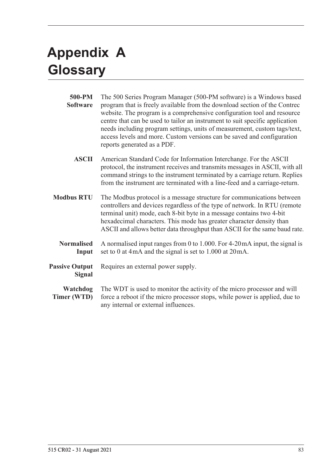# <span id="page-92-1"></span>**Appendix A Glossary**

<span id="page-92-0"></span>

| <b>500-PM</b><br><b>Software</b>       | The 500 Series Program Manager (500-PM software) is a Windows based<br>program that is freely available from the download section of the Contrec<br>website. The program is a comprehensive configuration tool and resource<br>centre that can be used to tailor an instrument to suit specific application<br>needs including program settings, units of measurement, custom tags/text,<br>access levels and more. Custom versions can be saved and configuration<br>reports generated as a PDF. |
|----------------------------------------|---------------------------------------------------------------------------------------------------------------------------------------------------------------------------------------------------------------------------------------------------------------------------------------------------------------------------------------------------------------------------------------------------------------------------------------------------------------------------------------------------|
| <b>ASCII</b>                           | American Standard Code for Information Interchange. For the ASCII<br>protocol, the instrument receives and transmits messages in ASCII, with all<br>command strings to the instrument terminated by a carriage return. Replies<br>from the instrument are terminated with a line-feed and a carriage-return.                                                                                                                                                                                      |
| <b>Modbus RTU</b>                      | The Modbus protocol is a message structure for communications between<br>controllers and devices regardless of the type of network. In RTU (remote<br>terminal unit) mode, each 8-bit byte in a message contains two 4-bit<br>hexadecimal characters. This mode has greater character density than<br>ASCII and allows better data throughput than ASCII for the same baud rate.                                                                                                                  |
| <b>Normalised</b><br>Input             | A normalised input ranges from 0 to 1.000. For 4-20 mA input, the signal is<br>set to 0 at 4mA and the signal is set to 1.000 at 20mA.                                                                                                                                                                                                                                                                                                                                                            |
| <b>Passive Output</b><br><b>Signal</b> | Requires an external power supply.                                                                                                                                                                                                                                                                                                                                                                                                                                                                |
| Watchdog<br>Timer (WTD)                | The WDT is used to monitor the activity of the micro processor and will<br>force a reboot if the micro processor stops, while power is applied, due to<br>any internal or external influences.                                                                                                                                                                                                                                                                                                    |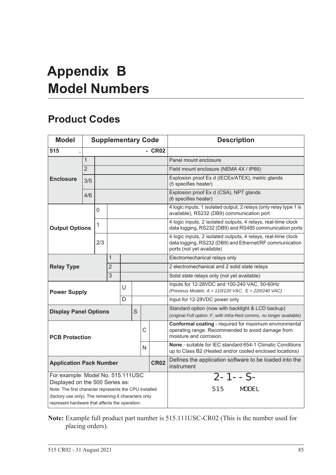# <span id="page-94-1"></span>**Appendix B Model Numbers**

# <span id="page-94-0"></span>**Product Codes**

| <b>Model</b>                                                         | <b>Supplementary Code</b> |              |                |   |                                                                      |                               |         | <b>Description</b>                                                                                                                                    |  |  |
|----------------------------------------------------------------------|---------------------------|--------------|----------------|---|----------------------------------------------------------------------|-------------------------------|---------|-------------------------------------------------------------------------------------------------------------------------------------------------------|--|--|
| 515                                                                  |                           |              |                |   |                                                                      |                               | $-CR02$ |                                                                                                                                                       |  |  |
|                                                                      | $\mathbf{1}$              |              |                |   |                                                                      |                               |         | Panel mount enclosure                                                                                                                                 |  |  |
|                                                                      | $\overline{2}$            |              |                |   |                                                                      |                               |         | Field mount enclosure (NEMA 4X / IP66)                                                                                                                |  |  |
| <b>Enclosure</b>                                                     | 3/5                       |              |                |   |                                                                      |                               |         | Explosion proof Ex d (IECEx/ATEX), metric glands<br>(5 specifies heater)                                                                              |  |  |
|                                                                      | 4/6                       |              |                |   |                                                                      |                               |         | Explosion proof Ex d (CSA), NPT glands<br>(6 specifies heater)                                                                                        |  |  |
|                                                                      |                           | 0            |                |   |                                                                      |                               |         | 4 logic inputs, 1 isolated output, 2 relays (only relay type 1 is<br>available), RS232 (DB9) communication port                                       |  |  |
| <b>Output Options</b>                                                |                           | $\mathbf{1}$ |                |   |                                                                      |                               |         | 4 logic inputs, 2 isolated outputs, 4 relays, real-time clock<br>data logging, RS232 (DB9) and RS485 communication ports                              |  |  |
|                                                                      |                           | 2/3          |                |   |                                                                      |                               |         | 4 logic inputs, 2 isolated outputs, 4 relays, real-time clock<br>data logging, RS232 (DB9) and Ethernet/RF communication<br>ports (not yet available) |  |  |
| 1                                                                    |                           |              |                |   |                                                                      | Electromechanical relays only |         |                                                                                                                                                       |  |  |
| <b>Relay Type</b>                                                    |                           |              | $\overline{2}$ |   |                                                                      |                               |         | 2 electromechanical and 2 solid state relays                                                                                                          |  |  |
|                                                                      |                           |              | 3              |   |                                                                      |                               |         | Solid state relays only (not yet available)                                                                                                           |  |  |
| <b>Power Supply</b>                                                  |                           |              |                | U |                                                                      |                               |         | Inputs for 12-28VDC and 100-240 VAC, 50-60Hz<br>(Previous Models: $A = 110/120$ VAC, $E = 220/240$ VAC)                                               |  |  |
|                                                                      |                           |              |                | D |                                                                      |                               |         | Input for 12-28VDC power only                                                                                                                         |  |  |
| <b>Display Panel Options</b>                                         |                           |              |                |   | S                                                                    |                               |         | Standard option (now with backlight & LCD backup)<br>(original Full option: F, with Infra-Red comms, no longer available)                             |  |  |
| <b>PCB Protection</b>                                                |                           |              |                |   |                                                                      | C                             |         | Conformal coating - required for maximum environmental<br>operating range. Recommended to avoid damage from<br>moisture and corrosion.                |  |  |
| N                                                                    |                           |              |                |   |                                                                      |                               |         | None - suitable for IEC standard 654-1 Climatic Conditions<br>up to Class B2 (Heated and/or cooled enclosed locations)                                |  |  |
| <b>CR02</b><br><b>Application Pack Number</b>                        |                           |              |                |   | Defines the application software to be loaded into the<br>instrument |                               |         |                                                                                                                                                       |  |  |
| For example: Model No. 515.111USC<br>Displayed on the 500 Series as: |                           |              |                |   |                                                                      |                               |         | $2 - 1 - -5 -$                                                                                                                                        |  |  |
| Note: The first character represents the CPU installed               |                           |              |                |   |                                                                      |                               |         | <b>MODEL</b><br>515                                                                                                                                   |  |  |
| (factory use only). The remaining 6 characters only                  |                           |              |                |   |                                                                      |                               |         |                                                                                                                                                       |  |  |
| represent hardware that affects the operation.                       |                           |              |                |   |                                                                      |                               |         |                                                                                                                                                       |  |  |

**Note:** Example full product part number is 515.111USC-CR02 (This is the number used for placing orders).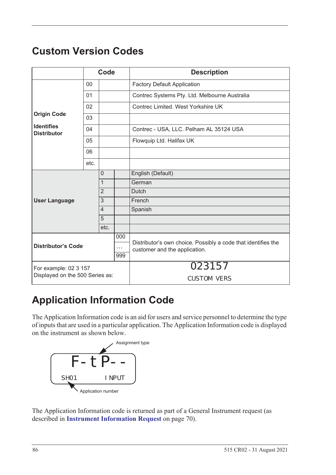# <span id="page-95-1"></span>**Custom Version Codes**

|                                         | Code   |                |                                                                                                | <b>Description</b>                            |
|-----------------------------------------|--------|----------------|------------------------------------------------------------------------------------------------|-----------------------------------------------|
|                                         | $00\,$ |                |                                                                                                | <b>Factory Default Application</b>            |
|                                         | 01     |                |                                                                                                | Contrec Systems Pty. Ltd. Melbourne Australia |
|                                         | 02     |                |                                                                                                | Contrec Limited, West Yorkshire UK            |
| <b>Origin Code</b>                      | 03     |                |                                                                                                |                                               |
| <b>Identifies</b><br><b>Distributor</b> | 04     |                |                                                                                                | Contrec - USA, LLC. Pelham AL 35124 USA       |
|                                         | 05     |                |                                                                                                | Flowquip Ltd. Halifax UK                      |
|                                         | 06     |                |                                                                                                |                                               |
|                                         | etc.   |                |                                                                                                |                                               |
|                                         |        | $\overline{0}$ |                                                                                                | English (Default)                             |
|                                         |        | $\mathbf{1}$   |                                                                                                | German                                        |
|                                         |        | $\overline{2}$ |                                                                                                | Dutch                                         |
| <b>User Language</b>                    |        | 3              |                                                                                                | French                                        |
|                                         |        | $\overline{4}$ |                                                                                                | Spanish                                       |
|                                         |        | $\overline{5}$ |                                                                                                |                                               |
|                                         |        | etc.           |                                                                                                |                                               |
|                                         |        |                | 000                                                                                            |                                               |
| <b>Distributor's Code</b><br>.<br>999   |        |                | Distributor's own choice. Possibly a code that identifies the<br>customer and the application. |                                               |
|                                         |        |                |                                                                                                |                                               |
| For example: 02 3 157                   |        |                | 023157                                                                                         |                                               |
| Displayed on the 500 Series as:         |        |                |                                                                                                | <b>CUSTOM VERS</b>                            |

# **Application Information Code**

The Application Information code is an aid for users and service personnel to determine the type of inputs that are used in a particular application. The Application Information code is displayed on the instrument as shown below.

<span id="page-95-0"></span>

The Application Information code is returned as part of a General Instrument request (as described in **[Instrument Information Request](#page-79-0)** on page 70).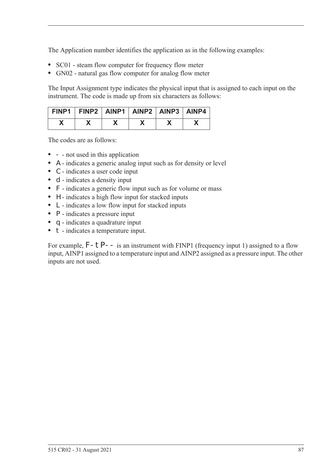The Application number identifies the application as in the following examples:

- **•** SC01 steam flow computer for frequency flow meter
- **•** GN02 natural gas flow computer for analog flow meter

The Input Assignment type indicates the physical input that is assigned to each input on the instrument. The code is made up from six characters as follows:

| FINP1   FINP2   AINP1   AINP2   AINP3   AINP4 |  |  |  |
|-----------------------------------------------|--|--|--|
|                                               |  |  |  |

The codes are as follows:

- – not used in this application
- **•** A indicates a generic analog input such as for density or level
- **•** C indicates a user code input
- d indicates a density input
- F indicates a generic flow input such as for volume or mass
- $\vdash$  indicates a high flow input for stacked inputs
- L indicates a low flow input for stacked inputs
- **•** P indicates a pressure input
- q indicates a quadrature input
- t indicates a temperature input.

For example,  $F - tP - -$  is an instrument with FINP1 (frequency input 1) assigned to a flow input, AINP1 assigned to a temperature input and AINP2 assigned as a pressure input. The other inputs are not used.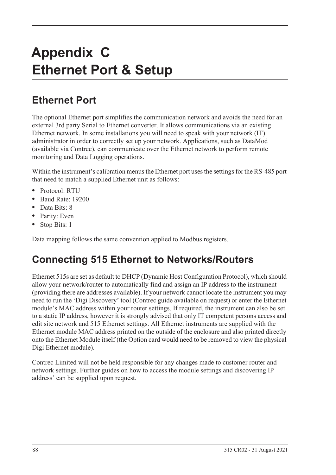# <span id="page-97-0"></span>**Appendix C Ethernet Port & Setup**

# **Ethernet Port**

The optional Ethernet port simplifies the communication network and avoids the need for an external 3rd party Serial to Ethernet converter. It allows communications via an existing Ethernet network. In some installations you will need to speak with your network (IT) administrator in order to correctly set up your network. Applications, such as DataMod (available via Contrec), can communicate over the Ethernet network to perform remote monitoring and Data Logging operations.

Within the instrument's calibration menus the Ethernet port uses the settings for the RS-485 port that need to match a supplied Ethernet unit as follows:

- **•** Protocol: RTU
- **•** Baud Rate: 19200
- **•** Data Bits: 8
- **•** Parity: Even
- **•** Stop Bits: 1

Data mapping follows the same convention applied to Modbus registers.

# **Connecting 515 Ethernet to Networks/Routers**

Ethernet 515s are set as default to DHCP (Dynamic Host Configuration Protocol), which should allow your network/router to automatically find and assign an IP address to the instrument (providing there are addresses available). If your network cannot locate the instrument you may need to run the 'Digi Discovery' tool (Contrec guide available on request) or enter the Ethernet module's MAC address within your router settings. If required, the instrument can also be set to a static IP address, however it is strongly advised that only IT competent persons access and edit site network and 515 Ethernet settings. All Ethernet instruments are supplied with the Ethernet module MAC address printed on the outside of the enclosure and also printed directly onto the Ethernet Module itself (the Option card would need to be removed to view the physical Digi Ethernet module).

Contrec Limited will not be held responsible for any changes made to customer router and network settings. Further guides on how to access the module settings and discovering IP address' can be supplied upon request.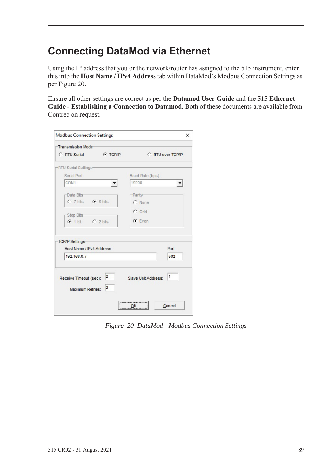# **Connecting DataMod via Ethernet**

Using the IP address that you or the network/router has assigned to the 515 instrument, enter this into the **Host Name / IPv4 Address** tab within DataMod's Modbus Connection Settings as per [Figure 20.](#page-98-0)

Ensure all other settings are correct as per the **Datamod User Guide** and the **515 Ethernet Guide - Establishing a Connection to Datamod**. Both of these documents are available from Contrec on request.

| Transmission Mode-                                  |                 |                     |                      |
|-----------------------------------------------------|-----------------|---------------------|----------------------|
| C RTU Serial                                        | <b>C</b> TCP/IP |                     | C RTU over TCP/IP    |
| -RTU Serial Settings-                               |                 |                     |                      |
| Serial Port:                                        |                 | Baud Rate (bps):    |                      |
| COM <sub>1</sub>                                    |                 | 19200               | $\blacktriangledown$ |
| -Data Bits-<br>C 7 bits C 8 bits                    |                 | -Parity-<br>C None  |                      |
| -Stop Bits-                                         |                 | $C$ Odd             |                      |
| $C$ 1 bit $C$ 2 bits                                |                 | $G$ Even            |                      |
| TCP/IP Settings<br>Host Name / IPv4 Address:        |                 |                     | Port:                |
| 192.168.0.7                                         |                 |                     | 502                  |
| Receive Timeout (sec): 2<br><b>Maximum Retries:</b> | 12              | Slave Unit Address: | 1                    |
|                                                     |                 | ,                   | Cancel               |

<span id="page-98-0"></span>*Figure 20 DataMod - Modbus Connection Settings*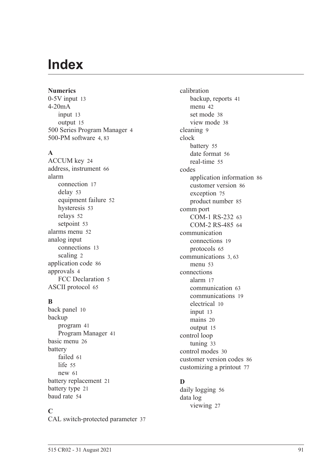# **Index**

#### **Numerics**

0-5V inpu[t 13](#page-22-0) 4-20mA input [13](#page-22-1) output [15](#page-24-0) 500 Series Program Manage[r 4](#page-13-0) 500-PM software [4,](#page-13-0) [83](#page-92-0)

# **A**

ACCUM ke[y 24](#page-33-0) address, instrumen[t 66](#page-75-0) alarm connection [17](#page-26-0) dela[y 53](#page-62-1) equipment failur[e 52](#page-61-0) hysteresi[s 53](#page-62-2) relays [52](#page-61-1) setpoin[t 53](#page-62-3) alarms menu [52](#page-61-2) analog input connection[s 13](#page-22-2) scalin[g 2](#page-11-0) application cod[e 86](#page-95-0) approvals [4](#page-13-1) FCC Declaration [5](#page-14-0) ASCII protoco[l 65](#page-74-0)

# **B**

back panel [10](#page-19-0) backup program [41](#page-50-0) Program Manage[r 41](#page-50-1) basic men[u 26](#page-35-0) battery faile[d 61](#page-70-0) lif[e 55](#page-64-1) ne[w 61](#page-70-0) battery replacemen[t 21](#page-30-0) battery typ[e 21](#page-30-1) baud rat[e 54](#page-63-0)

# **C**

CAL switch-protected parameter [37](#page-46-0)

calibration backup, reports [41](#page-50-0) menu [42](#page-51-0) set mode [38](#page-47-0) view mode [38](#page-47-1) cleaning [9](#page-18-0) clock batter[y 55](#page-64-1) date format [56](#page-65-0) real-tim[e 55](#page-64-2) codes application information [86](#page-95-0) customer versio[n 86](#page-95-1) exception [75](#page-84-1) product numbe[r 85](#page-94-0) comm port COM-1 RS-232 [63](#page-72-1) COM-2 RS-485 [64](#page-73-1) communication connection[s 19](#page-28-0) protocols [65](#page-74-1) communication[s 3,](#page-12-0) [63](#page-72-2) menu [53](#page-62-4) connections alar[m 17](#page-26-0) communication [63](#page-72-3) communication[s 19](#page-28-0) electrical [10](#page-19-1) input [13](#page-22-3) mains [20](#page-29-0) output [15](#page-24-1) control loop tuning [33](#page-42-0) control mode[s 30](#page-39-0) customer version codes [86](#page-95-1) customizing a printout [77](#page-86-1)

# **D**

daily logging [56](#page-65-1) data log viewing [27](#page-36-0)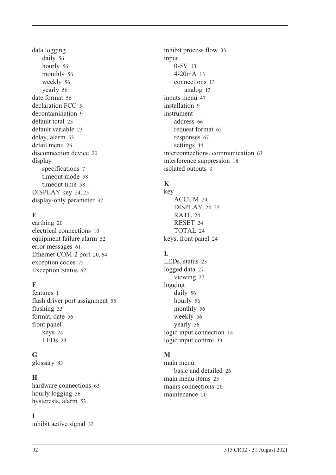data logging daily [56](#page-65-1) hourl[y 56](#page-65-2) monthly [56](#page-65-3) weekl[y 56](#page-65-4) yearly [56](#page-65-5) date format [56](#page-65-0) declaration FCC [5](#page-14-0) decontamination [9](#page-18-0) default tota[l 23](#page-32-0) default variable [23](#page-32-0) delay, alar[m 53](#page-62-1) detail men[u 26](#page-35-0) disconnection device [20](#page-29-1) display specifications [7](#page-16-0) timeout mod[e 58](#page-67-0) timeout time [58](#page-67-1) DISPLAY key [24,](#page-33-1) [25](#page-34-0) display-only parameter [37](#page-46-1)

# **E**

earthin[g 20](#page-29-2) electrical connections [10](#page-19-1) equipment failure alarm [52](#page-61-0) error message[s 61](#page-70-1) Ethernet COM-2 por[t 20,](#page-29-3) [64](#page-73-2) exception codes [75](#page-84-1) Exception Status [67](#page-76-0)

# **F**

features [1](#page-10-0) flash driver port assignmen[t 55](#page-64-3) flushin[g 33](#page-42-1) format, date [56](#page-65-0) front panel keys [24](#page-33-2) LEDs [23](#page-32-1)

# **G**

glossary [83](#page-92-1)

# **H**

hardware connections [63](#page-72-3) hourly logging [56](#page-65-2) hysteresis, alar[m 53](#page-62-2)

# **I**

inhibit active signa[l 33](#page-42-2)

inhibit process flow [33](#page-42-3) input 0-5[V 13](#page-22-0) 4-20mA [13](#page-22-1) connections [13](#page-22-3) analog [13](#page-22-2) inputs menu [47](#page-56-0) installation [9](#page-18-1) instrument address [66](#page-75-0) request forma[t 65](#page-74-2) response[s 67](#page-76-1) setting[s 44](#page-53-0) interconnections, communication [63](#page-72-3) interference suppression [18](#page-27-0) isolated output[s 3](#page-12-1)

# **K**

key ACCUM [24](#page-33-0) DISPLA[Y 24,](#page-33-1) [25](#page-34-0) RATE [24](#page-33-3) RESE[T 24](#page-33-4) TOTAL [24](#page-33-5) keys, front panel [24](#page-33-2)

# **L**

LEDs, status [23](#page-32-1) logged dat[a 27](#page-36-0) viewin[g 27](#page-36-1) logging daily [56](#page-65-1) hourly [56](#page-65-2) monthly [56](#page-65-3) weekl[y 56](#page-65-4) yearly [56](#page-65-5) logic input connection [14](#page-23-0) logic input contro[l 33](#page-42-4)

# **M**

main menu basic and detailed [26](#page-35-0) main menu item[s 25](#page-34-1) mains connections [20](#page-29-0) maintenanc[e 20](#page-29-4)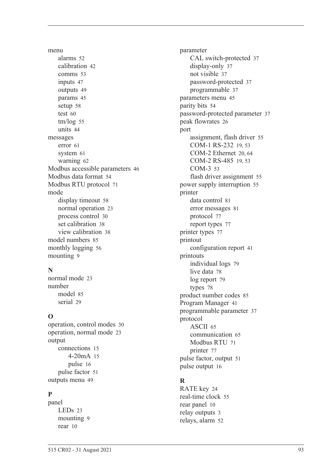menu alarm[s 52](#page-61-2) calibratio[n 42](#page-51-0) comms [53](#page-62-4) input[s 47](#page-56-0) output[s 49](#page-58-0) params [45](#page-54-1) setu[p 58](#page-67-2) test [60](#page-69-0) tm/lo[g 55](#page-64-4) unit[s 44](#page-53-1) messages erro[r 61](#page-70-1) syste[m 61](#page-70-2) warnin[g 62](#page-71-0) Modbus accessible parameters [46](#page-55-0) Modbus data forma[t 54](#page-63-1) Modbus RTU protoco[l 71](#page-80-0) mode display timeou[t 58](#page-67-0) normal operatio[n 23](#page-32-2) process contro[l 30](#page-39-0) set calibration [38](#page-47-0) view calibration [38](#page-47-1) model number[s 85](#page-94-1) monthly logging [56](#page-65-3) mountin[g 9](#page-18-2)

# **N**

normal mode [23](#page-32-2) number mode[l 85](#page-94-1) seria[l 29](#page-38-1)

# **O**

operation, control modes [30](#page-39-0) operation, normal mod[e 23](#page-32-2) output connection[s 15](#page-24-1) 4-20m[A 15](#page-24-0) puls[e 16](#page-25-0) pulse facto[r 51](#page-60-0) outputs men[u 49](#page-58-0)

# **P**

panel LED[s 23](#page-32-1) mountin[g 9](#page-18-2) rear [10](#page-19-0)

parameter CAL switch-protected [37](#page-46-0) display-only [37](#page-46-1) not visibl[e 37](#page-46-2) password-protected [37](#page-46-3) programmable [37](#page-46-4) parameters men[u 45](#page-54-1) parity bit[s 54](#page-63-2) password-protected parameter [37](#page-46-3) peak flowrate[s 26](#page-35-1) port assignment, flash driver [55](#page-64-3) COM-1 RS-232 [19,](#page-28-1) [53](#page-62-5) COM-2 Ethernet [20,](#page-29-3) [64](#page-73-2) COM-2 RS-485 [19,](#page-28-2) [53](#page-62-6) COM-[3 53](#page-62-7) flash driver assignment [55](#page-64-3) power supply interruption [55](#page-64-1) printer data control [81](#page-90-0) error messages [81](#page-90-1) protocol [77](#page-86-2) report types [77](#page-86-3) printer type[s 77](#page-86-4) printout configuration repor[t 41](#page-50-2) printouts individual logs [79](#page-88-0) live data [78](#page-87-0) log report [79](#page-88-1) type[s 78](#page-87-1) product number codes [85](#page-94-0) Program Manager [41](#page-50-1) programmable parameter [37](#page-46-4) protocol ASCI[I 65](#page-74-0) communication [65](#page-74-1) Modbus RT[U 71](#page-80-0) printer [77](#page-86-2) pulse factor, output [51](#page-60-0) pulse output [16](#page-25-0)

# **R**

RATE key [24](#page-33-3) real-time cloc[k 55](#page-64-2) rear panel [10](#page-19-0) relay output[s 3](#page-12-2) relays, alarm [52](#page-61-1)